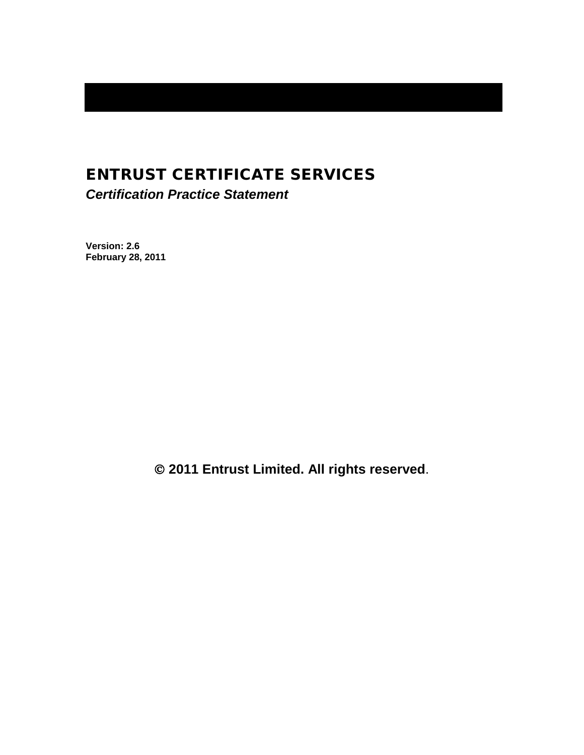# ENTRUST CERTIFICATE SERVICES

*Certification Practice Statement*

**Version: 2.6 February 28, 2011**

**2011 Entrust Limited. All rights reserved**.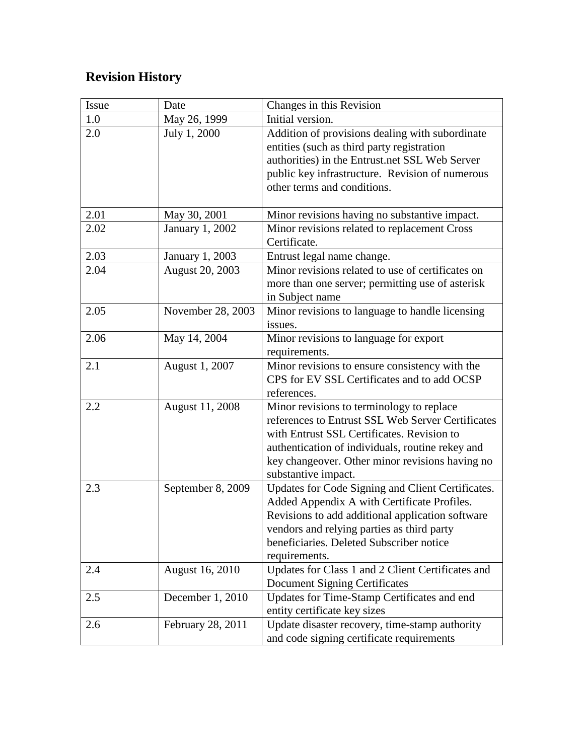# **Revision History**

| Issue | Date                   | Changes in this Revision                          |
|-------|------------------------|---------------------------------------------------|
| 1.0   | May 26, 1999           | Initial version.                                  |
| 2.0   | July 1, 2000           | Addition of provisions dealing with subordinate   |
|       |                        | entities (such as third party registration        |
|       |                        | authorities) in the Entrust.net SSL Web Server    |
|       |                        | public key infrastructure. Revision of numerous   |
|       |                        | other terms and conditions.                       |
|       |                        |                                                   |
| 2.01  | May 30, 2001           | Minor revisions having no substantive impact.     |
| 2.02  | January 1, 2002        | Minor revisions related to replacement Cross      |
|       |                        | Certificate.                                      |
| 2.03  | January 1, 2003        | Entrust legal name change.                        |
| 2.04  | <b>August 20, 2003</b> | Minor revisions related to use of certificates on |
|       |                        | more than one server; permitting use of asterisk  |
|       |                        | in Subject name                                   |
| 2.05  | November 28, 2003      | Minor revisions to language to handle licensing   |
|       |                        | issues.                                           |
| 2.06  | May 14, 2004           | Minor revisions to language for export            |
|       |                        | requirements.                                     |
| 2.1   | August 1, 2007         | Minor revisions to ensure consistency with the    |
|       |                        | CPS for EV SSL Certificates and to add OCSP       |
|       |                        | references.                                       |
| 2.2   | <b>August 11, 2008</b> | Minor revisions to terminology to replace         |
|       |                        | references to Entrust SSL Web Server Certificates |
|       |                        | with Entrust SSL Certificates. Revision to        |
|       |                        | authentication of individuals, routine rekey and  |
|       |                        | key changeover. Other minor revisions having no   |
|       |                        | substantive impact.                               |
| 2.3   | September 8, 2009      | Updates for Code Signing and Client Certificates. |
|       |                        | Added Appendix A with Certificate Profiles.       |
|       |                        | Revisions to add additional application software  |
|       |                        | vendors and relying parties as third party        |
|       |                        | beneficiaries. Deleted Subscriber notice          |
|       |                        | requirements.                                     |
| 2.4   | August 16, 2010        | Updates for Class 1 and 2 Client Certificates and |
|       |                        | <b>Document Signing Certificates</b>              |
| 2.5   | December 1, 2010       | Updates for Time-Stamp Certificates and end       |
|       |                        | entity certificate key sizes                      |
| 2.6   | February 28, 2011      | Update disaster recovery, time-stamp authority    |
|       |                        | and code signing certificate requirements         |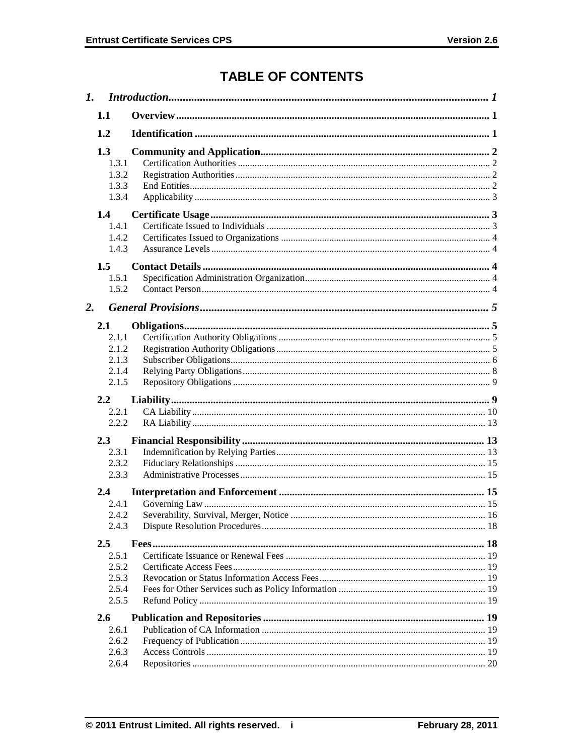# **TABLE OF CONTENTS**

|    | 1.1                                                     |  |  |  |
|----|---------------------------------------------------------|--|--|--|
|    | 1.2                                                     |  |  |  |
|    | 1.3<br>1.3.1<br>1.3.2<br>1.3.3<br>1.3.4                 |  |  |  |
|    | 1.4<br>1.4.1<br>1.4.2<br>1.4.3<br>1.5<br>1.5.1<br>1.5.2 |  |  |  |
| 2. |                                                         |  |  |  |
|    | 2.1<br>2.1.1<br>2.1.2<br>2.1.3<br>2.1.4<br>2.1.5        |  |  |  |
|    | $2.2\phantom{0}$<br>2.2.1<br>2.2.2                      |  |  |  |
|    | 2.3<br>2.3.1<br>2.3.2<br>2.3.3                          |  |  |  |
|    | 2.4<br>2.4.1<br>2.4.2<br>2.4.3                          |  |  |  |
|    | 2.5<br>2.5.1<br>2.5.2<br>2.5.3<br>2.5.4<br>2.5.5        |  |  |  |
|    | 2.6<br>2.6.1<br>2.6.2<br>2.6.3<br>2.6.4                 |  |  |  |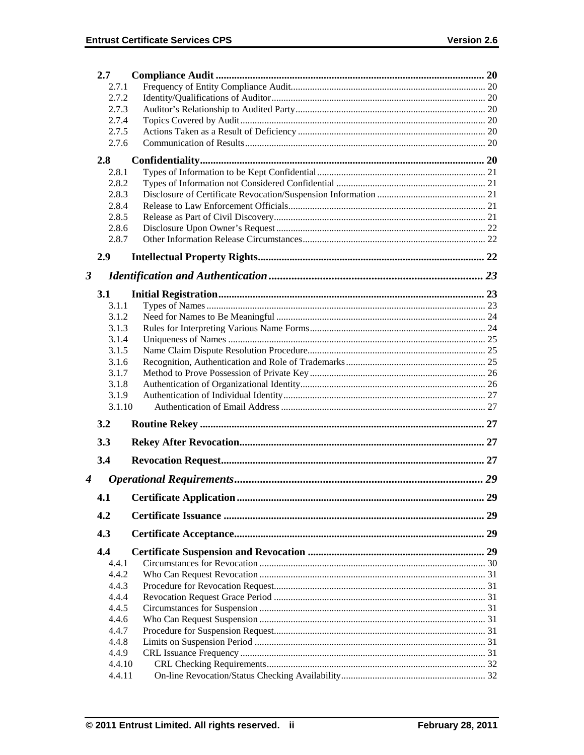|                      | 2.7            |    |
|----------------------|----------------|----|
|                      | 2.7.1          |    |
|                      | 2.7.2          |    |
| 2.7.3                |                |    |
|                      | 2.7.4          |    |
|                      | 2.7.5          |    |
|                      | 2.7.6          |    |
|                      | 2.8            |    |
|                      | 2.8.1          |    |
|                      | 2.8.2          |    |
|                      | 2.8.3          |    |
|                      | 2.8.4          |    |
|                      | 2.8.5          |    |
|                      | 2.8.6          |    |
|                      | 2.8.7          |    |
|                      | 2.9            |    |
| $\boldsymbol{\beta}$ |                |    |
|                      | 3.1            |    |
|                      | 3.1.1          |    |
|                      | 3.1.2          |    |
|                      | 3.1.3          |    |
|                      | 3.1.4          |    |
|                      | 3.1.5          |    |
|                      | 3.1.6          |    |
|                      | 3.1.7          |    |
|                      | 3.1.8          |    |
|                      | 3.1.9          |    |
|                      | 3.1.10         |    |
|                      | 3.2            |    |
|                      | 3.3            |    |
|                      | 3.4            |    |
| $\boldsymbol{4}$     |                |    |
|                      | 4.1            | 29 |
|                      | 4.2            |    |
|                      | 4.3            |    |
|                      | 4.4            |    |
|                      | 4.4.1          |    |
|                      | 4.4.2          |    |
|                      | 4.4.3          |    |
|                      | 4.4.4          |    |
|                      | 4.4.5          |    |
|                      | 4.4.6<br>4.4.7 |    |
|                      | 4.4.8          |    |
|                      | 4.4.9          |    |
|                      | 4.4.10         |    |
|                      | 4.4.11         |    |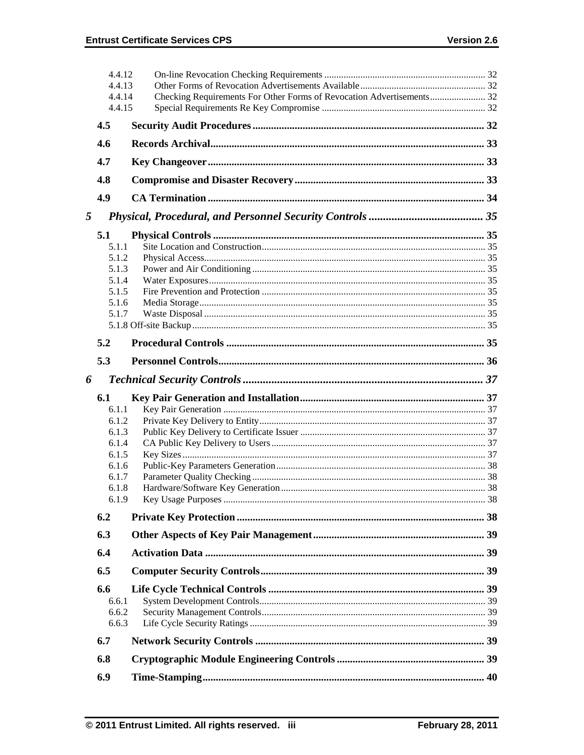|   | 4.4.12<br>4.4.13 |                                                                       |  |
|---|------------------|-----------------------------------------------------------------------|--|
|   | 4.4.14<br>4.4.15 | Checking Requirements For Other Forms of Revocation Advertisements 32 |  |
|   |                  |                                                                       |  |
|   | 4.5              |                                                                       |  |
|   | 4.6              |                                                                       |  |
|   | 4.7              |                                                                       |  |
|   | 4.8              |                                                                       |  |
|   | 4.9              |                                                                       |  |
| 5 |                  |                                                                       |  |
|   | 5.1              |                                                                       |  |
|   | 5.1.1            |                                                                       |  |
|   | 5.1.2            |                                                                       |  |
|   | 5.1.3            |                                                                       |  |
|   | 5.1.4            |                                                                       |  |
|   | 5.1.5            |                                                                       |  |
|   | 5.1.6            |                                                                       |  |
|   | 5.1.7            |                                                                       |  |
|   |                  |                                                                       |  |
|   | 5.2              |                                                                       |  |
|   | 5.3              |                                                                       |  |
| 6 |                  |                                                                       |  |
|   | 6.1              |                                                                       |  |
|   | 6.1.1            |                                                                       |  |
|   | 6.1.2            |                                                                       |  |
|   | 6.1.3            |                                                                       |  |
|   | 6.1.4            |                                                                       |  |
|   | 6.1.5            |                                                                       |  |
|   |                  |                                                                       |  |
|   | 6.1.6            |                                                                       |  |
|   | 6.1.7            |                                                                       |  |
|   | 6.1.8            |                                                                       |  |
|   | 6.1.9            |                                                                       |  |
|   | 6.2              |                                                                       |  |
|   | 6.3              |                                                                       |  |
|   | 6.4              |                                                                       |  |
|   | 6.5              |                                                                       |  |
|   |                  |                                                                       |  |
|   | 6.6              |                                                                       |  |
|   | 6.6.1            |                                                                       |  |
|   | 6.6.2            |                                                                       |  |
|   | 6.6.3<br>6.7     |                                                                       |  |
|   |                  |                                                                       |  |
|   | 6.8<br>6.9       |                                                                       |  |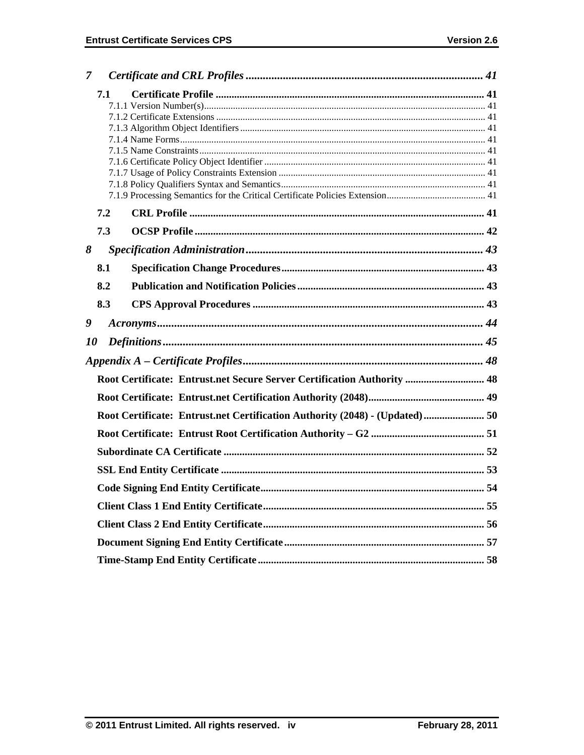| 7         |                                                                         |                                                                             |  |  |  |  |
|-----------|-------------------------------------------------------------------------|-----------------------------------------------------------------------------|--|--|--|--|
|           | 7.1                                                                     |                                                                             |  |  |  |  |
|           |                                                                         |                                                                             |  |  |  |  |
|           |                                                                         |                                                                             |  |  |  |  |
|           |                                                                         |                                                                             |  |  |  |  |
|           |                                                                         |                                                                             |  |  |  |  |
|           |                                                                         |                                                                             |  |  |  |  |
|           |                                                                         |                                                                             |  |  |  |  |
|           |                                                                         |                                                                             |  |  |  |  |
|           |                                                                         |                                                                             |  |  |  |  |
|           | 7.2                                                                     |                                                                             |  |  |  |  |
|           | 7.3                                                                     |                                                                             |  |  |  |  |
| 8         |                                                                         |                                                                             |  |  |  |  |
|           | 8.1                                                                     |                                                                             |  |  |  |  |
|           | 8.2                                                                     |                                                                             |  |  |  |  |
|           | 8.3                                                                     |                                                                             |  |  |  |  |
| 9         |                                                                         |                                                                             |  |  |  |  |
| <i>10</i> |                                                                         |                                                                             |  |  |  |  |
|           |                                                                         |                                                                             |  |  |  |  |
|           | Root Certificate: Entrust.net Secure Server Certification Authority  48 |                                                                             |  |  |  |  |
|           |                                                                         |                                                                             |  |  |  |  |
|           |                                                                         | Root Certificate: Entrust.net Certification Authority (2048) - (Updated) 50 |  |  |  |  |
|           |                                                                         |                                                                             |  |  |  |  |
|           |                                                                         |                                                                             |  |  |  |  |
|           |                                                                         |                                                                             |  |  |  |  |
|           |                                                                         |                                                                             |  |  |  |  |
|           |                                                                         |                                                                             |  |  |  |  |
|           |                                                                         |                                                                             |  |  |  |  |
|           |                                                                         |                                                                             |  |  |  |  |
|           |                                                                         |                                                                             |  |  |  |  |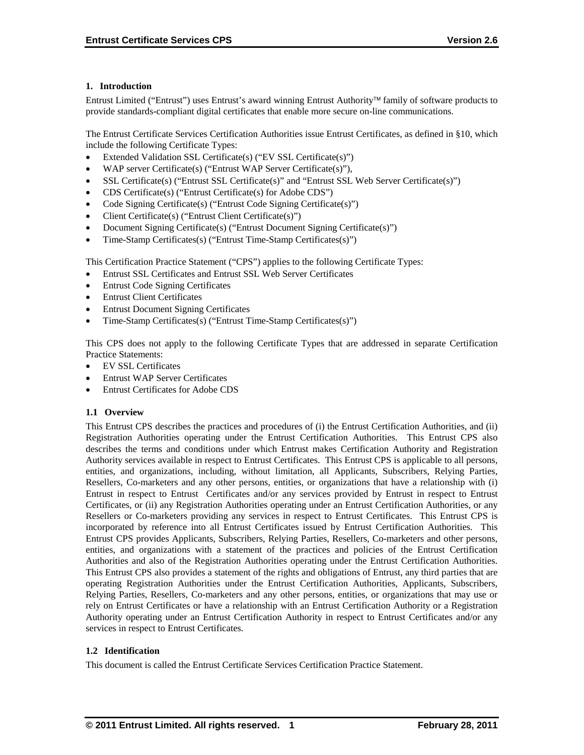# **1. Introduction**

Entrust Limited ("Entrust") uses Entrust's award winning Entrust Authority family of software products to provide standards-compliant digital certificates that enable more secure on-line communications.

The Entrust Certificate Services Certification Authorities issue Entrust Certificates, as defined in §10, which include the following Certificate Types:

- Extended Validation SSL Certificate(s) ("EV SSL Certificate(s)")
- WAP server Certificate(s) ("Entrust WAP Server Certificate(s)"),
- SSL Certificate(s) ("Entrust SSL Certificate(s)" and "Entrust SSL Web Server Certificate(s)")
- CDS Certificate(s) ("Entrust Certificate(s) for Adobe CDS")
- Code Signing Certificate(s) ("Entrust Code Signing Certificate(s)")
- Client Certificate(s) ("Entrust Client Certificate(s)")
- Document Signing Certificate(s) ("Entrust Document Signing Certificate(s)")
- Time-Stamp Certificates(s) ("Entrust Time-Stamp Certificates(s)")

This Certification Practice Statement ("CPS") applies to the following Certificate Types:

- Entrust SSL Certificates and Entrust SSL Web Server Certificates
- Entrust Code Signing Certificates
- Entrust Client Certificates
- Entrust Document Signing Certificates
- Time-Stamp Certificates(s) ("Entrust Time-Stamp Certificates(s)")

This CPS does not apply to the following Certificate Types that are addressed in separate Certification Practice Statements:

- EV SSL Certificates
- Entrust WAP Server Certificates
- Entrust Certificates for Adobe CDS

#### **1.1 Overview**

This Entrust CPS describes the practices and procedures of (i) the Entrust Certification Authorities, and (ii) Registration Authorities operating under the Entrust Certification Authorities. This Entrust CPS also describes the terms and conditions under which Entrust makes Certification Authority and Registration Authority services available in respect to Entrust Certificates. This Entrust CPS is applicable to all persons, entities, and organizations, including, without limitation, all Applicants, Subscribers, Relying Parties, Resellers, Co-marketers and any other persons, entities, or organizations that have a relationship with (i) Entrust in respect to Entrust Certificates and/or any services provided by Entrust in respect to Entrust Certificates, or (ii) any Registration Authorities operating under an Entrust Certification Authorities, or any Resellers or Co-marketers providing any services in respect to Entrust Certificates. This Entrust CPS is incorporated by reference into all Entrust Certificates issued by Entrust Certification Authorities. This Entrust CPS provides Applicants, Subscribers, Relying Parties, Resellers, Co-marketers and other persons, entities, and organizations with a statement of the practices and policies of the Entrust Certification Authorities and also of the Registration Authorities operating under the Entrust Certification Authorities. This Entrust CPS also provides a statement of the rights and obligations of Entrust, any third parties that are operating Registration Authorities under the Entrust Certification Authorities, Applicants, Subscribers, Relying Parties, Resellers, Co-marketers and any other persons, entities, or organizations that may use or rely on Entrust Certificates or have a relationship with an Entrust Certification Authority or a Registration Authority operating under an Entrust Certification Authority in respect to Entrust Certificates and/or any services in respect to Entrust Certificates.

#### **1.2 Identification**

This document is called the Entrust Certificate Services Certification Practice Statement.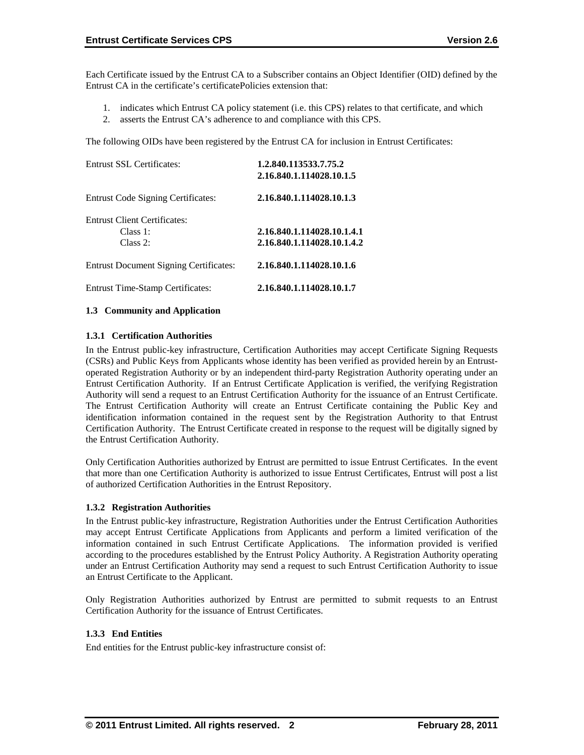Each Certificate issued by the Entrust CA to a Subscriber contains an Object Identifier (OID) defined by the Entrust CA in the certificate's certificatePolicies extension that:

- 1. indicates which Entrust CA policy statement (i.e. this CPS) relates to that certificate, and which
- 2. asserts the Entrust CA's adherence to and compliance with this CPS.

The following OIDs have been registered by the Entrust CA for inclusion in Entrust Certificates:

| <b>Entrust SSL Certificates:</b>              | 1.2.840.113533.7.75.2<br>2.16.840.1.114028.10.1.5 |  |
|-----------------------------------------------|---------------------------------------------------|--|
|                                               |                                                   |  |
| <b>Entrust Code Signing Certificates:</b>     | 2.16.840.1.114028.10.1.3                          |  |
| <b>Entrust Client Certificates:</b>           |                                                   |  |
| Class 1:                                      | 2.16.840.1.114028.10.1.4.1                        |  |
| Class 2:                                      | 2.16.840.1.114028.10.1.4.2                        |  |
| <b>Entrust Document Signing Certificates:</b> | 2.16.840.1.114028.10.1.6                          |  |
| <b>Entrust Time-Stamp Certificates:</b>       | 2.16.840.1.114028.10.1.7                          |  |

#### **1.3 Community and Application**

# **1.3.1 Certification Authorities**

In the Entrust public-key infrastructure, Certification Authorities may accept Certificate Signing Requests (CSRs) and Public Keys from Applicants whose identity has been verified as provided herein by an Entrustoperated Registration Authority or by an independent third-party Registration Authority operating under an Entrust Certification Authority. If an Entrust Certificate Application is verified, the verifying Registration Authority will send a request to an Entrust Certification Authority for the issuance of an Entrust Certificate. The Entrust Certification Authority will create an Entrust Certificate containing the Public Key and identification information contained in the request sent by the Registration Authority to that Entrust Certification Authority. The Entrust Certificate created in response to the request will be digitally signed by the Entrust Certification Authority.

Only Certification Authorities authorized by Entrust are permitted to issue Entrust Certificates. In the event that more than one Certification Authority is authorized to issue Entrust Certificates, Entrust will post a list of authorized Certification Authorities in the Entrust Repository.

#### **1.3.2 Registration Authorities**

In the Entrust public-key infrastructure, Registration Authorities under the Entrust Certification Authorities may accept Entrust Certificate Applications from Applicants and perform a limited verification of the information contained in such Entrust Certificate Applications. The information provided is verified according to the procedures established by the Entrust Policy Authority. A Registration Authority operating under an Entrust Certification Authority may send a request to such Entrust Certification Authority to issue an Entrust Certificate to the Applicant.

Only Registration Authorities authorized by Entrust are permitted to submit requests to an Entrust Certification Authority for the issuance of Entrust Certificates.

# **1.3.3 End Entities**

End entities for the Entrust public-key infrastructure consist of: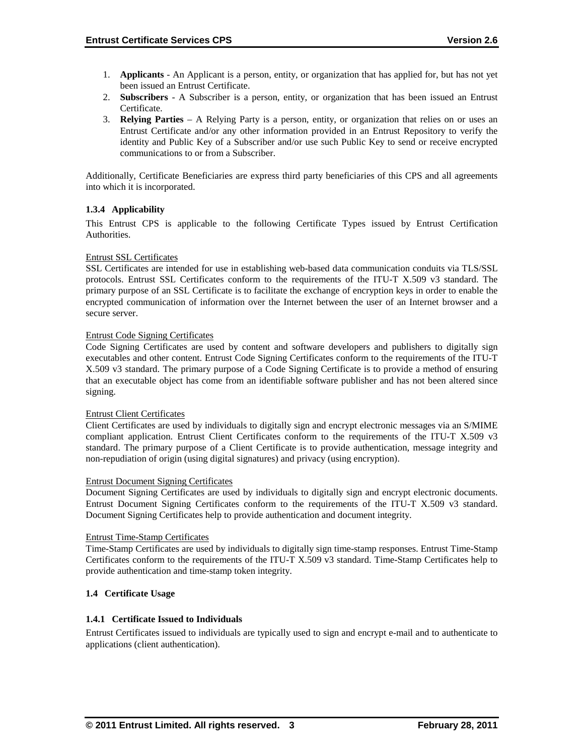- 1. **Applicants** An Applicant is a person, entity, or organization that has applied for, but has not yet been issued an Entrust Certificate.
- 2. **Subscribers**  A Subscriber is a person, entity, or organization that has been issued an Entrust Certificate.
- 3. **Relying Parties**  A Relying Party is a person, entity, or organization that relies on or uses an Entrust Certificate and/or any other information provided in an Entrust Repository to verify the identity and Public Key of a Subscriber and/or use such Public Key to send or receive encrypted communications to or from a Subscriber.

Additionally, Certificate Beneficiaries are express third party beneficiaries of this CPS and all agreements into which it is incorporated.

# **1.3.4 Applicability**

This Entrust CPS is applicable to the following Certificate Types issued by Entrust Certification Authorities.

#### Entrust SSL Certificates

SSL Certificates are intended for use in establishing web-based data communication conduits via TLS/SSL protocols. Entrust SSL Certificates conform to the requirements of the ITU-T X.509 v3 standard. The primary purpose of an SSL Certificate is to facilitate the exchange of encryption keys in order to enable the encrypted communication of information over the Internet between the user of an Internet browser and a secure server.

#### Entrust Code Signing Certificates

Code Signing Certificates are used by content and software developers and publishers to digitally sign executables and other content. Entrust Code Signing Certificates conform to the requirements of the ITU-T X.509 v3 standard. The primary purpose of a Code Signing Certificate is to provide a method of ensuring that an executable object has come from an identifiable software publisher and has not been altered since signing.

#### Entrust Client Certificates

Client Certificates are used by individuals to digitally sign and encrypt electronic messages via an S/MIME compliant application. Entrust Client Certificates conform to the requirements of the ITU-T X.509 v3 standard. The primary purpose of a Client Certificate is to provide authentication, message integrity and non-repudiation of origin (using digital signatures) and privacy (using encryption).

#### Entrust Document Signing Certificates

Document Signing Certificates are used by individuals to digitally sign and encrypt electronic documents. Entrust Document Signing Certificates conform to the requirements of the ITU-T X.509 v3 standard. Document Signing Certificates help to provide authentication and document integrity.

#### Entrust Time-Stamp Certificates

Time-Stamp Certificates are used by individuals to digitally sign time-stamp responses. Entrust Time-Stamp Certificates conform to the requirements of the ITU-T X.509 v3 standard. Time-Stamp Certificates help to provide authentication and time-stamp token integrity.

#### **1.4 Certificate Usage**

#### **1.4.1 Certificate Issued to Individuals**

Entrust Certificates issued to individuals are typically used to sign and encrypt e-mail and to authenticate to applications (client authentication).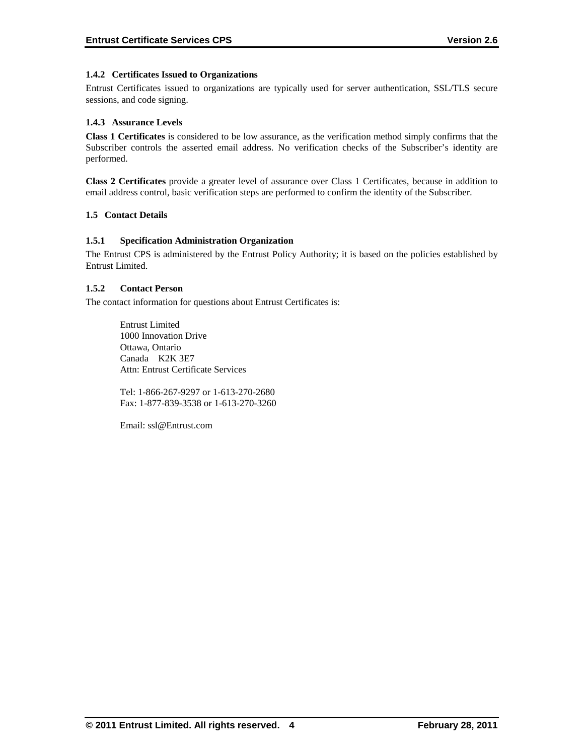# **1.4.2 Certificates Issued to Organizations**

Entrust Certificates issued to organizations are typically used for server authentication, SSL/TLS secure sessions, and code signing.

# **1.4.3 Assurance Levels**

**Class 1 Certificates** is considered to be low assurance, as the verification method simply confirms that the Subscriber controls the asserted email address. No verification checks of the Subscriber's identity are performed.

**Class 2 Certificates** provide a greater level of assurance over Class 1 Certificates, because in addition to email address control, basic verification steps are performed to confirm the identity of the Subscriber.

# **1.5 Contact Details**

# **1.5.1 Specification Administration Organization**

The Entrust CPS is administered by the Entrust Policy Authority; it is based on the policies established by Entrust Limited.

# **1.5.2 Contact Person**

The contact information for questions about Entrust Certificates is:

Entrust Limited 1000 Innovation Drive Ottawa, Ontario Canada K2K 3E7 Attn: Entrust Certificate Services

Tel: 1-866-267-9297 or 1-613-270-2680 Fax: 1-877-839-3538 or 1-613-270-3260

Email: ssl@Entrust.com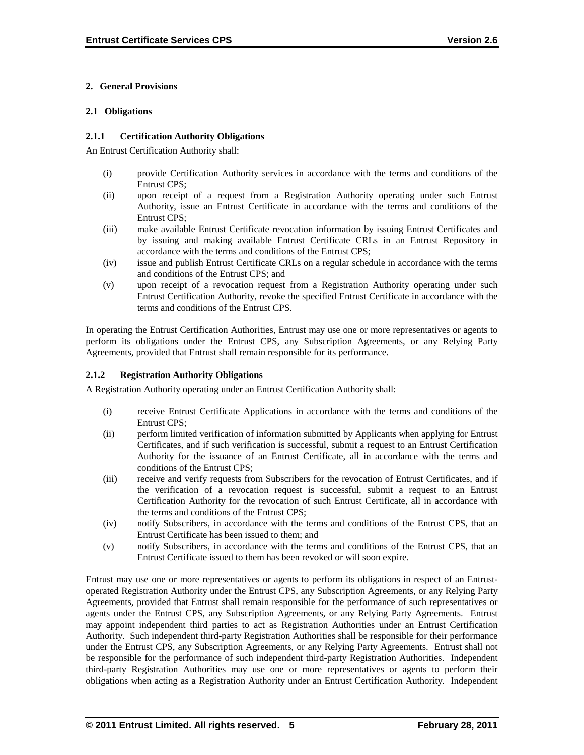# **2. General Provisions**

# **2.1 Obligations**

# **2.1.1 Certification Authority Obligations**

An Entrust Certification Authority shall:

- (i) provide Certification Authority services in accordance with the terms and conditions of the Entrust CPS;
- (ii) upon receipt of a request from a Registration Authority operating under such Entrust Authority, issue an Entrust Certificate in accordance with the terms and conditions of the Entrust CPS;
- (iii) make available Entrust Certificate revocation information by issuing Entrust Certificates and by issuing and making available Entrust Certificate CRLs in an Entrust Repository in accordance with the terms and conditions of the Entrust CPS;
- (iv) issue and publish Entrust Certificate CRLs on a regular schedule in accordance with the terms and conditions of the Entrust CPS; and
- (v) upon receipt of a revocation request from a Registration Authority operating under such Entrust Certification Authority, revoke the specified Entrust Certificate in accordance with the terms and conditions of the Entrust CPS.

In operating the Entrust Certification Authorities, Entrust may use one or more representatives or agents to perform its obligations under the Entrust CPS, any Subscription Agreements, or any Relying Party Agreements, provided that Entrust shall remain responsible for its performance.

# **2.1.2 Registration Authority Obligations**

A Registration Authority operating under an Entrust Certification Authority shall:

- (i) receive Entrust Certificate Applications in accordance with the terms and conditions of the Entrust CPS;
- (ii) perform limited verification of information submitted by Applicants when applying for Entrust Certificates, and if such verification is successful, submit a request to an Entrust Certification Authority for the issuance of an Entrust Certificate, all in accordance with the terms and conditions of the Entrust CPS;
- (iii) receive and verify requests from Subscribers for the revocation of Entrust Certificates, and if the verification of a revocation request is successful, submit a request to an Entrust Certification Authority for the revocation of such Entrust Certificate, all in accordance with the terms and conditions of the Entrust CPS;
- (iv) notify Subscribers, in accordance with the terms and conditions of the Entrust CPS, that an Entrust Certificate has been issued to them; and
- (v) notify Subscribers, in accordance with the terms and conditions of the Entrust CPS, that an Entrust Certificate issued to them has been revoked or will soon expire.

Entrust may use one or more representatives or agents to perform its obligations in respect of an Entrustoperated Registration Authority under the Entrust CPS, any Subscription Agreements, or any Relying Party Agreements, provided that Entrust shall remain responsible for the performance of such representatives or agents under the Entrust CPS, any Subscription Agreements, or any Relying Party Agreements. Entrust may appoint independent third parties to act as Registration Authorities under an Entrust Certification Authority. Such independent third-party Registration Authorities shall be responsible for their performance under the Entrust CPS, any Subscription Agreements, or any Relying Party Agreements. Entrust shall not be responsible for the performance of such independent third-party Registration Authorities. Independent third-party Registration Authorities may use one or more representatives or agents to perform their obligations when acting as a Registration Authority under an Entrust Certification Authority. Independent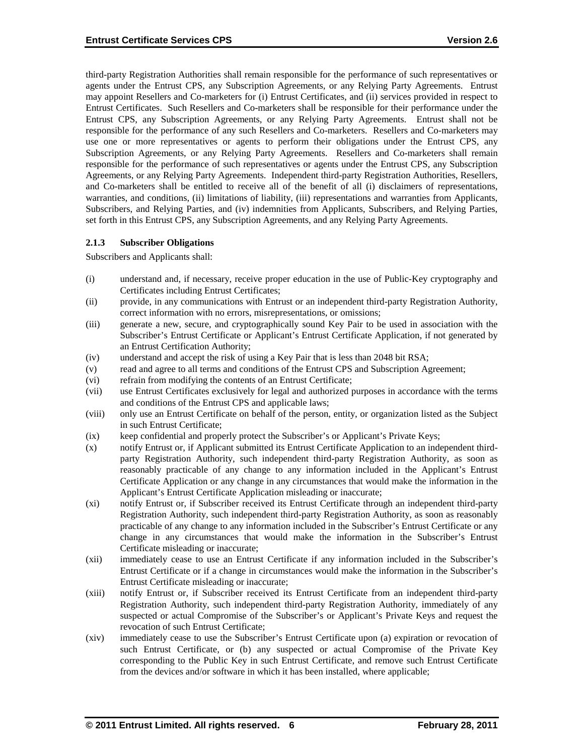third-party Registration Authorities shall remain responsible for the performance of such representatives or agents under the Entrust CPS, any Subscription Agreements, or any Relying Party Agreements. Entrust may appoint Resellers and Co-marketers for (i) Entrust Certificates, and (ii) services provided in respect to Entrust Certificates. Such Resellers and Co-marketers shall be responsible for their performance under the Entrust CPS, any Subscription Agreements, or any Relying Party Agreements. Entrust shall not be responsible for the performance of any such Resellers and Co-marketers. Resellers and Co-marketers may use one or more representatives or agents to perform their obligations under the Entrust CPS, any Subscription Agreements, or any Relying Party Agreements. Resellers and Co-marketers shall remain responsible for the performance of such representatives or agents under the Entrust CPS, any Subscription Agreements, or any Relying Party Agreements. Independent third-party Registration Authorities, Resellers, and Co-marketers shall be entitled to receive all of the benefit of all (i) disclaimers of representations, warranties, and conditions, (ii) limitations of liability, (iii) representations and warranties from Applicants, Subscribers, and Relying Parties, and (iv) indemnities from Applicants, Subscribers, and Relying Parties, set forth in this Entrust CPS, any Subscription Agreements, and any Relying Party Agreements.

#### **2.1.3 Subscriber Obligations**

Subscribers and Applicants shall:

- (i) understand and, if necessary, receive proper education in the use of Public-Key cryptography and Certificates including Entrust Certificates;
- (ii) provide, in any communications with Entrust or an independent third-party Registration Authority, correct information with no errors, misrepresentations, or omissions;
- (iii) generate a new, secure, and cryptographically sound Key Pair to be used in association with the Subscriber's Entrust Certificate or Applicant's Entrust Certificate Application, if not generated by an Entrust Certification Authority;
- (iv) understand and accept the risk of using a Key Pair that is less than 2048 bit RSA;
- (v) read and agree to all terms and conditions of the Entrust CPS and Subscription Agreement;
- (vi) refrain from modifying the contents of an Entrust Certificate;
- (vii) use Entrust Certificates exclusively for legal and authorized purposes in accordance with the terms and conditions of the Entrust CPS and applicable laws;
- (viii) only use an Entrust Certificate on behalf of the person, entity, or organization listed as the Subject in such Entrust Certificate;
- (ix) keep confidential and properly protect the Subscriber's or Applicant's Private Keys;
- (x) notify Entrust or, if Applicant submitted its Entrust Certificate Application to an independent thirdparty Registration Authority, such independent third-party Registration Authority, as soon as reasonably practicable of any change to any information included in the Applicant's Entrust Certificate Application or any change in any circumstances that would make the information in the Applicant's Entrust Certificate Application misleading or inaccurate;
- (xi) notify Entrust or, if Subscriber received its Entrust Certificate through an independent third-party Registration Authority, such independent third-party Registration Authority, as soon as reasonably practicable of any change to any information included in the Subscriber's Entrust Certificate or any change in any circumstances that would make the information in the Subscriber's Entrust Certificate misleading or inaccurate;
- (xii) immediately cease to use an Entrust Certificate if any information included in the Subscriber's Entrust Certificate or if a change in circumstances would make the information in the Subscriber's Entrust Certificate misleading or inaccurate;
- (xiii) notify Entrust or, if Subscriber received its Entrust Certificate from an independent third-party Registration Authority, such independent third-party Registration Authority, immediately of any suspected or actual Compromise of the Subscriber's or Applicant's Private Keys and request the revocation of such Entrust Certificate;
- (xiv) immediately cease to use the Subscriber's Entrust Certificate upon (a) expiration or revocation of such Entrust Certificate, or (b) any suspected or actual Compromise of the Private Key corresponding to the Public Key in such Entrust Certificate, and remove such Entrust Certificate from the devices and/or software in which it has been installed, where applicable;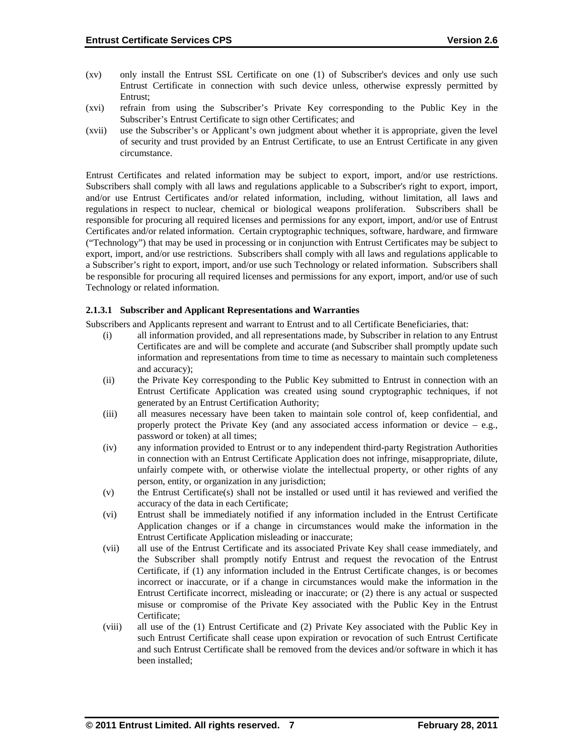- (xv) only install the Entrust SSL Certificate on one (1) of Subscriber's devices and only use such Entrust Certificate in connection with such device unless, otherwise expressly permitted by Entrust;
- (xvi) refrain from using the Subscriber's Private Key corresponding to the Public Key in the Subscriber's Entrust Certificate to sign other Certificates; and
- (xvii) use the Subscriber's or Applicant's own judgment about whether it is appropriate, given the level of security and trust provided by an Entrust Certificate, to use an Entrust Certificate in any given circumstance.

Entrust Certificates and related information may be subject to export, import, and/or use restrictions. Subscribers shall comply with all laws and regulations applicable to a Subscriber's right to export, import, and/or use Entrust Certificates and/or related information, including, without limitation, all laws and regulations in respect to nuclear, chemical or biological weapons proliferation. Subscribers shall be responsible for procuring all required licenses and permissions for any export, import, and/or use of Entrust Certificates and/or related information. Certain cryptographic techniques, software, hardware, and firmware ("Technology") that may be used in processing or in conjunction with Entrust Certificates may be subject to export, import, and/or use restrictions. Subscribers shall comply with all laws and regulations applicable to a Subscriber's right to export, import, and/or use such Technology or related information. Subscribers shall be responsible for procuring all required licenses and permissions for any export, import, and/or use of such Technology or related information.

#### **2.1.3.1 Subscriber and Applicant Representations and Warranties**

Subscribers and Applicants represent and warrant to Entrust and to all Certificate Beneficiaries, that:

- (i) all information provided, and all representations made, by Subscriber in relation to any Entrust Certificates are and will be complete and accurate (and Subscriber shall promptly update such information and representations from time to time as necessary to maintain such completeness and accuracy);
- (ii) the Private Key corresponding to the Public Key submitted to Entrust in connection with an Entrust Certificate Application was created using sound cryptographic techniques, if not generated by an Entrust Certification Authority;
- (iii) all measures necessary have been taken to maintain sole control of, keep confidential, and properly protect the Private Key (and any associated access information or device  $-$  e.g., password or token) at all times;
- (iv) any information provided to Entrust or to any independent third-party Registration Authorities in connection with an Entrust Certificate Application does not infringe, misappropriate, dilute, unfairly compete with, or otherwise violate the intellectual property, or other rights of any person, entity, or organization in any jurisdiction;
- (v) the Entrust Certificate(s) shall not be installed or used until it has reviewed and verified the accuracy of the data in each Certificate;
- (vi) Entrust shall be immediately notified if any information included in the Entrust Certificate Application changes or if a change in circumstances would make the information in the Entrust Certificate Application misleading or inaccurate;
- (vii) all use of the Entrust Certificate and its associated Private Key shall cease immediately, and the Subscriber shall promptly notify Entrust and request the revocation of the Entrust Certificate, if (1) any information included in the Entrust Certificate changes, is or becomes incorrect or inaccurate, or if a change in circumstances would make the information in the Entrust Certificate incorrect, misleading or inaccurate; or (2) there is any actual or suspected misuse or compromise of the Private Key associated with the Public Key in the Entrust Certificate;
- (viii) all use of the (1) Entrust Certificate and (2) Private Key associated with the Public Key in such Entrust Certificate shall cease upon expiration or revocation of such Entrust Certificate and such Entrust Certificate shall be removed from the devices and/or software in which it has been installed;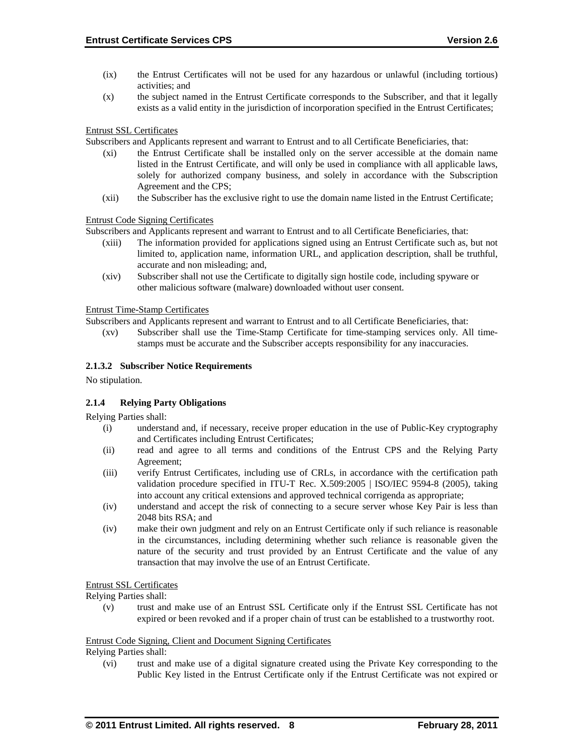- (ix) the Entrust Certificates will not be used for any hazardous or unlawful (including tortious) activities; and
- (x) the subject named in the Entrust Certificate corresponds to the Subscriber, and that it legally exists as a valid entity in the jurisdiction of incorporation specified in the Entrust Certificates;

Entrust SSL Certificates

Subscribers and Applicants represent and warrant to Entrust and to all Certificate Beneficiaries, that:

- (xi) the Entrust Certificate shall be installed only on the server accessible at the domain name listed in the Entrust Certificate, and will only be used in compliance with all applicable laws, solely for authorized company business, and solely in accordance with the Subscription Agreement and the CPS;
- (xii) the Subscriber has the exclusive right to use the domain name listed in the Entrust Certificate;

Entrust Code Signing Certificates

Subscribers and Applicants represent and warrant to Entrust and to all Certificate Beneficiaries, that:

- (xiii) The information provided for applications signed using an Entrust Certificate such as, but not limited to, application name, information URL, and application description, shall be truthful, accurate and non misleading; and,
- (xiv) Subscriber shall not use the Certificate to digitally sign hostile code, including spyware or other malicious software (malware) downloaded without user consent.

Entrust Time-Stamp Certificates

Subscribers and Applicants represent and warrant to Entrust and to all Certificate Beneficiaries, that:

(xv) Subscriber shall use the Time-Stamp Certificate for time-stamping services only. All timestamps must be accurate and the Subscriber accepts responsibility for any inaccuracies.

#### **2.1.3.2 Subscriber Notice Requirements**

No stipulation.

#### **2.1.4 Relying Party Obligations**

Relying Parties shall:

- (i) understand and, if necessary, receive proper education in the use of Public-Key cryptography and Certificates including Entrust Certificates;
- (ii) read and agree to all terms and conditions of the Entrust CPS and the Relying Party Agreement;
- (iii) verify Entrust Certificates, including use of CRLs, in accordance with the certification path validation procedure specified in ITU-T Rec. X.509:2005 | ISO/IEC 9594-8 (2005), taking into account any critical extensions and approved technical corrigenda as appropriate;
- (iv) understand and accept the risk of connecting to a secure server whose Key Pair is less than 2048 bits RSA; and
- (iv) make their own judgment and rely on an Entrust Certificate only if such reliance is reasonable in the circumstances, including determining whether such reliance is reasonable given the nature of the security and trust provided by an Entrust Certificate and the value of any transaction that may involve the use of an Entrust Certificate.

#### Entrust SSL Certificates

Relying Parties shall:

(v) trust and make use of an Entrust SSL Certificate only if the Entrust SSL Certificate has not expired or been revoked and if a proper chain of trust can be established to a trustworthy root.

#### Entrust Code Signing, Client and Document Signing Certificates

Relying Parties shall:

(vi) trust and make use of a digital signature created using the Private Key corresponding to the Public Key listed in the Entrust Certificate only if the Entrust Certificate was not expired or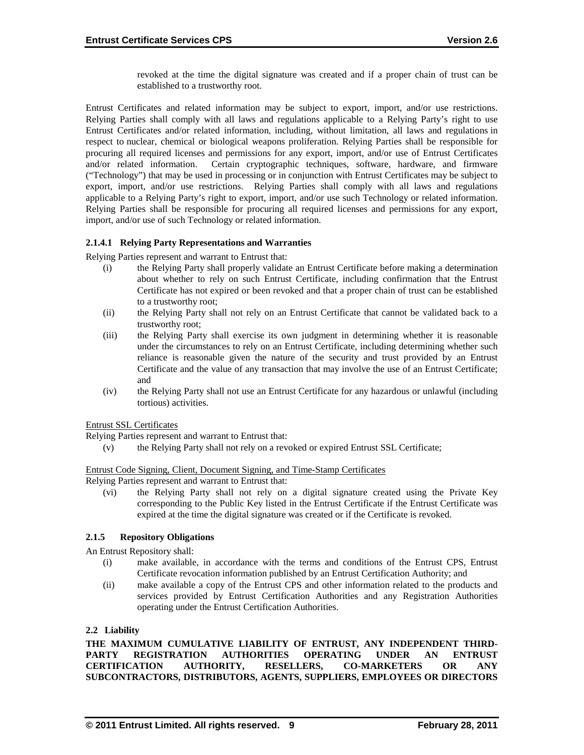revoked at the time the digital signature was created and if a proper chain of trust can be established to a trustworthy root.

Entrust Certificates and related information may be subject to export, import, and/or use restrictions. Relying Parties shall comply with all laws and regulations applicable to a Relying Party's right to use Entrust Certificates and/or related information, including, without limitation, all laws and regulations in respect to nuclear, chemical or biological weapons proliferation. Relying Parties shall be responsible for procuring all required licenses and permissions for any export, import, and/or use of Entrust Certificates and/or related information. Certain cryptographic techniques, software, hardware, and firmware ("Technology") that may be used in processing or in conjunction with Entrust Certificates may be subject to export, import, and/or use restrictions. Relying Parties shall comply with all laws and regulations applicable to a Relying Party's right to export, import, and/or use such Technology or related information. Relying Parties shall be responsible for procuring all required licenses and permissions for any export, import, and/or use of such Technology or related information.

# **2.1.4.1 Relying Party Representations and Warranties**

Relying Parties represent and warrant to Entrust that:

- (i) the Relying Party shall properly validate an Entrust Certificate before making a determination about whether to rely on such Entrust Certificate, including confirmation that the Entrust Certificate has not expired or been revoked and that a proper chain of trust can be established to a trustworthy root;
- (ii) the Relying Party shall not rely on an Entrust Certificate that cannot be validated back to a trustworthy root;
- (iii) the Relying Party shall exercise its own judgment in determining whether it is reasonable under the circumstances to rely on an Entrust Certificate, including determining whether such reliance is reasonable given the nature of the security and trust provided by an Entrust Certificate and the value of any transaction that may involve the use of an Entrust Certificate; and
- (iv) the Relying Party shall not use an Entrust Certificate for any hazardous or unlawful (including tortious) activities.

Entrust SSL Certificates

Relying Parties represent and warrant to Entrust that:

(v) the Relying Party shall not rely on a revoked or expired Entrust SSL Certificate;

Entrust Code Signing, Client, Document Signing, and Time-Stamp Certificates

Relying Parties represent and warrant to Entrust that:

(vi) the Relying Party shall not rely on a digital signature created using the Private Key corresponding to the Public Key listed in the Entrust Certificate if the Entrust Certificate was expired at the time the digital signature was created or if the Certificate is revoked.

# **2.1.5 Repository Obligations**

An Entrust Repository shall:

- (i) make available, in accordance with the terms and conditions of the Entrust CPS, Entrust Certificate revocation information published by an Entrust Certification Authority; and
- (ii) make available a copy of the Entrust CPS and other information related to the products and services provided by Entrust Certification Authorities and any Registration Authorities operating under the Entrust Certification Authorities.

#### **2.2 Liability**

THE MAXIMUM CUMULATIVE LIABILITY OF ENTRUST, ANY INDEPENDENT THIRD-<br>PARTY REGISTRATION AUTHORITIES OPERATING UNDER AN ENTRUST **PARTY REGISTRATION AUTHORITIES OPERATING UNDER AN ENTRUST CERTIFICATION AUTHORITY, RESELLERS, CO-MARKETERS OR ANY SUBCONTRACTORS, DISTRIBUTORS, AGENTS, SUPPLIERS, EMPLOYEES OR DIRECTORS**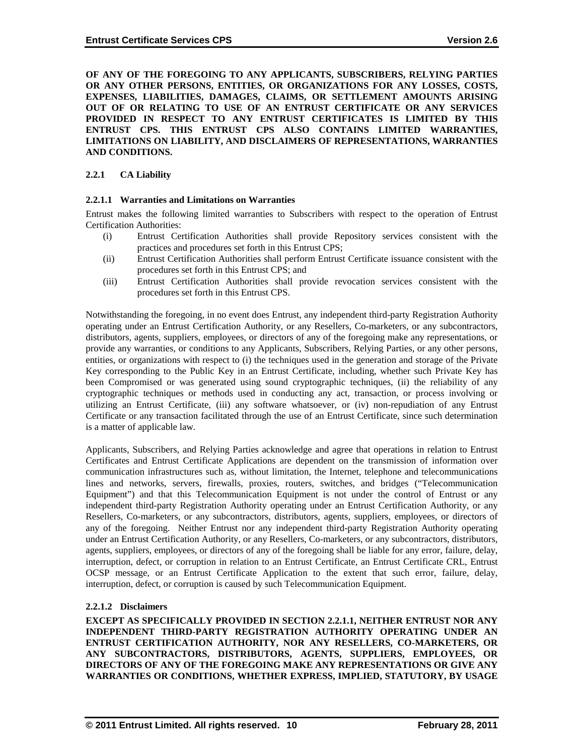**OF ANY OF THE FOREGOING TO ANY APPLICANTS, SUBSCRIBERS, RELYING PARTIES OR ANY OTHER PERSONS, ENTITIES, OR ORGANIZATIONS FOR ANY LOSSES, COSTS, EXPENSES, LIABILITIES, DAMAGES, CLAIMS, OR SETTLEMENT AMOUNTS ARISING OUT OF OR RELATING TO USE OF AN ENTRUST CERTIFICATE OR ANY SERVICES PROVIDED IN RESPECT TO ANY ENTRUST CERTIFICATES IS LIMITED BY THIS ENTRUST CPS. THIS ENTRUST CPS ALSO CONTAINS LIMITED WARRANTIES, LIMITATIONS ON LIABILITY, AND DISCLAIMERS OF REPRESENTATIONS, WARRANTIES AND CONDITIONS.**

# **2.2.1 CA Liability**

#### **2.2.1.1 Warranties and Limitations on Warranties**

Entrust makes the following limited warranties to Subscribers with respect to the operation of Entrust Certification Authorities:

- (i) Entrust Certification Authorities shall provide Repository services consistent with the practices and procedures set forth in this Entrust CPS;
- (ii) Entrust Certification Authorities shall perform Entrust Certificate issuance consistent with the procedures set forth in this Entrust CPS; and
- (iii) Entrust Certification Authorities shall provide revocation services consistent with the procedures set forth in this Entrust CPS.

Notwithstanding the foregoing, in no event does Entrust, any independent third-party Registration Authority operating under an Entrust Certification Authority, or any Resellers, Co-marketers, or any subcontractors, distributors, agents, suppliers, employees, or directors of any of the foregoing make any representations, or provide any warranties, or conditions to any Applicants, Subscribers, Relying Parties, or any other persons, entities, or organizations with respect to (i) the techniques used in the generation and storage of the Private Key corresponding to the Public Key in an Entrust Certificate, including, whether such Private Key has been Compromised or was generated using sound cryptographic techniques, (ii) the reliability of any cryptographic techniques or methods used in conducting any act, transaction, or process involving or utilizing an Entrust Certificate, (iii) any software whatsoever, or (iv) non-repudiation of any Entrust Certificate or any transaction facilitated through the use of an Entrust Certificate, since such determination is a matter of applicable law.

Applicants, Subscribers, and Relying Parties acknowledge and agree that operations in relation to Entrust Certificates and Entrust Certificate Applications are dependent on the transmission of information over communication infrastructures such as, without limitation, the Internet, telephone and telecommunications lines and networks, servers, firewalls, proxies, routers, switches, and bridges ("Telecommunication Equipment") and that this Telecommunication Equipment is not under the control of Entrust or any independent third-party Registration Authority operating under an Entrust Certification Authority, or any Resellers, Co-marketers, or any subcontractors, distributors, agents, suppliers, employees, or directors of any of the foregoing. Neither Entrust nor any independent third-party Registration Authority operating under an Entrust Certification Authority, or any Resellers, Co-marketers, or any subcontractors, distributors, agents, suppliers, employees, or directors of any of the foregoing shall be liable for any error, failure, delay, interruption, defect, or corruption in relation to an Entrust Certificate, an Entrust Certificate CRL, Entrust OCSP message, or an Entrust Certificate Application to the extent that such error, failure, delay, interruption, defect, or corruption is caused by such Telecommunication Equipment.

#### **2.2.1.2 Disclaimers**

**EXCEPT AS SPECIFICALLY PROVIDED IN SECTION 2.2.1.1, NEITHER ENTRUST NOR ANY INDEPENDENT THIRD-PARTY REGISTRATION AUTHORITY OPERATING UNDER AN ENTRUST CERTIFICATION AUTHORITY, NOR ANY RESELLERS, CO-MARKETERS, OR ANY SUBCONTRACTORS, DISTRIBUTORS, AGENTS, SUPPLIERS, EMPLOYEES, OR DIRECTORS OF ANY OF THE FOREGOING MAKE ANY REPRESENTATIONS OR GIVE ANY WARRANTIES OR CONDITIONS, WHETHER EXPRESS, IMPLIED, STATUTORY, BY USAGE**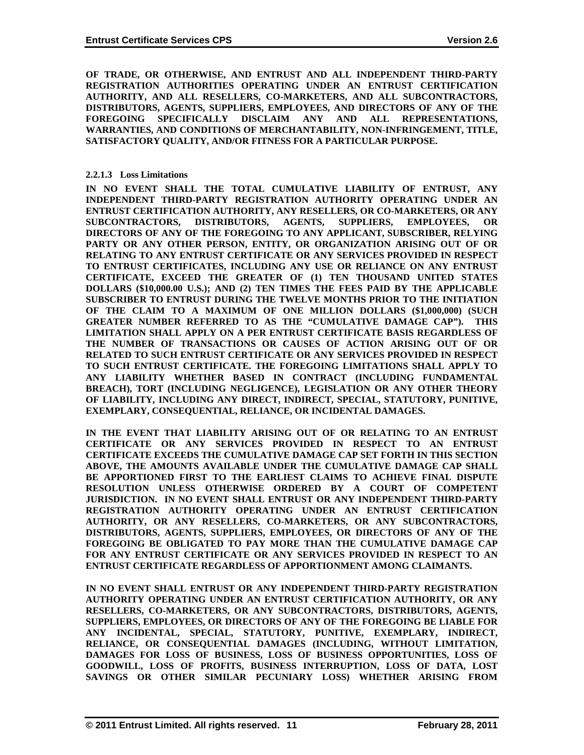**OF TRADE, OR OTHERWISE, AND ENTRUST AND ALL INDEPENDENT THIRD-PARTY REGISTRATION AUTHORITIES OPERATING UNDER AN ENTRUST CERTIFICATION AUTHORITY, AND ALL RESELLERS, CO-MARKETERS, AND ALL SUBCONTRACTORS, DISTRIBUTORS, AGENTS, SUPPLIERS, EMPLOYEES, AND DIRECTORS OF ANY OF THE FOREGOING SPECIFICALLY DISCLAIM ANY AND ALL REPRESENTATIONS, WARRANTIES, AND CONDITIONS OF MERCHANTABILITY, NON-INFRINGEMENT, TITLE, SATISFACTORY QUALITY, AND/OR FITNESS FOR A PARTICULAR PURPOSE.**

# **2.2.1.3 Loss Limitations**

**IN NO EVENT SHALL THE TOTAL CUMULATIVE LIABILITY OF ENTRUST, ANY INDEPENDENT THIRD-PARTY REGISTRATION AUTHORITY OPERATING UNDER AN ENTRUST CERTIFICATION AUTHORITY, ANY RESELLERS, OR CO-MARKETERS, OR ANY SUBCONTRACTORS, DISTRIBUTORS, AGENTS, SUPPLIERS, EMPLOYEES, OR DIRECTORS OF ANY OF THE FOREGOING TO ANY APPLICANT, SUBSCRIBER, RELYING PARTY OR ANY OTHER PERSON, ENTITY, OR ORGANIZATION ARISING OUT OF OR RELATING TO ANY ENTRUST CERTIFICATE OR ANY SERVICES PROVIDED IN RESPECT TO ENTRUST CERTIFICATES, INCLUDING ANY USE OR RELIANCE ON ANY ENTRUST CERTIFICATE, EXCEED THE GREATER OF (1) TEN THOUSAND UNITED STATES DOLLARS (\$10,000.00 U.S.); AND (2) TEN TIMES THE FEES PAID BY THE APPLICABLE SUBSCRIBER TO ENTRUST DURING THE TWELVE MONTHS PRIOR TO THE INITIATION OF THE CLAIM TO A MAXIMUM OF ONE MILLION DOLLARS (\$1,000,000) (SUCH GREATER NUMBER REFERRED TO AS THE "CUMULATIVE DAMAGE CAP"). THIS LIMITATION SHALL APPLY ON A PER ENTRUST CERTIFICATE BASIS REGARDLESS OF THE NUMBER OF TRANSACTIONS OR CAUSES OF ACTION ARISING OUT OF OR RELATED TO SUCH ENTRUST CERTIFICATE OR ANY SERVICES PROVIDED IN RESPECT TO SUCH ENTRUST CERTIFICATE. THE FOREGOING LIMITATIONS SHALL APPLY TO ANY LIABILITY WHETHER BASED IN CONTRACT (INCLUDING FUNDAMENTAL BREACH), TORT (INCLUDING NEGLIGENCE), LEGISLATION OR ANY OTHER THEORY OF LIABILITY, INCLUDING ANY DIRECT, INDIRECT, SPECIAL, STATUTORY, PUNITIVE, EXEMPLARY, CONSEQUENTIAL, RELIANCE, OR INCIDENTAL DAMAGES.**

**IN THE EVENT THAT LIABILITY ARISING OUT OF OR RELATING TO AN ENTRUST CERTIFICATE OR ANY SERVICES PROVIDED IN RESPECT TO AN ENTRUST CERTIFICATE EXCEEDS THE CUMULATIVE DAMAGE CAP SET FORTH IN THIS SECTION ABOVE, THE AMOUNTS AVAILABLE UNDER THE CUMULATIVE DAMAGE CAP SHALL BE APPORTIONED FIRST TO THE EARLIEST CLAIMS TO ACHIEVE FINAL DISPUTE RESOLUTION UNLESS OTHERWISE ORDERED BY A COURT OF COMPETENT JURISDICTION. IN NO EVENT SHALL ENTRUST OR ANY INDEPENDENT THIRD-PARTY REGISTRATION AUTHORITY OPERATING UNDER AN ENTRUST CERTIFICATION AUTHORITY, OR ANY RESELLERS, CO-MARKETERS, OR ANY SUBCONTRACTORS, DISTRIBUTORS, AGENTS, SUPPLIERS, EMPLOYEES, OR DIRECTORS OF ANY OF THE FOREGOING BE OBLIGATED TO PAY MORE THAN THE CUMULATIVE DAMAGE CAP FOR ANY ENTRUST CERTIFICATE OR ANY SERVICES PROVIDED IN RESPECT TO AN ENTRUST CERTIFICATE REGARDLESS OF APPORTIONMENT AMONG CLAIMANTS.**

**IN NO EVENT SHALL ENTRUST OR ANY INDEPENDENT THIRD-PARTY REGISTRATION AUTHORITY OPERATING UNDER AN ENTRUST CERTIFICATION AUTHORITY, OR ANY RESELLERS, CO-MARKETERS, OR ANY SUBCONTRACTORS, DISTRIBUTORS, AGENTS, SUPPLIERS, EMPLOYEES, OR DIRECTORS OF ANY OF THE FOREGOING BE LIABLE FOR ANY INCIDENTAL, SPECIAL, STATUTORY, PUNITIVE, EXEMPLARY, INDIRECT, RELIANCE, OR CONSEQUENTIAL DAMAGES (INCLUDING, WITHOUT LIMITATION, DAMAGES FOR LOSS OF BUSINESS, LOSS OF BUSINESS OPPORTUNITIES, LOSS OF GOODWILL, LOSS OF PROFITS, BUSINESS INTERRUPTION, LOSS OF DATA, LOST SAVINGS OR OTHER SIMILAR PECUNIARY LOSS) WHETHER ARISING FROM**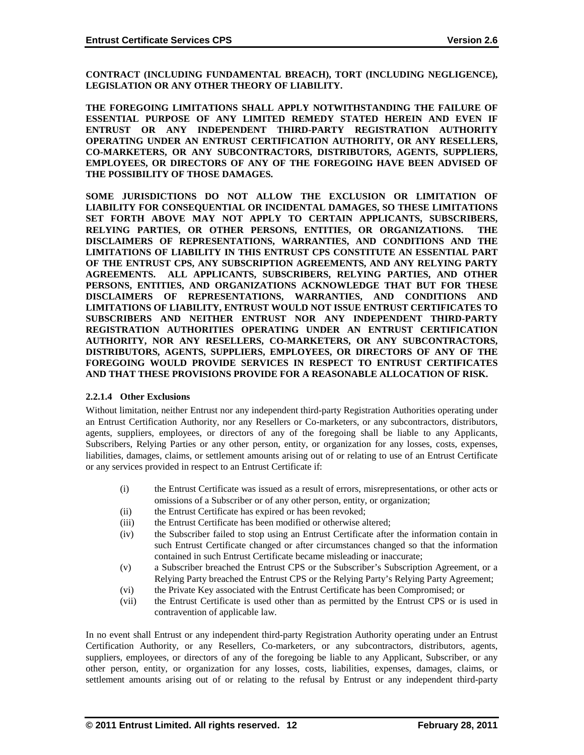**CONTRACT (INCLUDING FUNDAMENTAL BREACH), TORT (INCLUDING NEGLIGENCE), LEGISLATION OR ANY OTHER THEORY OF LIABILITY.** 

**THE FOREGOING LIMITATIONS SHALL APPLY NOTWITHSTANDING THE FAILURE OF ESSENTIAL PURPOSE OF ANY LIMITED REMEDY STATED HEREIN AND EVEN IF ENTRUST OR ANY INDEPENDENT THIRD-PARTY REGISTRATION AUTHORITY OPERATING UNDER AN ENTRUST CERTIFICATION AUTHORITY, OR ANY RESELLERS, CO-MARKETERS, OR ANY SUBCONTRACTORS, DISTRIBUTORS, AGENTS, SUPPLIERS, EMPLOYEES, OR DIRECTORS OF ANY OF THE FOREGOING HAVE BEEN ADVISED OF THE POSSIBILITY OF THOSE DAMAGES.**

**SOME JURISDICTIONS DO NOT ALLOW THE EXCLUSION OR LIMITATION OF LIABILITY FOR CONSEQUENTIAL OR INCIDENTAL DAMAGES, SO THESE LIMITATIONS SET FORTH ABOVE MAY NOT APPLY TO CERTAIN APPLICANTS, SUBSCRIBERS, RELYING PARTIES, OR OTHER PERSONS, ENTITIES, OR ORGANIZATIONS. THE DISCLAIMERS OF REPRESENTATIONS, WARRANTIES, AND CONDITIONS AND THE LIMITATIONS OF LIABILITY IN THIS ENTRUST CPS CONSTITUTE AN ESSENTIAL PART OF THE ENTRUST CPS, ANY SUBSCRIPTION AGREEMENTS, AND ANY RELYING PARTY AGREEMENTS. ALL APPLICANTS, SUBSCRIBERS, RELYING PARTIES, AND OTHER PERSONS, ENTITIES, AND ORGANIZATIONS ACKNOWLEDGE THAT BUT FOR THESE DISCLAIMERS OF REPRESENTATIONS, WARRANTIES, AND CONDITIONS AND LIMITATIONS OF LIABILITY, ENTRUST WOULD NOT ISSUE ENTRUST CERTIFICATES TO SUBSCRIBERS AND NEITHER ENTRUST NOR ANY INDEPENDENT THIRD-PARTY REGISTRATION AUTHORITIES OPERATING UNDER AN ENTRUST CERTIFICATION AUTHORITY, NOR ANY RESELLERS, CO-MARKETERS, OR ANY SUBCONTRACTORS, DISTRIBUTORS, AGENTS, SUPPLIERS, EMPLOYEES, OR DIRECTORS OF ANY OF THE FOREGOING WOULD PROVIDE SERVICES IN RESPECT TO ENTRUST CERTIFICATES AND THAT THESE PROVISIONS PROVIDE FOR A REASONABLE ALLOCATION OF RISK.**

#### **2.2.1.4 Other Exclusions**

Without limitation, neither Entrust nor any independent third-party Registration Authorities operating under an Entrust Certification Authority, nor any Resellers or Co-marketers, or any subcontractors, distributors, agents, suppliers, employees, or directors of any of the foregoing shall be liable to any Applicants, Subscribers, Relying Parties or any other person, entity, or organization for any losses, costs, expenses, liabilities, damages, claims, or settlement amounts arising out of or relating to use of an Entrust Certificate or any services provided in respect to an Entrust Certificate if:

- (i) the Entrust Certificate was issued as a result of errors, misrepresentations, or other acts or omissions of a Subscriber or of any other person, entity, or organization;
- (ii) the Entrust Certificate has expired or has been revoked;
- (iii) the Entrust Certificate has been modified or otherwise altered;
- (iv) the Subscriber failed to stop using an Entrust Certificate after the information contain in such Entrust Certificate changed or after circumstances changed so that the information contained in such Entrust Certificate became misleading or inaccurate;
- (v) a Subscriber breached the Entrust CPS or the Subscriber's Subscription Agreement, or a Relying Party breached the Entrust CPS or the Relying Party's Relying Party Agreement;
- (vi) the Private Key associated with the Entrust Certificate has been Compromised; or
- (vii) the Entrust Certificate is used other than as permitted by the Entrust CPS or is used in contravention of applicable law.

In no event shall Entrust or any independent third-party Registration Authority operating under an Entrust Certification Authority, or any Resellers, Co-marketers, or any subcontractors, distributors, agents, suppliers, employees, or directors of any of the foregoing be liable to any Applicant, Subscriber, or any other person, entity, or organization for any losses, costs, liabilities, expenses, damages, claims, or settlement amounts arising out of or relating to the refusal by Entrust or any independent third-party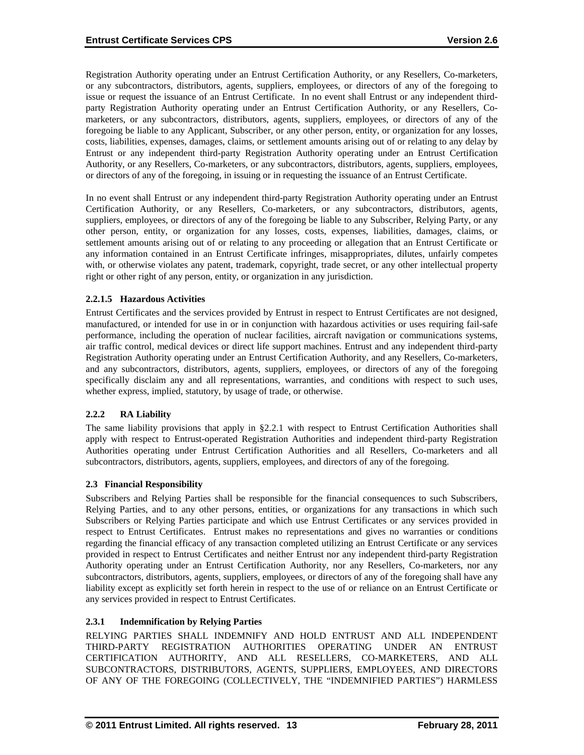Registration Authority operating under an Entrust Certification Authority, or any Resellers, Co-marketers, or any subcontractors, distributors, agents, suppliers, employees, or directors of any of the foregoing to issue or request the issuance of an Entrust Certificate. In no event shall Entrust or any independent thirdparty Registration Authority operating under an Entrust Certification Authority, or any Resellers, Comarketers, or any subcontractors, distributors, agents, suppliers, employees, or directors of any of the foregoing be liable to any Applicant, Subscriber, or any other person, entity, or organization for any losses, costs, liabilities, expenses, damages, claims, or settlement amounts arising out of or relating to any delay by Entrust or any independent third-party Registration Authority operating under an Entrust Certification Authority, or any Resellers, Co-marketers, or any subcontractors, distributors, agents, suppliers, employees, or directors of any of the foregoing, in issuing or in requesting the issuance of an Entrust Certificate.

In no event shall Entrust or any independent third-party Registration Authority operating under an Entrust Certification Authority, or any Resellers, Co-marketers, or any subcontractors, distributors, agents, suppliers, employees, or directors of any of the foregoing be liable to any Subscriber, Relying Party, or any other person, entity, or organization for any losses, costs, expenses, liabilities, damages, claims, or settlement amounts arising out of or relating to any proceeding or allegation that an Entrust Certificate or any information contained in an Entrust Certificate infringes, misappropriates, dilutes, unfairly competes with, or otherwise violates any patent, trademark, copyright, trade secret, or any other intellectual property right or other right of any person, entity, or organization in any jurisdiction.

# **2.2.1.5 Hazardous Activities**

Entrust Certificates and the services provided by Entrust in respect to Entrust Certificates are not designed, manufactured, or intended for use in or in conjunction with hazardous activities or uses requiring fail-safe performance, including the operation of nuclear facilities, aircraft navigation or communications systems, air traffic control, medical devices or direct life support machines. Entrust and any independent third-party Registration Authority operating under an Entrust Certification Authority, and any Resellers, Co-marketers, and any subcontractors, distributors, agents, suppliers, employees, or directors of any of the foregoing specifically disclaim any and all representations, warranties, and conditions with respect to such uses, whether express, implied, statutory, by usage of trade, or otherwise.

# **2.2.2 RA Liability**

The same liability provisions that apply in §2.2.1 with respect to Entrust Certification Authorities shall apply with respect to Entrust-operated Registration Authorities and independent third-party Registration Authorities operating under Entrust Certification Authorities and all Resellers, Co-marketers and all subcontractors, distributors, agents, suppliers, employees, and directors of any of the foregoing.

# **2.3 Financial Responsibility**

Subscribers and Relying Parties shall be responsible for the financial consequences to such Subscribers, Relying Parties, and to any other persons, entities, or organizations for any transactions in which such Subscribers or Relying Parties participate and which use Entrust Certificates or any services provided in respect to Entrust Certificates. Entrust makes no representations and gives no warranties or conditions regarding the financial efficacy of any transaction completed utilizing an Entrust Certificate or any services provided in respect to Entrust Certificates and neither Entrust nor any independent third-party Registration Authority operating under an Entrust Certification Authority, nor any Resellers, Co-marketers, nor any subcontractors, distributors, agents, suppliers, employees, or directors of any of the foregoing shall have any liability except as explicitly set forth herein in respect to the use of or reliance on an Entrust Certificate or any services provided in respect to Entrust Certificates.

# **2.3.1 Indemnification by Relying Parties**

RELYING PARTIES SHALL INDEMNIFY AND HOLD ENTRUST AND ALL INDEPENDENT THIRD-PARTY REGISTRATION AUTHORITIES OPERATING UNDER AN ENTRUST CERTIFICATION AUTHORITY, AND ALL RESELLERS, CO-MARKETERS, AND ALL SUBCONTRACTORS, DISTRIBUTORS, AGENTS, SUPPLIERS, EMPLOYEES, AND DIRECTORS OF ANY OF THE FOREGOING (COLLECTIVELY, THE "INDEMNIFIED PARTIES") HARMLESS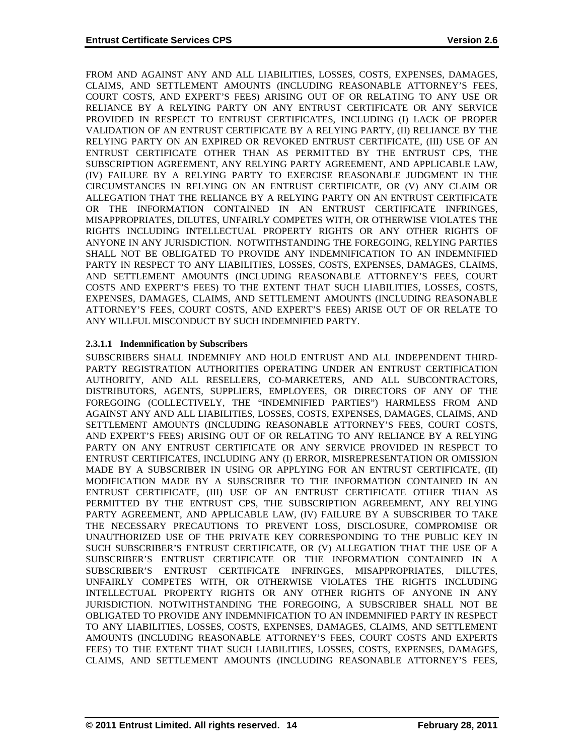FROM AND AGAINST ANY AND ALL LIABILITIES, LOSSES, COSTS, EXPENSES, DAMAGES, CLAIMS, AND SETTLEMENT AMOUNTS (INCLUDING REASONABLE ATTORNEY'S FEES, COURT COSTS, AND EXPERT'S FEES) ARISING OUT OF OR RELATING TO ANY USE OR RELIANCE BY A RELYING PARTY ON ANY ENTRUST CERTIFICATE OR ANY SERVICE PROVIDED IN RESPECT TO ENTRUST CERTIFICATES, INCLUDING (I) LACK OF PROPER VALIDATION OF AN ENTRUST CERTIFICATE BY A RELYING PARTY, (II) RELIANCE BY THE RELYING PARTY ON AN EXPIRED OR REVOKED ENTRUST CERTIFICATE, (III) USE OF AN ENTRUST CERTIFICATE OTHER THAN AS PERMITTED BY THE ENTRUST CPS, THE SUBSCRIPTION AGREEMENT, ANY RELYING PARTY AGREEMENT, AND APPLICABLE LAW, (IV) FAILURE BY A RELYING PARTY TO EXERCISE REASONABLE JUDGMENT IN THE CIRCUMSTANCES IN RELYING ON AN ENTRUST CERTIFICATE, OR (V) ANY CLAIM OR ALLEGATION THAT THE RELIANCE BY A RELYING PARTY ON AN ENTRUST CERTIFICATE OR THE INFORMATION CONTAINED IN AN ENTRUST CERTIFICATE INFRINGES, MISAPPROPRIATES, DILUTES, UNFAIRLY COMPETES WITH, OR OTHERWISE VIOLATES THE RIGHTS INCLUDING INTELLECTUAL PROPERTY RIGHTS OR ANY OTHER RIGHTS OF ANYONE IN ANY JURISDICTION. NOTWITHSTANDING THE FOREGOING, RELYING PARTIES SHALL NOT BE OBLIGATED TO PROVIDE ANY INDEMNIFICATION TO AN INDEMNIFIED PARTY IN RESPECT TO ANY LIABILITIES, LOSSES, COSTS, EXPENSES, DAMAGES, CLAIMS, AND SETTLEMENT AMOUNTS (INCLUDING REASONABLE ATTORNEY'S FEES, COURT COSTS AND EXPERT'S FEES) TO THE EXTENT THAT SUCH LIABILITIES, LOSSES, COSTS, EXPENSES, DAMAGES, CLAIMS, AND SETTLEMENT AMOUNTS (INCLUDING REASONABLE ATTORNEY'S FEES, COURT COSTS, AND EXPERT'S FEES) ARISE OUT OF OR RELATE TO ANY WILLFUL MISCONDUCT BY SUCH INDEMNIFIED PARTY.

# **2.3.1.1 Indemnification by Subscribers**

SUBSCRIBERS SHALL INDEMNIFY AND HOLD ENTRUST AND ALL INDEPENDENT THIRD-PARTY REGISTRATION AUTHORITIES OPERATING UNDER AN ENTRUST CERTIFICATION AUTHORITY, AND ALL RESELLERS, CO-MARKETERS, AND ALL SUBCONTRACTORS, DISTRIBUTORS, AGENTS, SUPPLIERS, EMPLOYEES, OR DIRECTORS OF ANY OF THE FOREGOING (COLLECTIVELY, THE "INDEMNIFIED PARTIES") HARMLESS FROM AND AGAINST ANY AND ALL LIABILITIES, LOSSES, COSTS, EXPENSES, DAMAGES, CLAIMS, AND SETTLEMENT AMOUNTS (INCLUDING REASONABLE ATTORNEY'S FEES, COURT COSTS, AND EXPERT'S FEES) ARISING OUT OF OR RELATING TO ANY RELIANCE BY A RELYING PARTY ON ANY ENTRUST CERTIFICATE OR ANY SERVICE PROVIDED IN RESPECT TO ENTRUST CERTIFICATES, INCLUDING ANY (I) ERROR, MISREPRESENTATION OR OMISSION MADE BY A SUBSCRIBER IN USING OR APPLYING FOR AN ENTRUST CERTIFICATE, (II) MODIFICATION MADE BY A SUBSCRIBER TO THE INFORMATION CONTAINED IN AN ENTRUST CERTIFICATE, (III) USE OF AN ENTRUST CERTIFICATE OTHER THAN AS PERMITTED BY THE ENTRUST CPS, THE SUBSCRIPTION AGREEMENT, ANY RELYING PARTY AGREEMENT, AND APPLICABLE LAW, (IV) FAILURE BY A SUBSCRIBER TO TAKE THE NECESSARY PRECAUTIONS TO PREVENT LOSS, DISCLOSURE, COMPROMISE OR UNAUTHORIZED USE OF THE PRIVATE KEY CORRESPONDING TO THE PUBLIC KEY IN SUCH SUBSCRIBER'S ENTRUST CERTIFICATE, OR (V) ALLEGATION THAT THE USE OF A SUBSCRIBER'S ENTRUST CERTIFICATE OR THE INFORMATION CONTAINED IN A SUBSCRIBER'S ENTRUST CERTIFICATE INFRINGES, MISAPPROPRIATES, DILUTES, UNFAIRLY COMPETES WITH, OR OTHERWISE VIOLATES THE RIGHTS INCLUDING INTELLECTUAL PROPERTY RIGHTS OR ANY OTHER RIGHTS OF ANYONE IN ANY JURISDICTION. NOTWITHSTANDING THE FOREGOING, A SUBSCRIBER SHALL NOT BE OBLIGATED TO PROVIDE ANY INDEMNIFICATION TO AN INDEMNIFIED PARTY IN RESPECT TO ANY LIABILITIES, LOSSES, COSTS, EXPENSES, DAMAGES, CLAIMS, AND SETTLEMENT AMOUNTS (INCLUDING REASONABLE ATTORNEY'S FEES, COURT COSTS AND EXPERTS FEES) TO THE EXTENT THAT SUCH LIABILITIES, LOSSES, COSTS, EXPENSES, DAMAGES, CLAIMS, AND SETTLEMENT AMOUNTS (INCLUDING REASONABLE ATTORNEY'S FEES,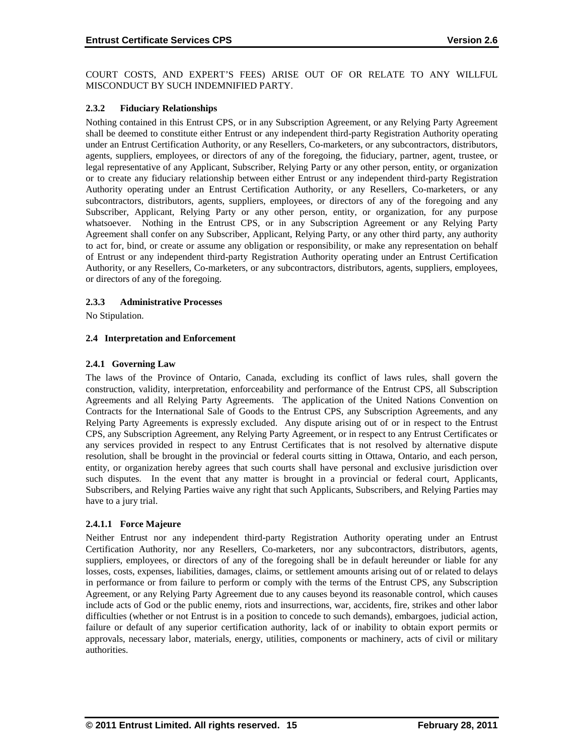COURT COSTS, AND EXPERT'S FEES) ARISE OUT OF OR RELATE TO ANY WILLFUL MISCONDUCT BY SUCH INDEMNIFIED PARTY.

#### **2.3.2 Fiduciary Relationships**

Nothing contained in this Entrust CPS, or in any Subscription Agreement, or any Relying Party Agreement shall be deemed to constitute either Entrust or any independent third-party Registration Authority operating under an Entrust Certification Authority, or any Resellers, Co-marketers, or any subcontractors, distributors, agents, suppliers, employees, or directors of any of the foregoing, the fiduciary, partner, agent, trustee, or legal representative of any Applicant, Subscriber, Relying Party or any other person, entity, or organization or to create any fiduciary relationship between either Entrust or any independent third-party Registration Authority operating under an Entrust Certification Authority, or any Resellers, Co-marketers, or any subcontractors, distributors, agents, suppliers, employees, or directors of any of the foregoing and any Subscriber, Applicant, Relying Party or any other person, entity, or organization, for any purpose whatsoever. Nothing in the Entrust CPS, or in any Subscription Agreement or any Relying Party Agreement shall confer on any Subscriber, Applicant, Relying Party, or any other third party, any authority to act for, bind, or create or assume any obligation or responsibility, or make any representation on behalf of Entrust or any independent third-party Registration Authority operating under an Entrust Certification Authority, or any Resellers, Co-marketers, or any subcontractors, distributors, agents, suppliers, employees, or directors of any of the foregoing.

#### **2.3.3 Administrative Processes**

No Stipulation.

#### **2.4 Interpretation and Enforcement**

#### **2.4.1 Governing Law**

The laws of the Province of Ontario, Canada, excluding its conflict of laws rules, shall govern the construction, validity, interpretation, enforceability and performance of the Entrust CPS, all Subscription Agreements and all Relying Party Agreements. The application of the United Nations Convention on Contracts for the International Sale of Goods to the Entrust CPS, any Subscription Agreements, and any Relying Party Agreements is expressly excluded. Any dispute arising out of or in respect to the Entrust CPS, any Subscription Agreement, any Relying Party Agreement, or in respect to any Entrust Certificates or any services provided in respect to any Entrust Certificates that is not resolved by alternative dispute resolution, shall be brought in the provincial or federal courts sitting in Ottawa, Ontario, and each person, entity, or organization hereby agrees that such courts shall have personal and exclusive jurisdiction over such disputes. In the event that any matter is brought in a provincial or federal court, Applicants, Subscribers, and Relying Parties waive any right that such Applicants, Subscribers, and Relying Parties may have to a jury trial.

#### **2.4.1.1 Force Majeure**

Neither Entrust nor any independent third-party Registration Authority operating under an Entrust Certification Authority, nor any Resellers, Co-marketers, nor any subcontractors, distributors, agents, suppliers, employees, or directors of any of the foregoing shall be in default hereunder or liable for any losses, costs, expenses, liabilities, damages, claims, or settlement amounts arising out of or related to delays in performance or from failure to perform or comply with the terms of the Entrust CPS, any Subscription Agreement, or any Relying Party Agreement due to any causes beyond its reasonable control, which causes include acts of God or the public enemy, riots and insurrections, war, accidents, fire, strikes and other labor difficulties (whether or not Entrust is in a position to concede to such demands), embargoes, judicial action, failure or default of any superior certification authority, lack of or inability to obtain export permits or approvals, necessary labor, materials, energy, utilities, components or machinery, acts of civil or military authorities.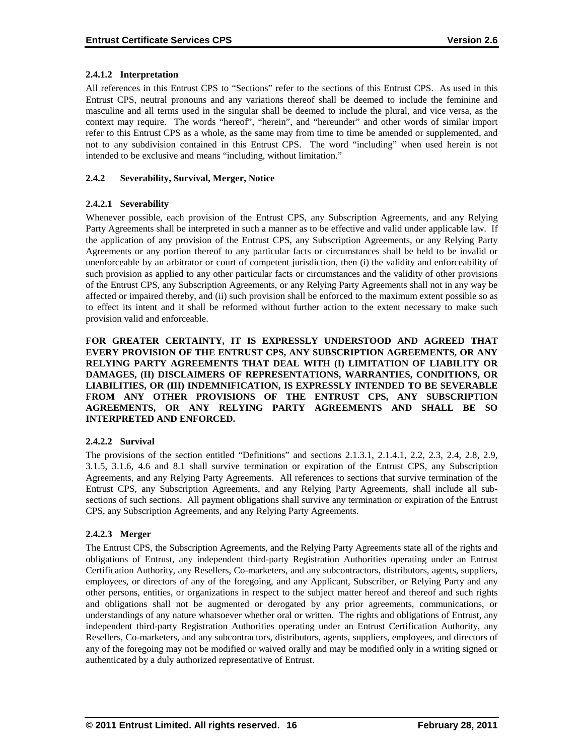# **2.4.1.2 Interpretation**

All references in this Entrust CPS to "Sections" refer to the sections of this Entrust CPS. As used in this Entrust CPS, neutral pronouns and any variations thereof shall be deemed to include the feminine and masculine and all terms used in the singular shall be deemed to include the plural, and vice versa, as the context may require. The words "hereof", "herein", and "hereunder" and other words of similar import refer to this Entrust CPS as a whole, as the same may from time to time be amended or supplemented, and not to any subdivision contained in this Entrust CPS. The word "including" when used herein is not intended to be exclusive and means "including, without limitation."

# **2.4.2 Severability, Survival, Merger, Notice**

# **2.4.2.1 Severability**

Whenever possible, each provision of the Entrust CPS, any Subscription Agreements, and any Relying Party Agreements shall be interpreted in such a manner as to be effective and valid under applicable law. If the application of any provision of the Entrust CPS, any Subscription Agreements, or any Relying Party Agreements or any portion thereof to any particular facts or circumstances shall be held to be invalid or unenforceable by an arbitrator or court of competent jurisdiction, then (i) the validity and enforceability of such provision as applied to any other particular facts or circumstances and the validity of other provisions of the Entrust CPS, any Subscription Agreements, or any Relying Party Agreements shall not in any way be affected or impaired thereby, and (ii) such provision shall be enforced to the maximum extent possible so as to effect its intent and it shall be reformed without further action to the extent necessary to make such provision valid and enforceable.

**FOR GREATER CERTAINTY, IT IS EXPRESSLY UNDERSTOOD AND AGREED THAT EVERY PROVISION OF THE ENTRUST CPS, ANY SUBSCRIPTION AGREEMENTS, OR ANY RELYING PARTY AGREEMENTS THAT DEAL WITH (I) LIMITATION OF LIABILITY OR DAMAGES, (II) DISCLAIMERS OF REPRESENTATIONS, WARRANTIES, CONDITIONS, OR LIABILITIES, OR (III) INDEMNIFICATION, IS EXPRESSLY INTENDED TO BE SEVERABLE FROM ANY OTHER PROVISIONS OF THE ENTRUST CPS, ANY SUBSCRIPTION AGREEMENTS, OR ANY RELYING PARTY AGREEMENTS AND SHALL BE SO INTERPRETED AND ENFORCED.**

#### **2.4.2.2 Survival**

The provisions of the section entitled "Definitions" and sections 2.1.3.1, 2.1.4.1, 2.2, 2.3, 2.4, 2.8, 2.9, 3.1.5, 3.1.6, 4.6 and 8.1 shall survive termination or expiration of the Entrust CPS, any Subscription Agreements, and any Relying Party Agreements. All references to sections that survive termination of the Entrust CPS, any Subscription Agreements, and any Relying Party Agreements, shall include all subsections of such sections. All payment obligations shall survive any termination or expiration of the Entrust CPS, any Subscription Agreements, and any Relying Party Agreements.

#### **2.4.2.3 Merger**

The Entrust CPS, the Subscription Agreements, and the Relying Party Agreements state all of the rights and obligations of Entrust, any independent third-party Registration Authorities operating under an Entrust Certification Authority, any Resellers, Co-marketers, and any subcontractors, distributors, agents, suppliers, employees, or directors of any of the foregoing, and any Applicant, Subscriber, or Relying Party and any other persons, entities, or organizations in respect to the subject matter hereof and thereof and such rights and obligations shall not be augmented or derogated by any prior agreements, communications, or understandings of any nature whatsoever whether oral or written. The rights and obligations of Entrust, any independent third-party Registration Authorities operating under an Entrust Certification Authority, any Resellers, Co-marketers, and any subcontractors, distributors, agents, suppliers, employees, and directors of any of the foregoing may not be modified or waived orally and may be modified only in a writing signed or authenticated by a duly authorized representative of Entrust.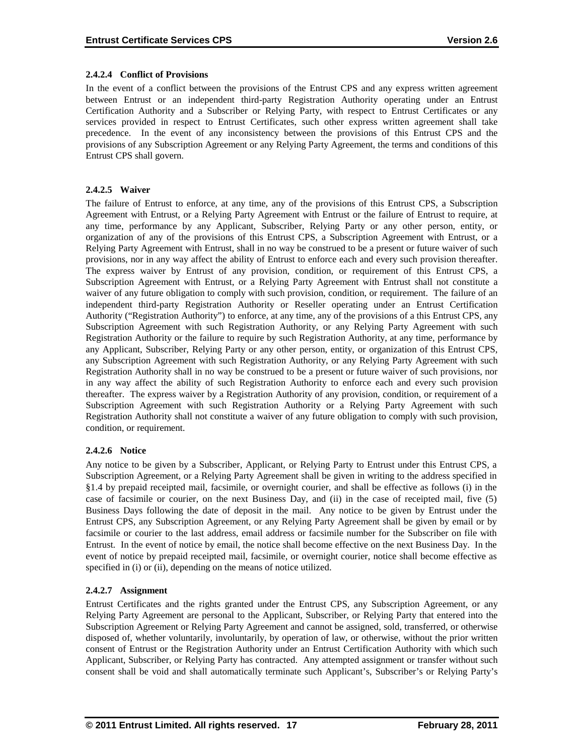# **2.4.2.4 Conflict of Provisions**

In the event of a conflict between the provisions of the Entrust CPS and any express written agreement between Entrust or an independent third-party Registration Authority operating under an Entrust Certification Authority and a Subscriber or Relying Party, with respect to Entrust Certificates or any services provided in respect to Entrust Certificates, such other express written agreement shall take precedence. In the event of any inconsistency between the provisions of this Entrust CPS and the provisions of any Subscription Agreement or any Relying Party Agreement, the terms and conditions of this Entrust CPS shall govern.

# **2.4.2.5 Waiver**

The failure of Entrust to enforce, at any time, any of the provisions of this Entrust CPS, a Subscription Agreement with Entrust, or a Relying Party Agreement with Entrust or the failure of Entrust to require, at any time, performance by any Applicant, Subscriber, Relying Party or any other person, entity, or organization of any of the provisions of this Entrust CPS, a Subscription Agreement with Entrust, or a Relying Party Agreement with Entrust, shall in no way be construed to be a present or future waiver of such provisions, nor in any way affect the ability of Entrust to enforce each and every such provision thereafter. The express waiver by Entrust of any provision, condition, or requirement of this Entrust CPS, a Subscription Agreement with Entrust, or a Relying Party Agreement with Entrust shall not constitute a waiver of any future obligation to comply with such provision, condition, or requirement. The failure of an independent third-party Registration Authority or Reseller operating under an Entrust Certification Authority ("Registration Authority") to enforce, at any time, any of the provisions of a this Entrust CPS, any Subscription Agreement with such Registration Authority, or any Relying Party Agreement with such Registration Authority or the failure to require by such Registration Authority, at any time, performance by any Applicant, Subscriber, Relying Party or any other person, entity, or organization of this Entrust CPS, any Subscription Agreement with such Registration Authority, or any Relying Party Agreement with such Registration Authority shall in no way be construed to be a present or future waiver of such provisions, nor in any way affect the ability of such Registration Authority to enforce each and every such provision thereafter. The express waiver by a Registration Authority of any provision, condition, or requirement of a Subscription Agreement with such Registration Authority or a Relying Party Agreement with such Registration Authority shall not constitute a waiver of any future obligation to comply with such provision, condition, or requirement.

# **2.4.2.6 Notice**

Any notice to be given by a Subscriber, Applicant, or Relying Party to Entrust under this Entrust CPS, a Subscription Agreement, or a Relying Party Agreement shall be given in writing to the address specified in §1.4 by prepaid receipted mail, facsimile, or overnight courier, and shall be effective as follows (i) in the case of facsimile or courier, on the next Business Day, and (ii) in the case of receipted mail, five (5) Business Days following the date of deposit in the mail. Any notice to be given by Entrust under the Entrust CPS, any Subscription Agreement, or any Relying Party Agreement shall be given by email or by facsimile or courier to the last address, email address or facsimile number for the Subscriber on file with Entrust. In the event of notice by email, the notice shall become effective on the next Business Day. In the event of notice by prepaid receipted mail, facsimile, or overnight courier, notice shall become effective as specified in (i) or (ii), depending on the means of notice utilized.

# **2.4.2.7 Assignment**

Entrust Certificates and the rights granted under the Entrust CPS, any Subscription Agreement, or any Relying Party Agreement are personal to the Applicant, Subscriber, or Relying Party that entered into the Subscription Agreement or Relying Party Agreement and cannot be assigned, sold, transferred, or otherwise disposed of, whether voluntarily, involuntarily, by operation of law, or otherwise, without the prior written consent of Entrust or the Registration Authority under an Entrust Certification Authority with which such Applicant, Subscriber, or Relying Party has contracted. Any attempted assignment or transfer without such consent shall be void and shall automatically terminate such Applicant's, Subscriber's or Relying Party's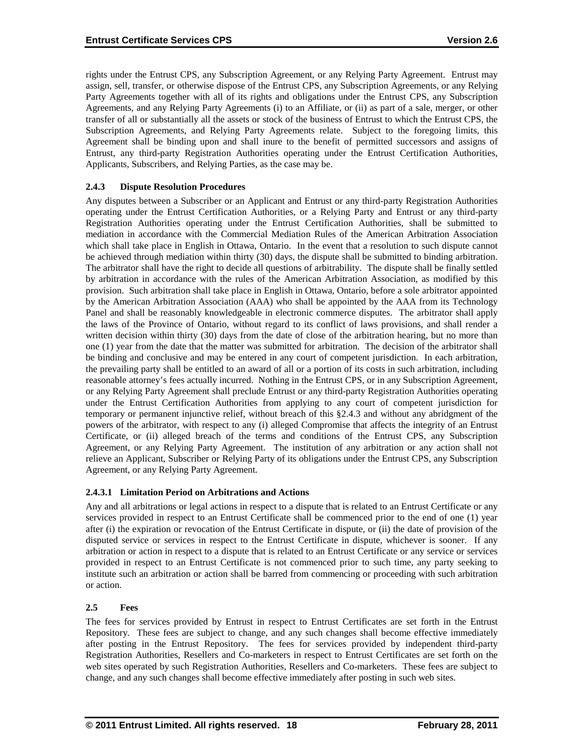rights under the Entrust CPS, any Subscription Agreement, or any Relying Party Agreement. Entrust may assign, sell, transfer, or otherwise dispose of the Entrust CPS, any Subscription Agreements, or any Relying Party Agreements together with all of its rights and obligations under the Entrust CPS, any Subscription Agreements, and any Relying Party Agreements (i) to an Affiliate, or (ii) as part of a sale, merger, or other transfer of all or substantially all the assets or stock of the business of Entrust to which the Entrust CPS, the Subscription Agreements, and Relying Party Agreements relate. Subject to the foregoing limits, this Agreement shall be binding upon and shall inure to the benefit of permitted successors and assigns of Entrust, any third-party Registration Authorities operating under the Entrust Certification Authorities, Applicants, Subscribers, and Relying Parties, as the case may be.

# **2.4.3 Dispute Resolution Procedures**

Any disputes between a Subscriber or an Applicant and Entrust or any third-party Registration Authorities operating under the Entrust Certification Authorities, or a Relying Party and Entrust or any third-party Registration Authorities operating under the Entrust Certification Authorities, shall be submitted to mediation in accordance with the Commercial Mediation Rules of the American Arbitration Association which shall take place in English in Ottawa, Ontario. In the event that a resolution to such dispute cannot be achieved through mediation within thirty (30) days, the dispute shall be submitted to binding arbitration. The arbitrator shall have the right to decide all questions of arbitrability. The dispute shall be finally settled by arbitration in accordance with the rules of the American Arbitration Association, as modified by this provision. Such arbitration shall take place in English in Ottawa, Ontario, before a sole arbitrator appointed by the American Arbitration Association (AAA) who shall be appointed by the AAA from its Technology Panel and shall be reasonably knowledgeable in electronic commerce disputes. The arbitrator shall apply the laws of the Province of Ontario, without regard to its conflict of laws provisions, and shall render a written decision within thirty (30) days from the date of close of the arbitration hearing, but no more than one (1) year from the date that the matter was submitted for arbitration. The decision of the arbitrator shall be binding and conclusive and may be entered in any court of competent jurisdiction. In each arbitration, the prevailing party shall be entitled to an award of all or a portion of its costs in such arbitration, including reasonable attorney's fees actually incurred. Nothing in the Entrust CPS, or in any Subscription Agreement, or any Relying Party Agreement shall preclude Entrust or any third-party Registration Authorities operating under the Entrust Certification Authorities from applying to any court of competent jurisdiction for temporary or permanent injunctive relief, without breach of this §2.4.3 and without any abridgment of the powers of the arbitrator, with respect to any (i) alleged Compromise that affects the integrity of an Entrust Certificate, or (ii) alleged breach of the terms and conditions of the Entrust CPS, any Subscription Agreement, or any Relying Party Agreement. The institution of any arbitration or any action shall not relieve an Applicant, Subscriber or Relying Party of its obligations under the Entrust CPS, any Subscription Agreement, or any Relying Party Agreement.

#### **2.4.3.1 Limitation Period on Arbitrations and Actions**

Any and all arbitrations or legal actions in respect to a dispute that is related to an Entrust Certificate or any services provided in respect to an Entrust Certificate shall be commenced prior to the end of one (1) year after (i) the expiration or revocation of the Entrust Certificate in dispute, or (ii) the date of provision of the disputed service or services in respect to the Entrust Certificate in dispute, whichever is sooner. If any arbitration or action in respect to a dispute that is related to an Entrust Certificate or any service or services provided in respect to an Entrust Certificate is not commenced prior to such time, any party seeking to institute such an arbitration or action shall be barred from commencing or proceeding with such arbitration or action.

#### **2.5 Fees**

The fees for services provided by Entrust in respect to Entrust Certificates are set forth in the Entrust Repository. These fees are subject to change, and any such changes shall become effective immediately after posting in the Entrust Repository. The fees for services provided by independent third-party Registration Authorities, Resellers and Co-marketers in respect to Entrust Certificates are set forth on the web sites operated by such Registration Authorities, Resellers and Co-marketers. These fees are subject to change, and any such changes shall become effective immediately after posting in such web sites.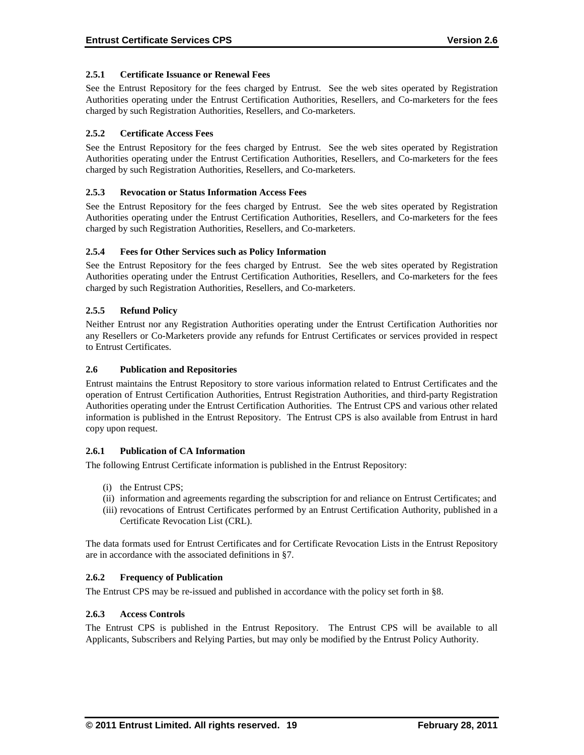# **2.5.1 Certificate Issuance or Renewal Fees**

See the Entrust Repository for the fees charged by Entrust. See the web sites operated by Registration Authorities operating under the Entrust Certification Authorities, Resellers, and Co-marketers for the fees charged by such Registration Authorities, Resellers, and Co-marketers.

# **2.5.2 Certificate Access Fees**

See the Entrust Repository for the fees charged by Entrust. See the web sites operated by Registration Authorities operating under the Entrust Certification Authorities, Resellers, and Co-marketers for the fees charged by such Registration Authorities, Resellers, and Co-marketers.

# **2.5.3 Revocation or Status Information Access Fees**

See the Entrust Repository for the fees charged by Entrust. See the web sites operated by Registration Authorities operating under the Entrust Certification Authorities, Resellers, and Co-marketers for the fees charged by such Registration Authorities, Resellers, and Co-marketers.

# **2.5.4 Fees for Other Services such as Policy Information**

See the Entrust Repository for the fees charged by Entrust. See the web sites operated by Registration Authorities operating under the Entrust Certification Authorities, Resellers, and Co-marketers for the fees charged by such Registration Authorities, Resellers, and Co-marketers.

# **2.5.5 Refund Policy**

Neither Entrust nor any Registration Authorities operating under the Entrust Certification Authorities nor any Resellers or Co-Marketers provide any refunds for Entrust Certificates or services provided in respect to Entrust Certificates.

# **2.6 Publication and Repositories**

Entrust maintains the Entrust Repository to store various information related to Entrust Certificates and the operation of Entrust Certification Authorities, Entrust Registration Authorities, and third-party Registration Authorities operating under the Entrust Certification Authorities. The Entrust CPS and various other related information is published in the Entrust Repository. The Entrust CPS is also available from Entrust in hard copy upon request.

#### **2.6.1 Publication of CA Information**

The following Entrust Certificate information is published in the Entrust Repository:

- (i) the Entrust CPS;
- (ii) information and agreements regarding the subscription for and reliance on Entrust Certificates; and
- (iii) revocations of Entrust Certificates performed by an Entrust Certification Authority, published in a Certificate Revocation List (CRL).

The data formats used for Entrust Certificates and for Certificate Revocation Lists in the Entrust Repository are in accordance with the associated definitions in §7.

#### **2.6.2 Frequency of Publication**

The Entrust CPS may be re-issued and published in accordance with the policy set forth in §8.

#### **2.6.3 Access Controls**

The Entrust CPS is published in the Entrust Repository. The Entrust CPS will be available to all Applicants, Subscribers and Relying Parties, but may only be modified by the Entrust Policy Authority.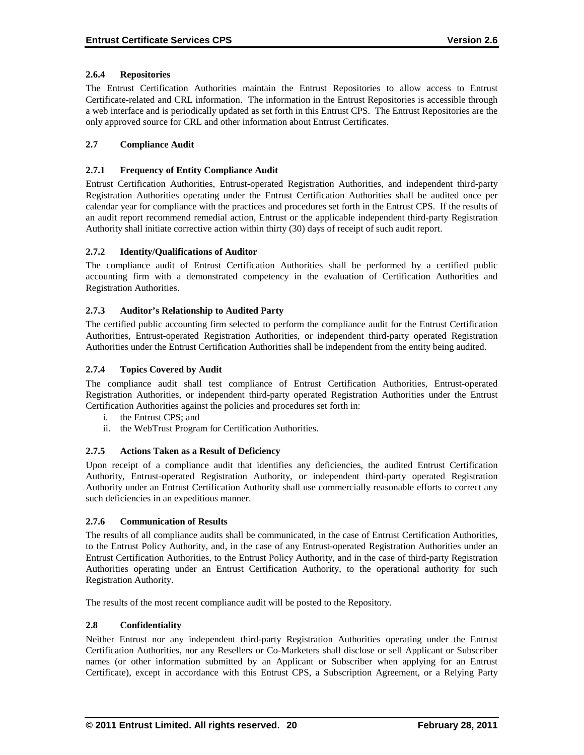# **2.6.4 Repositories**

The Entrust Certification Authorities maintain the Entrust Repositories to allow access to Entrust Certificate-related and CRL information. The information in the Entrust Repositories is accessible through a web interface and is periodically updated as set forth in this Entrust CPS. The Entrust Repositories are the only approved source for CRL and other information about Entrust Certificates.

# **2.7 Compliance Audit**

# **2.7.1 Frequency of Entity Compliance Audit**

Entrust Certification Authorities, Entrust-operated Registration Authorities, and independent third-party Registration Authorities operating under the Entrust Certification Authorities shall be audited once per calendar year for compliance with the practices and procedures set forth in the Entrust CPS. If the results of an audit report recommend remedial action, Entrust or the applicable independent third-party Registration Authority shall initiate corrective action within thirty (30) days of receipt of such audit report.

# **2.7.2 Identity/Qualifications of Auditor**

The compliance audit of Entrust Certification Authorities shall be performed by a certified public accounting firm with a demonstrated competency in the evaluation of Certification Authorities and Registration Authorities.

#### **2.7.3 Auditor's Relationship to Audited Party**

The certified public accounting firm selected to perform the compliance audit for the Entrust Certification Authorities, Entrust-operated Registration Authorities, or independent third-party operated Registration Authorities under the Entrust Certification Authorities shall be independent from the entity being audited.

# **2.7.4 Topics Covered by Audit**

The compliance audit shall test compliance of Entrust Certification Authorities, Entrust-operated Registration Authorities, or independent third-party operated Registration Authorities under the Entrust Certification Authorities against the policies and procedures set forth in:

- i. the Entrust CPS; and
- ii. the WebTrust Program for Certification Authorities.

#### **2.7.5 Actions Taken as a Result of Deficiency**

Upon receipt of a compliance audit that identifies any deficiencies, the audited Entrust Certification Authority, Entrust-operated Registration Authority, or independent third-party operated Registration Authority under an Entrust Certification Authority shall use commercially reasonable efforts to correct any such deficiencies in an expeditious manner.

#### **2.7.6 Communication of Results**

The results of all compliance audits shall be communicated, in the case of Entrust Certification Authorities, to the Entrust Policy Authority, and, in the case of any Entrust-operated Registration Authorities under an Entrust Certification Authorities, to the Entrust Policy Authority, and in the case of third-party Registration Authorities operating under an Entrust Certification Authority, to the operational authority for such Registration Authority.

The results of the most recent compliance audit will be posted to the Repository.

# **2.8 Confidentiality**

Neither Entrust nor any independent third-party Registration Authorities operating under the Entrust Certification Authorities, nor any Resellers or Co-Marketers shall disclose or sell Applicant or Subscriber names (or other information submitted by an Applicant or Subscriber when applying for an Entrust Certificate), except in accordance with this Entrust CPS, a Subscription Agreement, or a Relying Party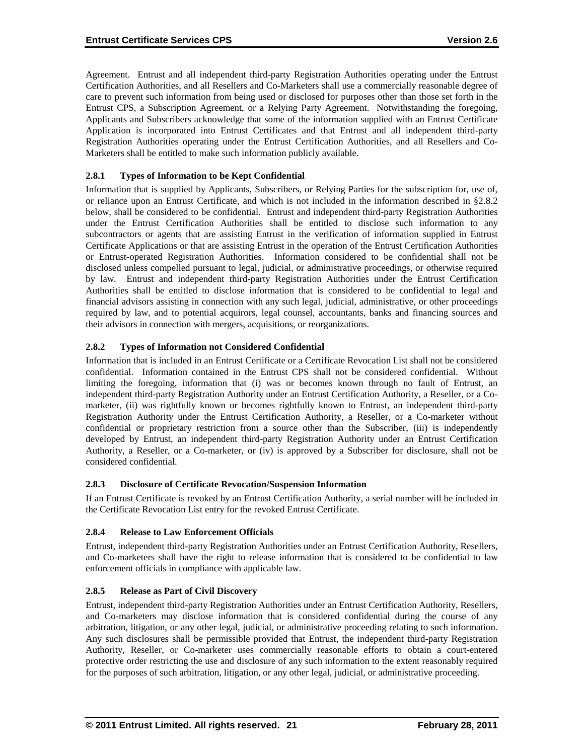Agreement. Entrust and all independent third-party Registration Authorities operating under the Entrust Certification Authorities, and all Resellers and Co-Marketers shall use a commercially reasonable degree of care to prevent such information from being used or disclosed for purposes other than those set forth in the Entrust CPS, a Subscription Agreement, or a Relying Party Agreement. Notwithstanding the foregoing, Applicants and Subscribers acknowledge that some of the information supplied with an Entrust Certificate Application is incorporated into Entrust Certificates and that Entrust and all independent third-party Registration Authorities operating under the Entrust Certification Authorities, and all Resellers and Co-Marketers shall be entitled to make such information publicly available.

# **2.8.1 Types of Information to be Kept Confidential**

Information that is supplied by Applicants, Subscribers, or Relying Parties for the subscription for, use of, or reliance upon an Entrust Certificate, and which is not included in the information described in §2.8.2 below, shall be considered to be confidential. Entrust and independent third-party Registration Authorities under the Entrust Certification Authorities shall be entitled to disclose such information to any subcontractors or agents that are assisting Entrust in the verification of information supplied in Entrust Certificate Applications or that are assisting Entrust in the operation of the Entrust Certification Authorities or Entrust-operated Registration Authorities. Information considered to be confidential shall not be disclosed unless compelled pursuant to legal, judicial, or administrative proceedings, or otherwise required by law. Entrust and independent third-party Registration Authorities under the Entrust Certification Authorities shall be entitled to disclose information that is considered to be confidential to legal and financial advisors assisting in connection with any such legal, judicial, administrative, or other proceedings required by law, and to potential acquirors, legal counsel, accountants, banks and financing sources and their advisors in connection with mergers, acquisitions, or reorganizations.

# **2.8.2 Types of Information not Considered Confidential**

Information that is included in an Entrust Certificate or a Certificate Revocation List shall not be considered confidential. Information contained in the Entrust CPS shall not be considered confidential. Without limiting the foregoing, information that (i) was or becomes known through no fault of Entrust, an independent third-party Registration Authority under an Entrust Certification Authority, a Reseller, or a Comarketer, (ii) was rightfully known or becomes rightfully known to Entrust, an independent third-party Registration Authority under the Entrust Certification Authority, a Reseller, or a Co-marketer without confidential or proprietary restriction from a source other than the Subscriber, (iii) is independently developed by Entrust, an independent third-party Registration Authority under an Entrust Certification Authority, a Reseller, or a Co-marketer, or (iv) is approved by a Subscriber for disclosure, shall not be considered confidential.

# **2.8.3 Disclosure of Certificate Revocation/Suspension Information**

If an Entrust Certificate is revoked by an Entrust Certification Authority, a serial number will be included in the Certificate Revocation List entry for the revoked Entrust Certificate.

# **2.8.4 Release to Law Enforcement Officials**

Entrust, independent third-party Registration Authorities under an Entrust Certification Authority, Resellers, and Co-marketers shall have the right to release information that is considered to be confidential to law enforcement officials in compliance with applicable law.

# **2.8.5 Release as Part of Civil Discovery**

Entrust, independent third-party Registration Authorities under an Entrust Certification Authority, Resellers, and Co-marketers may disclose information that is considered confidential during the course of any arbitration, litigation, or any other legal, judicial, or administrative proceeding relating to such information. Any such disclosures shall be permissible provided that Entrust, the independent third-party Registration Authority, Reseller, or Co-marketer uses commercially reasonable efforts to obtain a court-entered protective order restricting the use and disclosure of any such information to the extent reasonably required for the purposes of such arbitration, litigation, or any other legal, judicial, or administrative proceeding.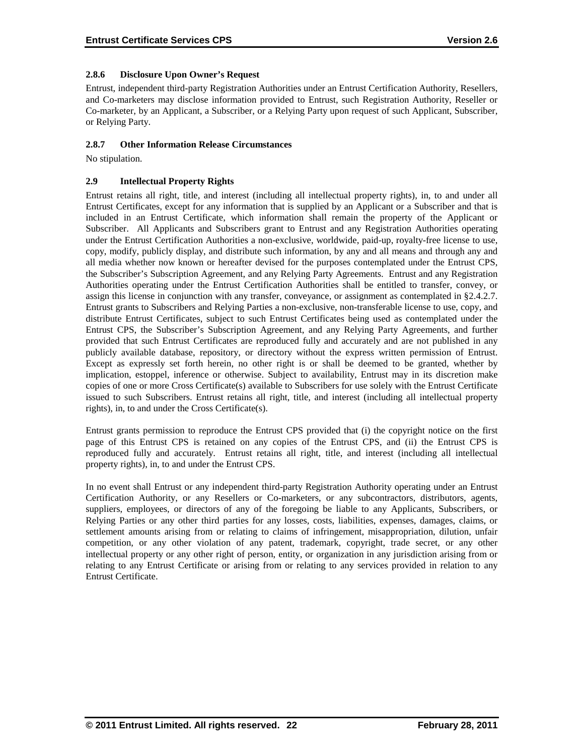# **2.8.6 Disclosure Upon Owner's Request**

Entrust, independent third-party Registration Authorities under an Entrust Certification Authority, Resellers, and Co-marketers may disclose information provided to Entrust, such Registration Authority, Reseller or Co-marketer, by an Applicant, a Subscriber, or a Relying Party upon request of such Applicant, Subscriber, or Relying Party.

# **2.8.7 Other Information Release Circumstances**

No stipulation.

# **2.9 Intellectual Property Rights**

Entrust retains all right, title, and interest (including all intellectual property rights), in, to and under all Entrust Certificates, except for any information that is supplied by an Applicant or a Subscriber and that is included in an Entrust Certificate, which information shall remain the property of the Applicant or Subscriber. All Applicants and Subscribers grant to Entrust and any Registration Authorities operating under the Entrust Certification Authorities a non-exclusive, worldwide, paid-up, royalty-free license to use, copy, modify, publicly display, and distribute such information, by any and all means and through any and all media whether now known or hereafter devised for the purposes contemplated under the Entrust CPS, the Subscriber's Subscription Agreement, and any Relying Party Agreements. Entrust and any Registration Authorities operating under the Entrust Certification Authorities shall be entitled to transfer, convey, or assign this license in conjunction with any transfer, conveyance, or assignment as contemplated in §2.4.2.7. Entrust grants to Subscribers and Relying Parties a non-exclusive, non-transferable license to use, copy, and distribute Entrust Certificates, subject to such Entrust Certificates being used as contemplated under the Entrust CPS, the Subscriber's Subscription Agreement, and any Relying Party Agreements, and further provided that such Entrust Certificates are reproduced fully and accurately and are not published in any publicly available database, repository, or directory without the express written permission of Entrust. Except as expressly set forth herein, no other right is or shall be deemed to be granted, whether by implication, estoppel, inference or otherwise. Subject to availability, Entrust may in its discretion make copies of one or more Cross Certificate(s) available to Subscribers for use solely with the Entrust Certificate issued to such Subscribers. Entrust retains all right, title, and interest (including all intellectual property rights), in, to and under the Cross Certificate(s).

Entrust grants permission to reproduce the Entrust CPS provided that (i) the copyright notice on the first page of this Entrust CPS is retained on any copies of the Entrust CPS, and (ii) the Entrust CPS is reproduced fully and accurately. Entrust retains all right, title, and interest (including all intellectual property rights), in, to and under the Entrust CPS.

In no event shall Entrust or any independent third-party Registration Authority operating under an Entrust Certification Authority, or any Resellers or Co-marketers, or any subcontractors, distributors, agents, suppliers, employees, or directors of any of the foregoing be liable to any Applicants, Subscribers, or Relying Parties or any other third parties for any losses, costs, liabilities, expenses, damages, claims, or settlement amounts arising from or relating to claims of infringement, misappropriation, dilution, unfair competition, or any other violation of any patent, trademark, copyright, trade secret, or any other intellectual property or any other right of person, entity, or organization in any jurisdiction arising from or relating to any Entrust Certificate or arising from or relating to any services provided in relation to any Entrust Certificate.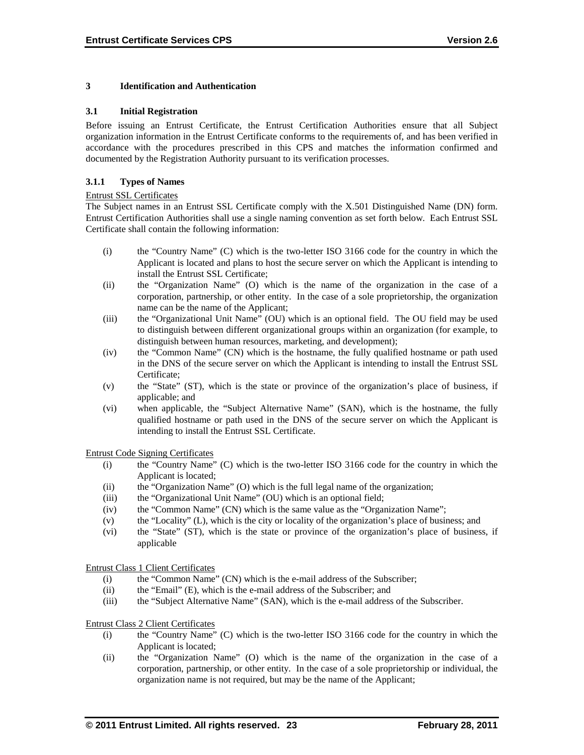#### **3 Identification and Authentication**

#### **3.1 Initial Registration**

Before issuing an Entrust Certificate, the Entrust Certification Authorities ensure that all Subject organization information in the Entrust Certificate conforms to the requirements of, and has been verified in accordance with the procedures prescribed in this CPS and matches the information confirmed and documented by the Registration Authority pursuant to its verification processes.

#### **3.1.1 Types of Names**

#### Entrust SSL Certificates

The Subject names in an Entrust SSL Certificate comply with the X.501 Distinguished Name (DN) form. Entrust Certification Authorities shall use a single naming convention as set forth below. Each Entrust SSL Certificate shall contain the following information:

- (i) the "Country Name" (C) which is the two-letter ISO 3166 code for the country in which the Applicant is located and plans to host the secure server on which the Applicant is intending to install the Entrust SSL Certificate;
- (ii) the "Organization Name" (O) which is the name of the organization in the case of a corporation, partnership, or other entity. In the case of a sole proprietorship, the organization name can be the name of the Applicant;
- (iii) the "Organizational Unit Name" (OU) which is an optional field. The OU field may be used to distinguish between different organizational groups within an organization (for example, to distinguish between human resources, marketing, and development);
- (iv) the "Common Name" (CN) which is the hostname, the fully qualified hostname or path used in the DNS of the secure server on which the Applicant is intending to install the Entrust SSL Certificate;
- (v) the "State" (ST), which is the state or province of the organization's place of business, if applicable; and
- (vi) when applicable, the "Subject Alternative Name" (SAN), which is the hostname, the fully qualified hostname or path used in the DNS of the secure server on which the Applicant is intending to install the Entrust SSL Certificate.

Entrust Code Signing Certificates

- (i) the "Country Name" (C) which is the two-letter ISO 3166 code for the country in which the Applicant is located;
- (ii) the "Organization Name" (O) which is the full legal name of the organization;
- (iii) the "Organizational Unit Name" (OU) which is an optional field;
- (iv) the "Common Name" (CN) which is the same value as the "Organization Name";
- (v) the "Locality" (L), which is the city or locality of the organization's place of business; and
- (vi) the "State" (ST), which is the state or province of the organization's place of business, if applicable

Entrust Class 1 Client Certificates

- (i) the "Common Name" (CN) which is the e-mail address of the Subscriber;
- (ii) the "Email" (E), which is the e-mail address of the Subscriber; and
- (iii) the "Subject Alternative Name" (SAN), which is the e-mail address of the Subscriber.

#### Entrust Class 2 Client Certificates

- (i) the "Country Name" (C) which is the two-letter ISO 3166 code for the country in which the Applicant is located;
- (ii) the "Organization Name" (O) which is the name of the organization in the case of a corporation, partnership, or other entity. In the case of a sole proprietorship or individual, the organization name is not required, but may be the name of the Applicant;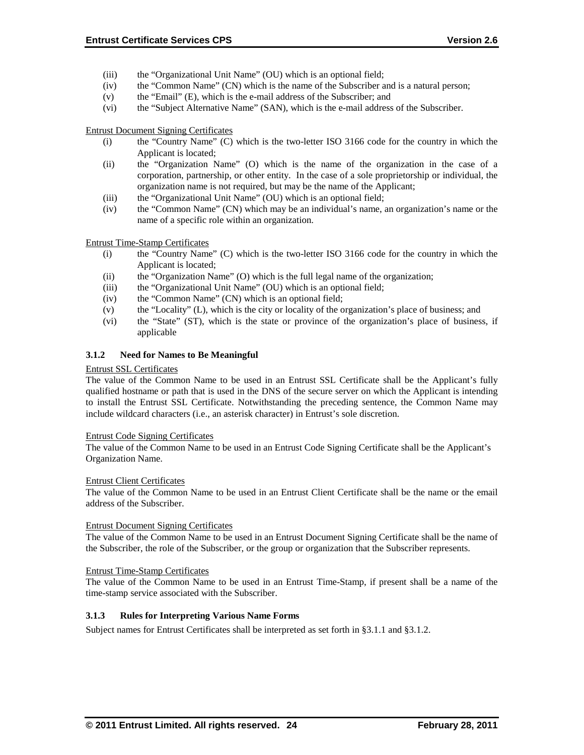- (iii) the "Organizational Unit Name" (OU) which is an optional field;
- (iv) the "Common Name" (CN) which is the name of the Subscriber and is a natural person;
- (v) the "Email" (E), which is the e-mail address of the Subscriber; and
- (vi) the "Subject Alternative Name" (SAN), which is the e-mail address of the Subscriber.

Entrust Document Signing Certificates

- (i) the "Country Name" (C) which is the two-letter ISO 3166 code for the country in which the Applicant is located;
- (ii) the "Organization Name" (O) which is the name of the organization in the case of a corporation, partnership, or other entity. In the case of a sole proprietorship or individual, the organization name is not required, but may be the name of the Applicant;
- (iii) the "Organizational Unit Name" (OU) which is an optional field;
- (iv) the "Common Name" (CN) which may be an individual's name, an organization's name or the name of a specific role within an organization.

Entrust Time-Stamp Certificates

- (i) the "Country Name" (C) which is the two-letter ISO 3166 code for the country in which the Applicant is located;
- (ii) the "Organization Name" (O) which is the full legal name of the organization;
- (iii) the "Organizational Unit Name" (OU) which is an optional field;
- (iv) the "Common Name" (CN) which is an optional field;
- (v) the "Locality" (L), which is the city or locality of the organization's place of business; and
- (vi) the "State" (ST), which is the state or province of the organization's place of business, if applicable

#### **3.1.2 Need for Names to Be Meaningful**

#### Entrust SSL Certificates

The value of the Common Name to be used in an Entrust SSL Certificate shall be the Applicant's fully qualified hostname or path that is used in the DNS of the secure server on which the Applicant is intending to install the Entrust SSL Certificate. Notwithstanding the preceding sentence, the Common Name may include wildcard characters (i.e., an asterisk character) in Entrust's sole discretion.

#### Entrust Code Signing Certificates

The value of the Common Name to be used in an Entrust Code Signing Certificate shall be the Applicant's Organization Name.

#### Entrust Client Certificates

The value of the Common Name to be used in an Entrust Client Certificate shall be the name or the email address of the Subscriber.

#### Entrust Document Signing Certificates

The value of the Common Name to be used in an Entrust Document Signing Certificate shall be the name of the Subscriber, the role of the Subscriber, or the group or organization that the Subscriber represents.

#### Entrust Time-Stamp Certificates

The value of the Common Name to be used in an Entrust Time-Stamp, if present shall be a name of the time-stamp service associated with the Subscriber.

#### **3.1.3 Rules for Interpreting Various Name Forms**

Subject names for Entrust Certificates shall be interpreted as set forth in §3.1.1 and §3.1.2.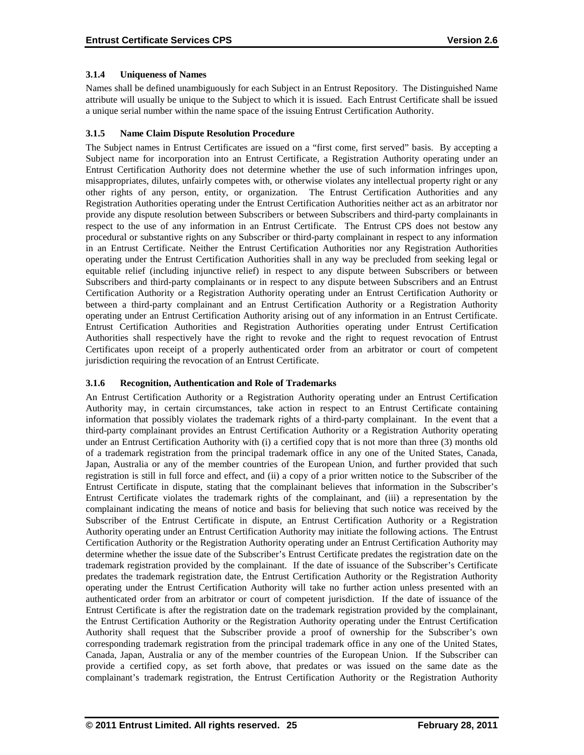# **3.1.4 Uniqueness of Names**

Names shall be defined unambiguously for each Subject in an Entrust Repository. The Distinguished Name attribute will usually be unique to the Subject to which it is issued. Each Entrust Certificate shall be issued a unique serial number within the name space of the issuing Entrust Certification Authority.

# **3.1.5 Name Claim Dispute Resolution Procedure**

The Subject names in Entrust Certificates are issued on a "first come, first served" basis. By accepting a Subject name for incorporation into an Entrust Certificate, a Registration Authority operating under an Entrust Certification Authority does not determine whether the use of such information infringes upon, misappropriates, dilutes, unfairly competes with, or otherwise violates any intellectual property right or any other rights of any person, entity, or organization. The Entrust Certification Authorities and any Registration Authorities operating under the Entrust Certification Authorities neither act as an arbitrator nor provide any dispute resolution between Subscribers or between Subscribers and third-party complainants in respect to the use of any information in an Entrust Certificate. The Entrust CPS does not bestow any procedural or substantive rights on any Subscriber or third-party complainant in respect to any information in an Entrust Certificate. Neither the Entrust Certification Authorities nor any Registration Authorities operating under the Entrust Certification Authorities shall in any way be precluded from seeking legal or equitable relief (including injunctive relief) in respect to any dispute between Subscribers or between Subscribers and third-party complainants or in respect to any dispute between Subscribers and an Entrust Certification Authority or a Registration Authority operating under an Entrust Certification Authority or between a third-party complainant and an Entrust Certification Authority or a Registration Authority operating under an Entrust Certification Authority arising out of any information in an Entrust Certificate. Entrust Certification Authorities and Registration Authorities operating under Entrust Certification Authorities shall respectively have the right to revoke and the right to request revocation of Entrust Certificates upon receipt of a properly authenticated order from an arbitrator or court of competent jurisdiction requiring the revocation of an Entrust Certificate.

# **3.1.6 Recognition, Authentication and Role of Trademarks**

An Entrust Certification Authority or a Registration Authority operating under an Entrust Certification Authority may, in certain circumstances, take action in respect to an Entrust Certificate containing information that possibly violates the trademark rights of a third-party complainant. In the event that a third-party complainant provides an Entrust Certification Authority or a Registration Authority operating under an Entrust Certification Authority with (i) a certified copy that is not more than three (3) months old of a trademark registration from the principal trademark office in any one of the United States, Canada, Japan, Australia or any of the member countries of the European Union, and further provided that such registration is still in full force and effect, and (ii) a copy of a prior written notice to the Subscriber of the Entrust Certificate in dispute, stating that the complainant believes that information in the Subscriber's Entrust Certificate violates the trademark rights of the complainant, and (iii) a representation by the complainant indicating the means of notice and basis for believing that such notice was received by the Subscriber of the Entrust Certificate in dispute, an Entrust Certification Authority or a Registration Authority operating under an Entrust Certification Authority may initiate the following actions. The Entrust Certification Authority or the Registration Authority operating under an Entrust Certification Authority may determine whether the issue date of the Subscriber's Entrust Certificate predates the registration date on the trademark registration provided by the complainant. If the date of issuance of the Subscriber's Certificate predates the trademark registration date, the Entrust Certification Authority or the Registration Authority operating under the Entrust Certification Authority will take no further action unless presented with an authenticated order from an arbitrator or court of competent jurisdiction. If the date of issuance of the Entrust Certificate is after the registration date on the trademark registration provided by the complainant, the Entrust Certification Authority or the Registration Authority operating under the Entrust Certification Authority shall request that the Subscriber provide a proof of ownership for the Subscriber's own corresponding trademark registration from the principal trademark office in any one of the United States, Canada, Japan, Australia or any of the member countries of the European Union. If the Subscriber can provide a certified copy, as set forth above, that predates or was issued on the same date as the complainant's trademark registration, the Entrust Certification Authority or the Registration Authority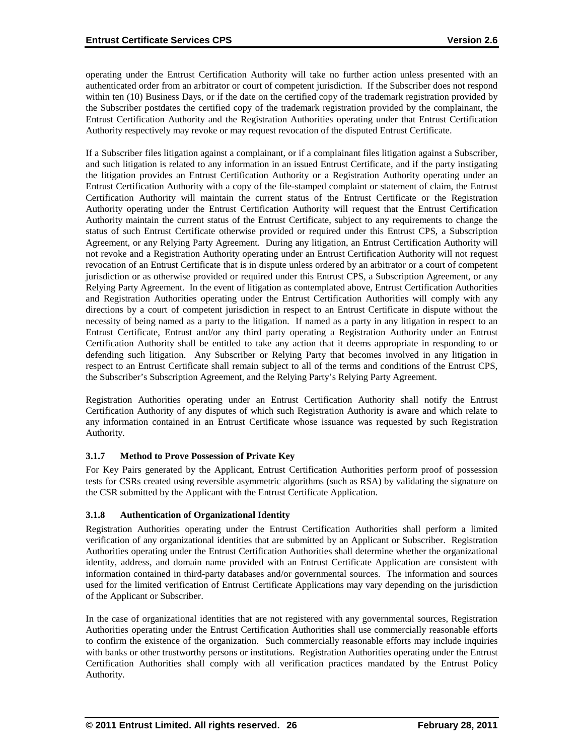operating under the Entrust Certification Authority will take no further action unless presented with an authenticated order from an arbitrator or court of competent jurisdiction. If the Subscriber does not respond within ten (10) Business Days, or if the date on the certified copy of the trademark registration provided by the Subscriber postdates the certified copy of the trademark registration provided by the complainant, the Entrust Certification Authority and the Registration Authorities operating under that Entrust Certification Authority respectively may revoke or may request revocation of the disputed Entrust Certificate.

If a Subscriber files litigation against a complainant, or if a complainant files litigation against a Subscriber, and such litigation is related to any information in an issued Entrust Certificate, and if the party instigating the litigation provides an Entrust Certification Authority or a Registration Authority operating under an Entrust Certification Authority with a copy of the file-stamped complaint or statement of claim, the Entrust Certification Authority will maintain the current status of the Entrust Certificate or the Registration Authority operating under the Entrust Certification Authority will request that the Entrust Certification Authority maintain the current status of the Entrust Certificate, subject to any requirements to change the status of such Entrust Certificate otherwise provided or required under this Entrust CPS, a Subscription Agreement, or any Relying Party Agreement. During any litigation, an Entrust Certification Authority will not revoke and a Registration Authority operating under an Entrust Certification Authority will not request revocation of an Entrust Certificate that is in dispute unless ordered by an arbitrator or a court of competent jurisdiction or as otherwise provided or required under this Entrust CPS, a Subscription Agreement, or any Relying Party Agreement. In the event of litigation as contemplated above, Entrust Certification Authorities and Registration Authorities operating under the Entrust Certification Authorities will comply with any directions by a court of competent jurisdiction in respect to an Entrust Certificate in dispute without the necessity of being named as a party to the litigation. If named as a party in any litigation in respect to an Entrust Certificate, Entrust and/or any third party operating a Registration Authority under an Entrust Certification Authority shall be entitled to take any action that it deems appropriate in responding to or defending such litigation. Any Subscriber or Relying Party that becomes involved in any litigation in respect to an Entrust Certificate shall remain subject to all of the terms and conditions of the Entrust CPS, the Subscriber's Subscription Agreement, and the Relying Party's Relying Party Agreement.

Registration Authorities operating under an Entrust Certification Authority shall notify the Entrust Certification Authority of any disputes of which such Registration Authority is aware and which relate to any information contained in an Entrust Certificate whose issuance was requested by such Registration Authority.

# **3.1.7 Method to Prove Possession of Private Key**

For Key Pairs generated by the Applicant, Entrust Certification Authorities perform proof of possession tests for CSRs created using reversible asymmetric algorithms (such as RSA) by validating the signature on the CSR submitted by the Applicant with the Entrust Certificate Application.

#### **3.1.8 Authentication of Organizational Identity**

Registration Authorities operating under the Entrust Certification Authorities shall perform a limited verification of any organizational identities that are submitted by an Applicant or Subscriber. Registration Authorities operating under the Entrust Certification Authorities shall determine whether the organizational identity, address, and domain name provided with an Entrust Certificate Application are consistent with information contained in third-party databases and/or governmental sources. The information and sources used for the limited verification of Entrust Certificate Applications may vary depending on the jurisdiction of the Applicant or Subscriber.

In the case of organizational identities that are not registered with any governmental sources, Registration Authorities operating under the Entrust Certification Authorities shall use commercially reasonable efforts to confirm the existence of the organization. Such commercially reasonable efforts may include inquiries with banks or other trustworthy persons or institutions. Registration Authorities operating under the Entrust Certification Authorities shall comply with all verification practices mandated by the Entrust Policy Authority.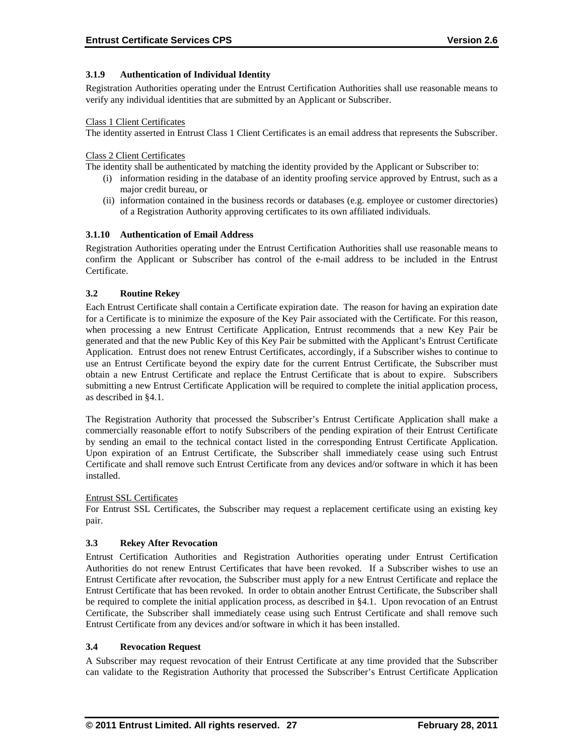# **3.1.9 Authentication of Individual Identity**

Registration Authorities operating under the Entrust Certification Authorities shall use reasonable means to verify any individual identities that are submitted by an Applicant or Subscriber.

#### Class 1 Client Certificates

The identity asserted in Entrust Class 1 Client Certificates is an email address that represents the Subscriber.

#### Class 2 Client Certificates

The identity shall be authenticated by matching the identity provided by the Applicant or Subscriber to:

- (i) information residing in the database of an identity proofing service approved by Entrust, such as a major credit bureau, or
- (ii) information contained in the business records or databases (e.g. employee or customer directories) of a Registration Authority approving certificates to its own affiliated individuals.

#### **3.1.10 Authentication of Email Address**

Registration Authorities operating under the Entrust Certification Authorities shall use reasonable means to confirm the Applicant or Subscriber has control of the e-mail address to be included in the Entrust Certificate.

#### **3.2 Routine Rekey**

Each Entrust Certificate shall contain a Certificate expiration date. The reason for having an expiration date for a Certificate is to minimize the exposure of the Key Pair associated with the Certificate. For this reason, when processing a new Entrust Certificate Application, Entrust recommends that a new Key Pair be generated and that the new Public Key of this Key Pair be submitted with the Applicant's Entrust Certificate Application. Entrust does not renew Entrust Certificates, accordingly, if a Subscriber wishes to continue to use an Entrust Certificate beyond the expiry date for the current Entrust Certificate, the Subscriber must obtain a new Entrust Certificate and replace the Entrust Certificate that is about to expire. Subscribers submitting a new Entrust Certificate Application will be required to complete the initial application process, as described in §4.1.

The Registration Authority that processed the Subscriber's Entrust Certificate Application shall make a commercially reasonable effort to notify Subscribers of the pending expiration of their Entrust Certificate by sending an email to the technical contact listed in the corresponding Entrust Certificate Application. Upon expiration of an Entrust Certificate, the Subscriber shall immediately cease using such Entrust Certificate and shall remove such Entrust Certificate from any devices and/or software in which it has been installed.

#### Entrust SSL Certificates

For Entrust SSL Certificates, the Subscriber may request a replacement certificate using an existing key pair.

#### **3.3 Rekey After Revocation**

Entrust Certification Authorities and Registration Authorities operating under Entrust Certification Authorities do not renew Entrust Certificates that have been revoked. If a Subscriber wishes to use an Entrust Certificate after revocation, the Subscriber must apply for a new Entrust Certificate and replace the Entrust Certificate that has been revoked. In order to obtain another Entrust Certificate, the Subscriber shall be required to complete the initial application process, as described in §4.1. Upon revocation of an Entrust Certificate, the Subscriber shall immediately cease using such Entrust Certificate and shall remove such Entrust Certificate from any devices and/or software in which it has been installed.

#### **3.4 Revocation Request**

A Subscriber may request revocation of their Entrust Certificate at any time provided that the Subscriber can validate to the Registration Authority that processed the Subscriber's Entrust Certificate Application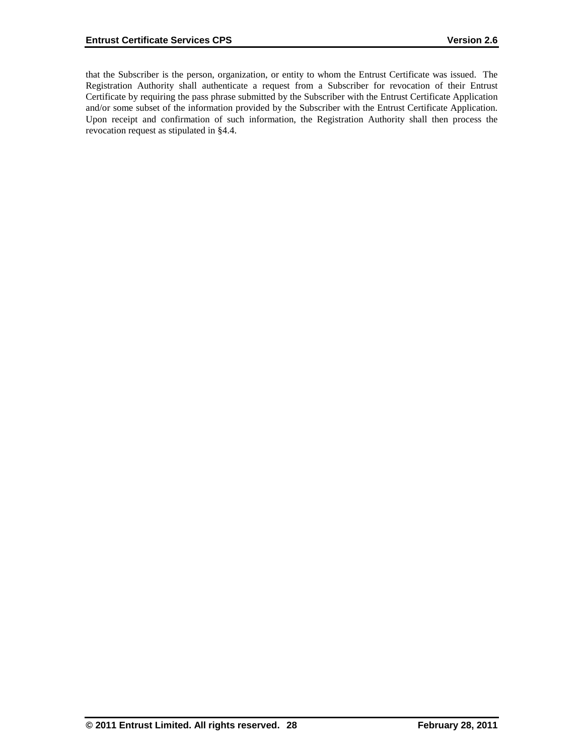that the Subscriber is the person, organization, or entity to whom the Entrust Certificate was issued. The Registration Authority shall authenticate a request from a Subscriber for revocation of their Entrust Certificate by requiring the pass phrase submitted by the Subscriber with the Entrust Certificate Application and/or some subset of the information provided by the Subscriber with the Entrust Certificate Application. Upon receipt and confirmation of such information, the Registration Authority shall then process the revocation request as stipulated in §4.4.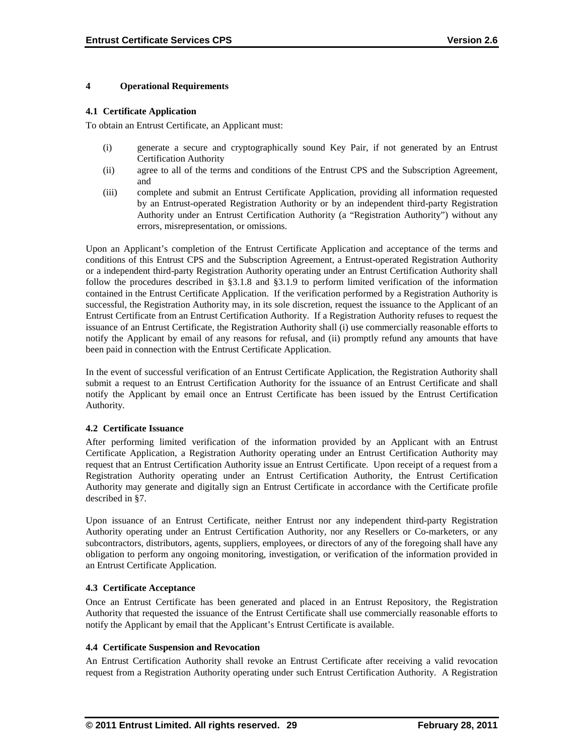#### **4 Operational Requirements**

#### **4.1 Certificate Application**

To obtain an Entrust Certificate, an Applicant must:

- (i) generate a secure and cryptographically sound Key Pair, if not generated by an Entrust Certification Authority
- (ii) agree to all of the terms and conditions of the Entrust CPS and the Subscription Agreement, and
- (iii) complete and submit an Entrust Certificate Application, providing all information requested by an Entrust-operated Registration Authority or by an independent third-party Registration Authority under an Entrust Certification Authority (a "Registration Authority") without any errors, misrepresentation, or omissions.

Upon an Applicant's completion of the Entrust Certificate Application and acceptance of the terms and conditions of this Entrust CPS and the Subscription Agreement, a Entrust-operated Registration Authority or a independent third-party Registration Authority operating under an Entrust Certification Authority shall follow the procedures described in §3.1.8 and §3.1.9 to perform limited verification of the information contained in the Entrust Certificate Application. If the verification performed by a Registration Authority is successful, the Registration Authority may, in its sole discretion, request the issuance to the Applicant of an Entrust Certificate from an Entrust Certification Authority. If a Registration Authority refuses to request the issuance of an Entrust Certificate, the Registration Authority shall (i) use commercially reasonable efforts to notify the Applicant by email of any reasons for refusal, and (ii) promptly refund any amounts that have been paid in connection with the Entrust Certificate Application.

In the event of successful verification of an Entrust Certificate Application, the Registration Authority shall submit a request to an Entrust Certification Authority for the issuance of an Entrust Certificate and shall notify the Applicant by email once an Entrust Certificate has been issued by the Entrust Certification Authority.

#### **4.2 Certificate Issuance**

After performing limited verification of the information provided by an Applicant with an Entrust Certificate Application, a Registration Authority operating under an Entrust Certification Authority may request that an Entrust Certification Authority issue an Entrust Certificate. Upon receipt of a request from a Registration Authority operating under an Entrust Certification Authority, the Entrust Certification Authority may generate and digitally sign an Entrust Certificate in accordance with the Certificate profile described in §7.

Upon issuance of an Entrust Certificate, neither Entrust nor any independent third-party Registration Authority operating under an Entrust Certification Authority, nor any Resellers or Co-marketers, or any subcontractors, distributors, agents, suppliers, employees, or directors of any of the foregoing shall have any obligation to perform any ongoing monitoring, investigation, or verification of the information provided in an Entrust Certificate Application.

#### **4.3 Certificate Acceptance**

Once an Entrust Certificate has been generated and placed in an Entrust Repository, the Registration Authority that requested the issuance of the Entrust Certificate shall use commercially reasonable efforts to notify the Applicant by email that the Applicant's Entrust Certificate is available.

#### **4.4 Certificate Suspension and Revocation**

An Entrust Certification Authority shall revoke an Entrust Certificate after receiving a valid revocation request from a Registration Authority operating under such Entrust Certification Authority. A Registration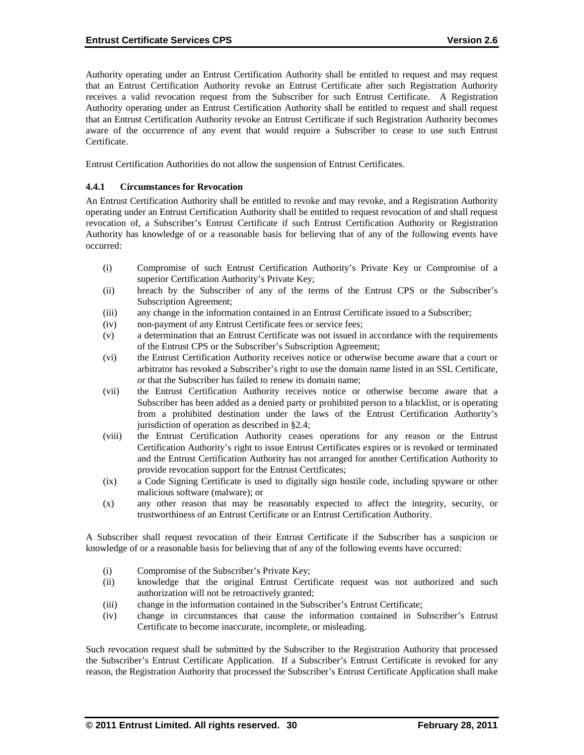Authority operating under an Entrust Certification Authority shall be entitled to request and may request that an Entrust Certification Authority revoke an Entrust Certificate after such Registration Authority receives a valid revocation request from the Subscriber for such Entrust Certificate. A Registration Authority operating under an Entrust Certification Authority shall be entitled to request and shall request that an Entrust Certification Authority revoke an Entrust Certificate if such Registration Authority becomes aware of the occurrence of any event that would require a Subscriber to cease to use such Entrust Certificate.

Entrust Certification Authorities do not allow the suspension of Entrust Certificates.

#### **4.4.1 Circumstances for Revocation**

An Entrust Certification Authority shall be entitled to revoke and may revoke, and a Registration Authority operating under an Entrust Certification Authority shall be entitled to request revocation of and shall request revocation of, a Subscriber's Entrust Certificate if such Entrust Certification Authority or Registration Authority has knowledge of or a reasonable basis for believing that of any of the following events have occurred:

- (i) Compromise of such Entrust Certification Authority's Private Key or Compromise of a superior Certification Authority's Private Key;
- (ii) breach by the Subscriber of any of the terms of the Entrust CPS or the Subscriber's Subscription Agreement;
- (iii) any change in the information contained in an Entrust Certificate issued to a Subscriber;
- (iv) non-payment of any Entrust Certificate fees or service fees;
- (v) a determination that an Entrust Certificate was not issued in accordance with the requirements of the Entrust CPS or the Subscriber's Subscription Agreement;
- (vi) the Entrust Certification Authority receives notice or otherwise become aware that a court or arbitrator has revoked a Subscriber's right to use the domain name listed in an SSL Certificate, or that the Subscriber has failed to renew its domain name;
- (vii) the Entrust Certification Authority receives notice or otherwise become aware that a Subscriber has been added as a denied party or prohibited person to a blacklist, or is operating from a prohibited destination under the laws of the Entrust Certification Authority's jurisdiction of operation as described in §2.4;
- (viii) the Entrust Certification Authority ceases operations for any reason or the Entrust Certification Authority's right to issue Entrust Certificates expires or is revoked or terminated and the Entrust Certification Authority has not arranged for another Certification Authority to provide revocation support for the Entrust Certificates;
- (ix) a Code Signing Certificate is used to digitally sign hostile code, including spyware or other malicious software (malware); or
- (x) any other reason that may be reasonably expected to affect the integrity, security, or trustworthiness of an Entrust Certificate or an Entrust Certification Authority.

A Subscriber shall request revocation of their Entrust Certificate if the Subscriber has a suspicion or knowledge of or a reasonable basis for believing that of any of the following events have occurred:

- (i) Compromise of the Subscriber's Private Key;
- (ii) knowledge that the original Entrust Certificate request was not authorized and such authorization will not be retroactively granted;
- (iii) change in the information contained in the Subscriber's Entrust Certificate;
- (iv) change in circumstances that cause the information contained in Subscriber's Entrust Certificate to become inaccurate, incomplete, or misleading.

Such revocation request shall be submitted by the Subscriber to the Registration Authority that processed the Subscriber's Entrust Certificate Application. If a Subscriber's Entrust Certificate is revoked for any reason, the Registration Authority that processed the Subscriber's Entrust Certificate Application shall make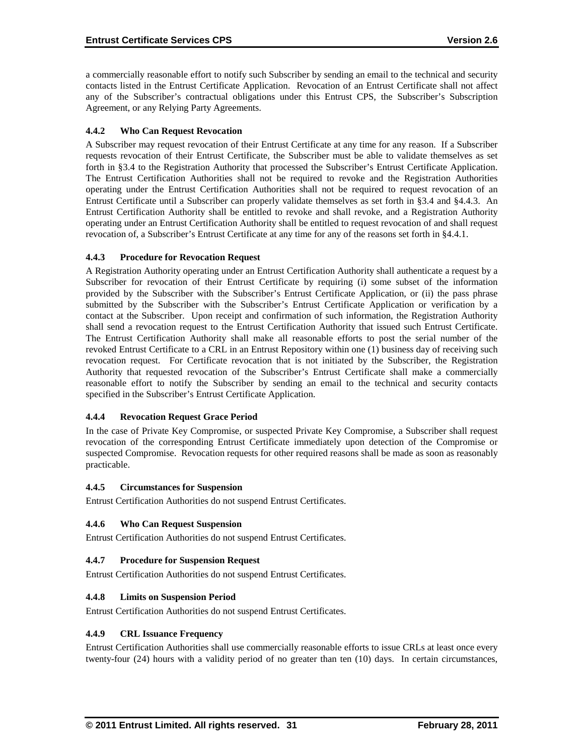a commercially reasonable effort to notify such Subscriber by sending an email to the technical and security contacts listed in the Entrust Certificate Application. Revocation of an Entrust Certificate shall not affect any of the Subscriber's contractual obligations under this Entrust CPS, the Subscriber's Subscription Agreement, or any Relying Party Agreements.

# **4.4.2 Who Can Request Revocation**

A Subscriber may request revocation of their Entrust Certificate at any time for any reason. If a Subscriber requests revocation of their Entrust Certificate, the Subscriber must be able to validate themselves as set forth in §3.4 to the Registration Authority that processed the Subscriber's Entrust Certificate Application. The Entrust Certification Authorities shall not be required to revoke and the Registration Authorities operating under the Entrust Certification Authorities shall not be required to request revocation of an Entrust Certificate until a Subscriber can properly validate themselves as set forth in §3.4 and §4.4.3. An Entrust Certification Authority shall be entitled to revoke and shall revoke, and a Registration Authority operating under an Entrust Certification Authority shall be entitled to request revocation of and shall request revocation of, a Subscriber's Entrust Certificate at any time for any of the reasons set forth in §4.4.1.

# **4.4.3 Procedure for Revocation Request**

A Registration Authority operating under an Entrust Certification Authority shall authenticate a request by a Subscriber for revocation of their Entrust Certificate by requiring (i) some subset of the information provided by the Subscriber with the Subscriber's Entrust Certificate Application, or (ii) the pass phrase submitted by the Subscriber with the Subscriber's Entrust Certificate Application or verification by a contact at the Subscriber. Upon receipt and confirmation of such information, the Registration Authority shall send a revocation request to the Entrust Certification Authority that issued such Entrust Certificate. The Entrust Certification Authority shall make all reasonable efforts to post the serial number of the revoked Entrust Certificate to a CRL in an Entrust Repository within one (1) business day of receiving such revocation request. For Certificate revocation that is not initiated by the Subscriber, the Registration Authority that requested revocation of the Subscriber's Entrust Certificate shall make a commercially reasonable effort to notify the Subscriber by sending an email to the technical and security contacts specified in the Subscriber's Entrust Certificate Application.

# **4.4.4 Revocation Request Grace Period**

In the case of Private Key Compromise, or suspected Private Key Compromise, a Subscriber shall request revocation of the corresponding Entrust Certificate immediately upon detection of the Compromise or suspected Compromise. Revocation requests for other required reasons shall be made as soon as reasonably practicable.

# **4.4.5 Circumstances for Suspension**

Entrust Certification Authorities do not suspend Entrust Certificates.

#### **4.4.6 Who Can Request Suspension**

Entrust Certification Authorities do not suspend Entrust Certificates.

#### **4.4.7 Procedure for Suspension Request**

Entrust Certification Authorities do not suspend Entrust Certificates.

#### **4.4.8 Limits on Suspension Period**

Entrust Certification Authorities do not suspend Entrust Certificates.

#### **4.4.9 CRL Issuance Frequency**

Entrust Certification Authorities shall use commercially reasonable efforts to issue CRLs at least once every twenty-four (24) hours with a validity period of no greater than ten (10) days. In certain circumstances,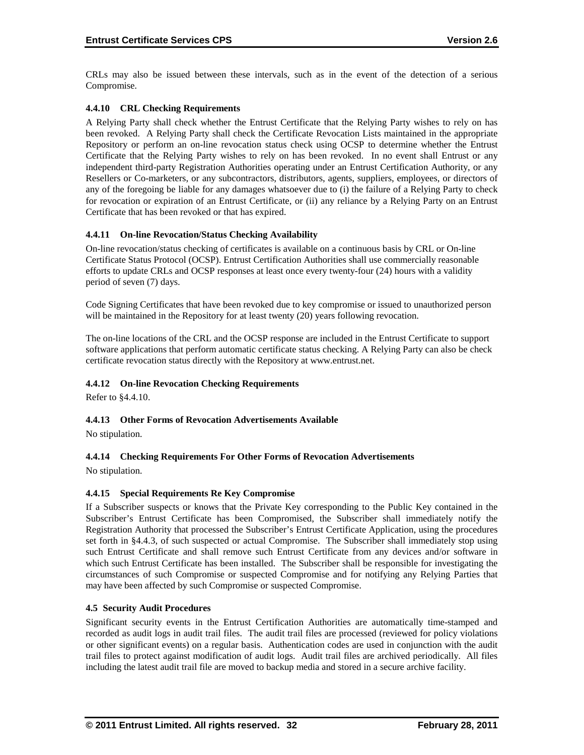CRLs may also be issued between these intervals, such as in the event of the detection of a serious Compromise.

# **4.4.10 CRL Checking Requirements**

A Relying Party shall check whether the Entrust Certificate that the Relying Party wishes to rely on has been revoked. A Relying Party shall check the Certificate Revocation Lists maintained in the appropriate Repository or perform an on-line revocation status check using OCSP to determine whether the Entrust Certificate that the Relying Party wishes to rely on has been revoked. In no event shall Entrust or any independent third-party Registration Authorities operating under an Entrust Certification Authority, or any Resellers or Co-marketers, or any subcontractors, distributors, agents, suppliers, employees, or directors of any of the foregoing be liable for any damages whatsoever due to (i) the failure of a Relying Party to check for revocation or expiration of an Entrust Certificate, or (ii) any reliance by a Relying Party on an Entrust Certificate that has been revoked or that has expired.

# **4.4.11 On-line Revocation/Status Checking Availability**

On-line revocation/status checking of certificates is available on a continuous basis by CRL or On-line Certificate Status Protocol (OCSP). Entrust Certification Authorities shall use commercially reasonable efforts to update CRLs and OCSP responses at least once every twenty-four (24) hours with a validity period of seven (7) days.

Code Signing Certificates that have been revoked due to key compromise or issued to unauthorized person will be maintained in the Repository for at least twenty (20) years following revocation.

The on-line locations of the CRL and the OCSP response are included in the Entrust Certificate to support software applications that perform automatic certificate status checking. A Relying Party can also be check certificate revocation status directly with the Repository at www.entrust.net.

# **4.4.12 On-line Revocation Checking Requirements**

Refer to §4.4.10.

# **4.4.13 Other Forms of Revocation Advertisements Available**

No stipulation.

# **4.4.14 Checking Requirements For Other Forms of Revocation Advertisements**

No stipulation.

# **4.4.15 Special Requirements Re Key Compromise**

If a Subscriber suspects or knows that the Private Key corresponding to the Public Key contained in the Subscriber's Entrust Certificate has been Compromised, the Subscriber shall immediately notify the Registration Authority that processed the Subscriber's Entrust Certificate Application, using the procedures set forth in §4.4.3, of such suspected or actual Compromise. The Subscriber shall immediately stop using such Entrust Certificate and shall remove such Entrust Certificate from any devices and/or software in which such Entrust Certificate has been installed. The Subscriber shall be responsible for investigating the circumstances of such Compromise or suspected Compromise and for notifying any Relying Parties that may have been affected by such Compromise or suspected Compromise.

#### **4.5 Security Audit Procedures**

Significant security events in the Entrust Certification Authorities are automatically time-stamped and recorded as audit logs in audit trail files. The audit trail files are processed (reviewed for policy violations or other significant events) on a regular basis. Authentication codes are used in conjunction with the audit trail files to protect against modification of audit logs. Audit trail files are archived periodically. All files including the latest audit trail file are moved to backup media and stored in a secure archive facility.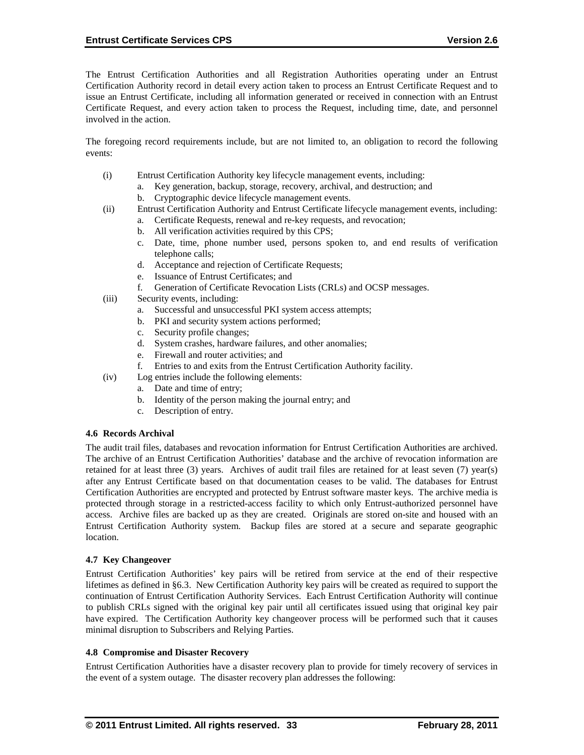The Entrust Certification Authorities and all Registration Authorities operating under an Entrust Certification Authority record in detail every action taken to process an Entrust Certificate Request and to issue an Entrust Certificate, including all information generated or received in connection with an Entrust Certificate Request, and every action taken to process the Request, including time, date, and personnel involved in the action.

The foregoing record requirements include, but are not limited to, an obligation to record the following events:

- (i) Entrust Certification Authority key lifecycle management events, including:
	- a. Key generation, backup, storage, recovery, archival, and destruction; and
	- b. Cryptographic device lifecycle management events.
- (ii) Entrust Certification Authority and Entrust Certificate lifecycle management events, including:
	- a. Certificate Requests, renewal and re-key requests, and revocation;
	- b. All verification activities required by this CPS;
	- c. Date, time, phone number used, persons spoken to, and end results of verification telephone calls;
	- d. Acceptance and rejection of Certificate Requests;
	- e. Issuance of Entrust Certificates; and
	- f. Generation of Certificate Revocation Lists (CRLs) and OCSP messages.
- (iii) Security events, including:
	- a. Successful and unsuccessful PKI system access attempts;
	- b. PKI and security system actions performed;
	- c. Security profile changes;
	- d. System crashes, hardware failures, and other anomalies;
	- e. Firewall and router activities; and
	- f. Entries to and exits from the Entrust Certification Authority facility.
- (iv) Log entries include the following elements:
	- a. Date and time of entry;
		- b. Identity of the person making the journal entry; and
		- c. Description of entry.

#### **4.6 Records Archival**

The audit trail files, databases and revocation information for Entrust Certification Authorities are archived. The archive of an Entrust Certification Authorities' database and the archive of revocation information are retained for at least three (3) years. Archives of audit trail files are retained for at least seven (7) year(s) after any Entrust Certificate based on that documentation ceases to be valid. The databases for Entrust Certification Authorities are encrypted and protected by Entrust software master keys. The archive media is protected through storage in a restricted-access facility to which only Entrust-authorized personnel have access. Archive files are backed up as they are created. Originals are stored on-site and housed with an Entrust Certification Authority system. Backup files are stored at a secure and separate geographic location.

#### **4.7 Key Changeover**

Entrust Certification Authorities' key pairs will be retired from service at the end of their respective lifetimes as defined in §6.3. New Certification Authority key pairs will be created as required to support the continuation of Entrust Certification Authority Services. Each Entrust Certification Authority will continue to publish CRLs signed with the original key pair until all certificates issued using that original key pair have expired. The Certification Authority key changeover process will be performed such that it causes minimal disruption to Subscribers and Relying Parties.

#### **4.8 Compromise and Disaster Recovery**

Entrust Certification Authorities have a disaster recovery plan to provide for timely recovery of services in the event of a system outage. The disaster recovery plan addresses the following: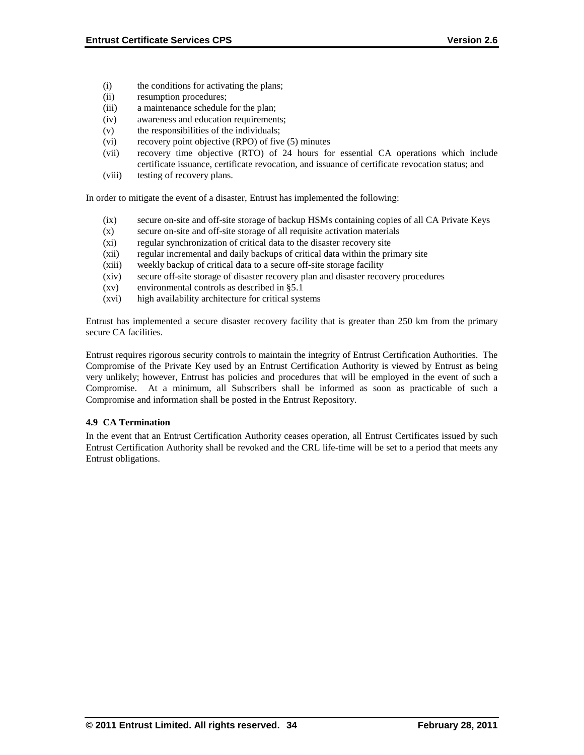- (i) the conditions for activating the plans;
- (ii) resumption procedures;
- (iii) a maintenance schedule for the plan;
- (iv) awareness and education requirements;
- (v) the responsibilities of the individuals;
- (vi) recovery point objective (RPO) of five (5) minutes
- (vii) recovery time objective (RTO) of 24 hours for essential CA operations which include certificate issuance, certificate revocation, and issuance of certificate revocation status; and
- (viii) testing of recovery plans.

In order to mitigate the event of a disaster, Entrust has implemented the following:

- (ix) secure on-site and off-site storage of backup HSMs containing copies of all CA Private Keys
- (x) secure on-site and off-site storage of all requisite activation materials
- (xi) regular synchronization of critical data to the disaster recovery site
- (xii) regular incremental and daily backups of critical data within the primary site
- (xiii) weekly backup of critical data to a secure off-site storage facility
- (xiv) secure off-site storage of disaster recovery plan and disaster recovery procedures
- (xv) environmental controls as described in §5.1
- (xvi) high availability architecture for critical systems

Entrust has implemented a secure disaster recovery facility that is greater than 250 km from the primary secure CA facilities.

Entrust requires rigorous security controls to maintain the integrity of Entrust Certification Authorities. The Compromise of the Private Key used by an Entrust Certification Authority is viewed by Entrust as being very unlikely; however, Entrust has policies and procedures that will be employed in the event of such a Compromise. At a minimum, all Subscribers shall be informed as soon as practicable of such a Compromise and information shall be posted in the Entrust Repository.

#### **4.9 CA Termination**

In the event that an Entrust Certification Authority ceases operation, all Entrust Certificates issued by such Entrust Certification Authority shall be revoked and the CRL life-time will be set to a period that meets any Entrust obligations.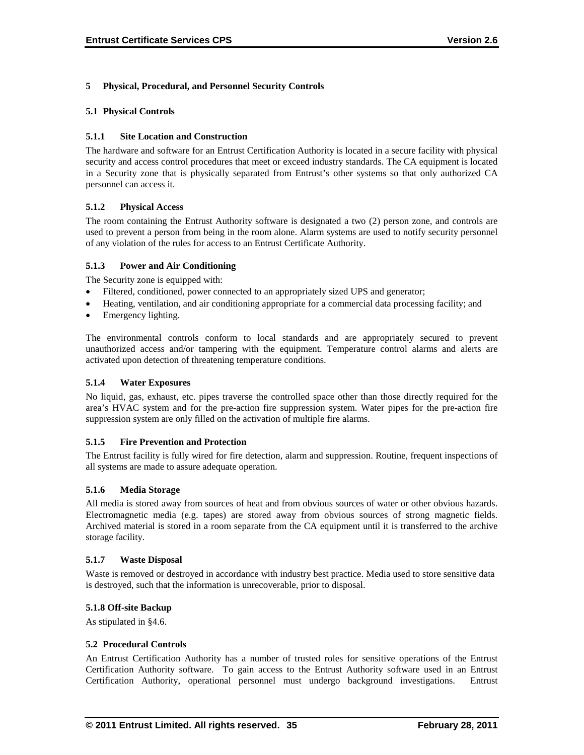## **5 Physical, Procedural, and Personnel Security Controls**

#### **5.1 Physical Controls**

#### **5.1.1 Site Location and Construction**

The hardware and software for an Entrust Certification Authority is located in a secure facility with physical security and access control procedures that meet or exceed industry standards. The CA equipment is located in a Security zone that is physically separated from Entrust's other systems so that only authorized CA personnel can access it.

#### **5.1.2 Physical Access**

The room containing the Entrust Authority software is designated a two (2) person zone, and controls are used to prevent a person from being in the room alone. Alarm systems are used to notify security personnel of any violation of the rules for access to an Entrust Certificate Authority.

#### **5.1.3 Power and Air Conditioning**

The Security zone is equipped with:

- Filtered, conditioned, power connected to an appropriately sized UPS and generator;
- Heating, ventilation, and air conditioning appropriate for a commercial data processing facility; and
- Emergency lighting.

The environmental controls conform to local standards and are appropriately secured to prevent unauthorized access and/or tampering with the equipment. Temperature control alarms and alerts are activated upon detection of threatening temperature conditions.

#### **5.1.4 Water Exposures**

No liquid, gas, exhaust, etc. pipes traverse the controlled space other than those directly required for the area's HVAC system and for the pre-action fire suppression system. Water pipes for the pre-action fire suppression system are only filled on the activation of multiple fire alarms.

#### **5.1.5 Fire Prevention and Protection**

The Entrust facility is fully wired for fire detection, alarm and suppression. Routine, frequent inspections of all systems are made to assure adequate operation.

#### **5.1.6 Media Storage**

All media is stored away from sources of heat and from obvious sources of water or other obvious hazards. Electromagnetic media (e.g. tapes) are stored away from obvious sources of strong magnetic fields. Archived material is stored in a room separate from the CA equipment until it is transferred to the archive storage facility.

#### **5.1.7 Waste Disposal**

Waste is removed or destroyed in accordance with industry best practice. Media used to store sensitive data is destroyed, such that the information is unrecoverable, prior to disposal.

#### **5.1.8 Off-site Backup**

As stipulated in §4.6.

#### **5.2 Procedural Controls**

An Entrust Certification Authority has a number of trusted roles for sensitive operations of the Entrust Certification Authority software. To gain access to the Entrust Authority software used in an Entrust Certification Authority, operational personnel must undergo background investigations. Entrust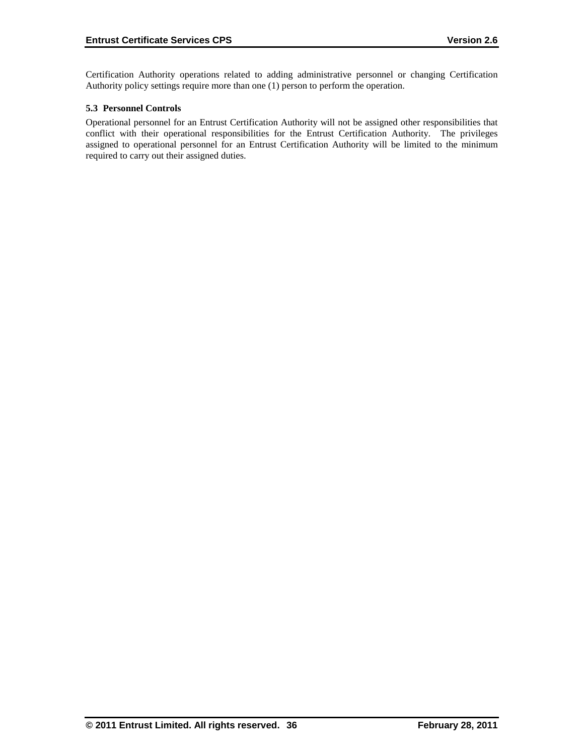Certification Authority operations related to adding administrative personnel or changing Certification Authority policy settings require more than one (1) person to perform the operation.

# **5.3 Personnel Controls**

Operational personnel for an Entrust Certification Authority will not be assigned other responsibilities that conflict with their operational responsibilities for the Entrust Certification Authority. The privileges assigned to operational personnel for an Entrust Certification Authority will be limited to the minimum required to carry out their assigned duties.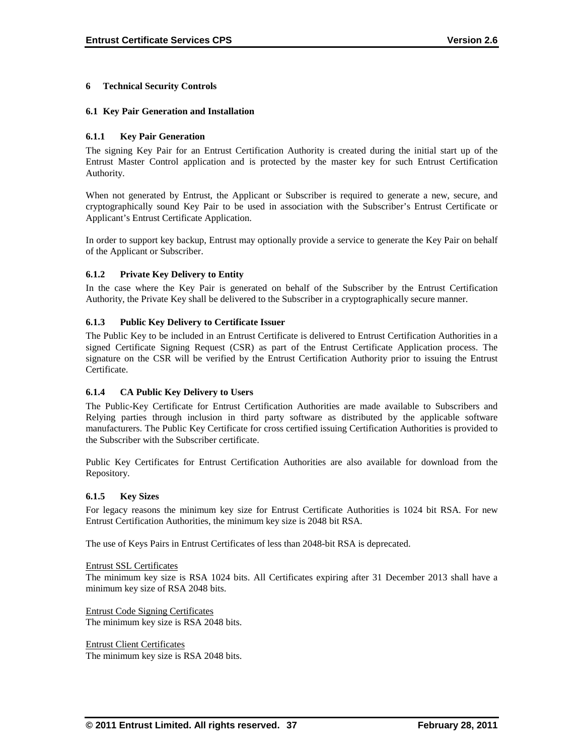#### **6 Technical Security Controls**

#### **6.1 Key Pair Generation and Installation**

#### **6.1.1 Key Pair Generation**

The signing Key Pair for an Entrust Certification Authority is created during the initial start up of the Entrust Master Control application and is protected by the master key for such Entrust Certification Authority.

When not generated by Entrust, the Applicant or Subscriber is required to generate a new, secure, and cryptographically sound Key Pair to be used in association with the Subscriber's Entrust Certificate or Applicant's Entrust Certificate Application.

In order to support key backup, Entrust may optionally provide a service to generate the Key Pair on behalf of the Applicant or Subscriber.

#### **6.1.2 Private Key Delivery to Entity**

In the case where the Key Pair is generated on behalf of the Subscriber by the Entrust Certification Authority, the Private Key shall be delivered to the Subscriber in a cryptographically secure manner.

#### **6.1.3 Public Key Delivery to Certificate Issuer**

The Public Key to be included in an Entrust Certificate is delivered to Entrust Certification Authorities in a signed Certificate Signing Request (CSR) as part of the Entrust Certificate Application process. The signature on the CSR will be verified by the Entrust Certification Authority prior to issuing the Entrust Certificate.

#### **6.1.4 CA Public Key Delivery to Users**

The Public-Key Certificate for Entrust Certification Authorities are made available to Subscribers and Relying parties through inclusion in third party software as distributed by the applicable software manufacturers. The Public Key Certificate for cross certified issuing Certification Authorities is provided to the Subscriber with the Subscriber certificate.

Public Key Certificates for Entrust Certification Authorities are also available for download from the Repository.

#### **6.1.5 Key Sizes**

For legacy reasons the minimum key size for Entrust Certificate Authorities is 1024 bit RSA. For new Entrust Certification Authorities, the minimum key size is 2048 bit RSA.

The use of Keys Pairs in Entrust Certificates of less than 2048-bit RSA is deprecated.

Entrust SSL Certificates The minimum key size is RSA 1024 bits. All Certificates expiring after 31 December 2013 shall have a minimum key size of RSA 2048 bits.

Entrust Code Signing Certificates The minimum key size is RSA 2048 bits.

Entrust Client Certificates The minimum key size is RSA 2048 bits.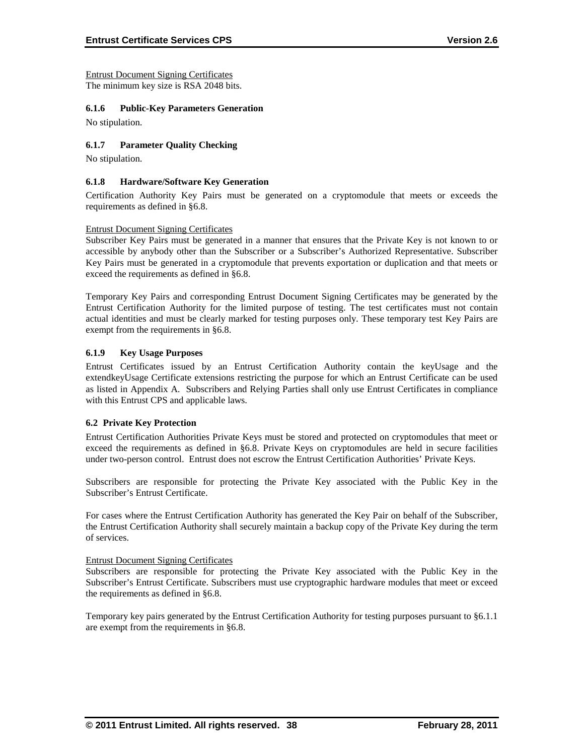Entrust Document Signing Certificates The minimum key size is RSA 2048 bits.

#### **6.1.6 Public-Key Parameters Generation**

No stipulation.

#### **6.1.7 Parameter Quality Checking**

No stipulation.

#### **6.1.8 Hardware/Software Key Generation**

Certification Authority Key Pairs must be generated on a cryptomodule that meets or exceeds the requirements as defined in §6.8.

#### Entrust Document Signing Certificates

Subscriber Key Pairs must be generated in a manner that ensures that the Private Key is not known to or accessible by anybody other than the Subscriber or a Subscriber's Authorized Representative. Subscriber Key Pairs must be generated in a cryptomodule that prevents exportation or duplication and that meets or exceed the requirements as defined in §6.8.

Temporary Key Pairs and corresponding Entrust Document Signing Certificates may be generated by the Entrust Certification Authority for the limited purpose of testing. The test certificates must not contain actual identities and must be clearly marked for testing purposes only. These temporary test Key Pairs are exempt from the requirements in §6.8.

#### **6.1.9 Key Usage Purposes**

Entrust Certificates issued by an Entrust Certification Authority contain the keyUsage and the extendkeyUsage Certificate extensions restricting the purpose for which an Entrust Certificate can be used as listed in Appendix A. Subscribers and Relying Parties shall only use Entrust Certificates in compliance with this Entrust CPS and applicable laws.

#### **6.2 Private Key Protection**

Entrust Certification Authorities Private Keys must be stored and protected on cryptomodules that meet or exceed the requirements as defined in §6.8. Private Keys on cryptomodules are held in secure facilities under two-person control. Entrust does not escrow the Entrust Certification Authorities' Private Keys.

Subscribers are responsible for protecting the Private Key associated with the Public Key in the Subscriber's Entrust Certificate.

For cases where the Entrust Certification Authority has generated the Key Pair on behalf of the Subscriber, the Entrust Certification Authority shall securely maintain a backup copy of the Private Key during the term of services.

#### Entrust Document Signing Certificates

Subscribers are responsible for protecting the Private Key associated with the Public Key in the Subscriber's Entrust Certificate. Subscribers must use cryptographic hardware modules that meet or exceed the requirements as defined in §6.8.

Temporary key pairs generated by the Entrust Certification Authority for testing purposes pursuant to §6.1.1 are exempt from the requirements in §6.8.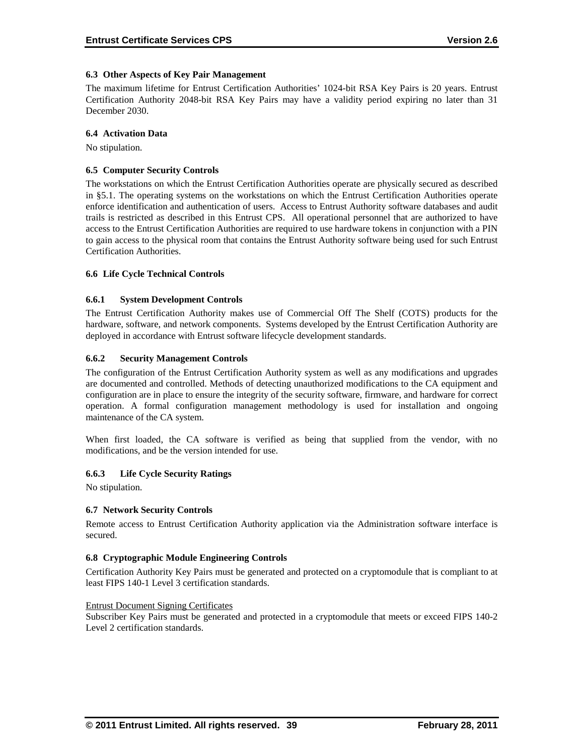#### **6.3 Other Aspects of Key Pair Management**

The maximum lifetime for Entrust Certification Authorities' 1024-bit RSA Key Pairs is 20 years. Entrust Certification Authority 2048-bit RSA Key Pairs may have a validity period expiring no later than 31 December 2030.

#### **6.4 Activation Data**

No stipulation.

#### **6.5 Computer Security Controls**

The workstations on which the Entrust Certification Authorities operate are physically secured as described in §5.1. The operating systems on the workstations on which the Entrust Certification Authorities operate enforce identification and authentication of users. Access to Entrust Authority software databases and audit trails is restricted as described in this Entrust CPS. All operational personnel that are authorized to have access to the Entrust Certification Authorities are required to use hardware tokens in conjunction with a PIN to gain access to the physical room that contains the Entrust Authority software being used for such Entrust Certification Authorities.

#### **6.6 Life Cycle Technical Controls**

#### **6.6.1 System Development Controls**

The Entrust Certification Authority makes use of Commercial Off The Shelf (COTS) products for the hardware, software, and network components. Systems developed by the Entrust Certification Authority are deployed in accordance with Entrust software lifecycle development standards.

#### **6.6.2 Security Management Controls**

The configuration of the Entrust Certification Authority system as well as any modifications and upgrades are documented and controlled. Methods of detecting unauthorized modifications to the CA equipment and configuration are in place to ensure the integrity of the security software, firmware, and hardware for correct operation. A formal configuration management methodology is used for installation and ongoing maintenance of the CA system.

When first loaded, the CA software is verified as being that supplied from the vendor, with no modifications, and be the version intended for use.

#### **6.6.3 Life Cycle Security Ratings**

No stipulation.

#### **6.7 Network Security Controls**

Remote access to Entrust Certification Authority application via the Administration software interface is secured.

#### **6.8 Cryptographic Module Engineering Controls**

Certification Authority Key Pairs must be generated and protected on a cryptomodule that is compliant to at least FIPS 140-1 Level 3 certification standards.

#### Entrust Document Signing Certificates

Subscriber Key Pairs must be generated and protected in a cryptomodule that meets or exceed FIPS 140-2 Level 2 certification standards.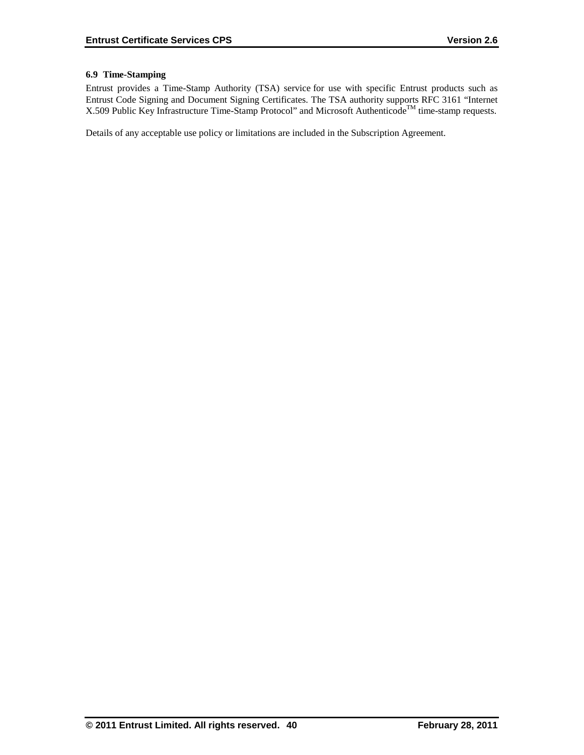## **6.9 Time-Stamping**

Entrust provides a Time-Stamp Authority (TSA) service for use with specific Entrust products such as Entrust Code Signing and Document Signing Certificates. The TSA authority supports RFC 3161 "Internet X.509 Public Key Infrastructure Time-Stamp Protocol" and Microsoft Authenticode<sup>TM</sup> time-stamp requests.

Details of any acceptable use policy or limitations are included in the Subscription Agreement.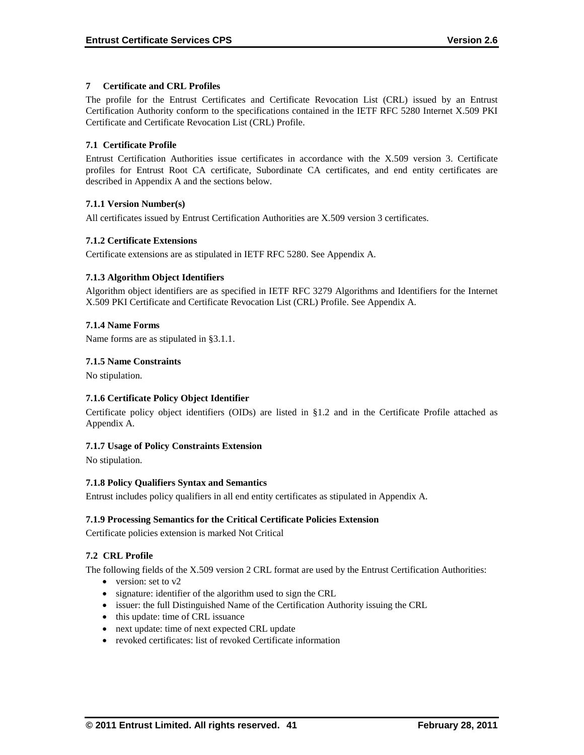# **7 Certificate and CRL Profiles**

The profile for the Entrust Certificates and Certificate Revocation List (CRL) issued by an Entrust Certification Authority conform to the specifications contained in the IETF RFC 5280 Internet X.509 PKI Certificate and Certificate Revocation List (CRL) Profile.

# **7.1 Certificate Profile**

Entrust Certification Authorities issue certificates in accordance with the X.509 version 3. Certificate profiles for Entrust Root CA certificate, Subordinate CA certificates, and end entity certificates are described in Appendix A and the sections below.

# **7.1.1 Version Number(s)**

All certificates issued by Entrust Certification Authorities are X.509 version 3 certificates.

# **7.1.2 Certificate Extensions**

Certificate extensions are as stipulated in IETF RFC 5280. See Appendix A.

# **7.1.3 Algorithm Object Identifiers**

Algorithm object identifiers are as specified in IETF RFC 3279 Algorithms and Identifiers for the Internet X.509 PKI Certificate and Certificate Revocation List (CRL) Profile. See Appendix A.

# **7.1.4 Name Forms**

Name forms are as stipulated in §3.1.1.

# **7.1.5 Name Constraints**

No stipulation.

# **7.1.6 Certificate Policy Object Identifier**

Certificate policy object identifiers (OIDs) are listed in §1.2 and in the Certificate Profile attached as Appendix A.

# **7.1.7 Usage of Policy Constraints Extension**

No stipulation.

#### **7.1.8 Policy Qualifiers Syntax and Semantics**

Entrust includes policy qualifiers in all end entity certificates as stipulated in Appendix A.

# **7.1.9 Processing Semantics for the Critical Certificate Policies Extension**

Certificate policies extension is marked Not Critical

# **7.2 CRL Profile**

The following fields of the X.509 version 2 CRL format are used by the Entrust Certification Authorities:

- version: set to v2
- signature: identifier of the algorithm used to sign the CRL
- issuer: the full Distinguished Name of the Certification Authority issuing the CRL
- this update: time of CRL issuance
- next update: time of next expected CRL update
- revoked certificates: list of revoked Certificate information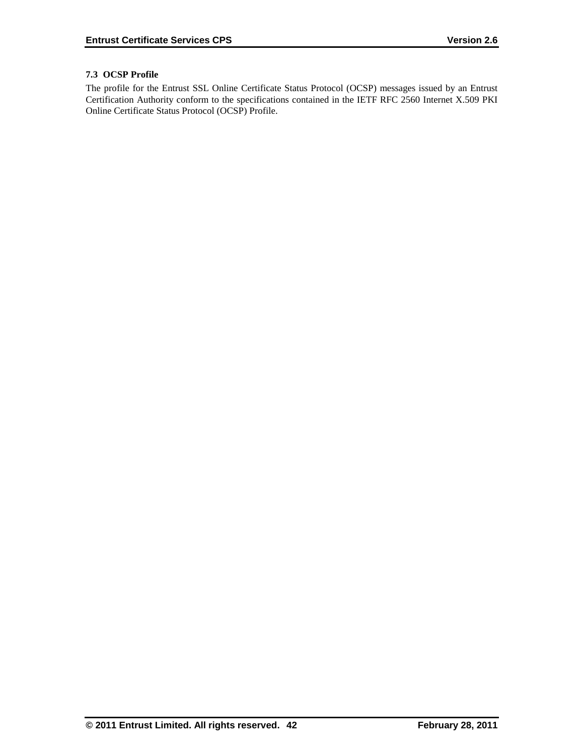# **7.3 OCSP Profile**

The profile for the Entrust SSL Online Certificate Status Protocol (OCSP) messages issued by an Entrust Certification Authority conform to the specifications contained in the IETF RFC 2560 Internet X.509 PKI Online Certificate Status Protocol (OCSP) Profile.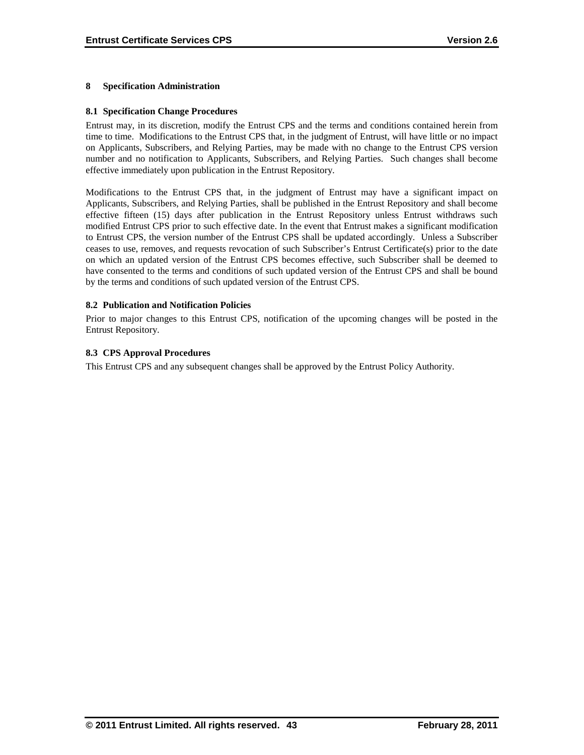# **8 Specification Administration**

#### **8.1 Specification Change Procedures**

Entrust may, in its discretion, modify the Entrust CPS and the terms and conditions contained herein from time to time. Modifications to the Entrust CPS that, in the judgment of Entrust, will have little or no impact on Applicants, Subscribers, and Relying Parties, may be made with no change to the Entrust CPS version number and no notification to Applicants, Subscribers, and Relying Parties. Such changes shall become effective immediately upon publication in the Entrust Repository.

Modifications to the Entrust CPS that, in the judgment of Entrust may have a significant impact on Applicants, Subscribers, and Relying Parties, shall be published in the Entrust Repository and shall become effective fifteen (15) days after publication in the Entrust Repository unless Entrust withdraws such modified Entrust CPS prior to such effective date. In the event that Entrust makes a significant modification to Entrust CPS, the version number of the Entrust CPS shall be updated accordingly. Unless a Subscriber ceases to use, removes, and requests revocation of such Subscriber's Entrust Certificate(s) prior to the date on which an updated version of the Entrust CPS becomes effective, such Subscriber shall be deemed to have consented to the terms and conditions of such updated version of the Entrust CPS and shall be bound by the terms and conditions of such updated version of the Entrust CPS.

#### **8.2 Publication and Notification Policies**

Prior to major changes to this Entrust CPS, notification of the upcoming changes will be posted in the Entrust Repository.

#### **8.3 CPS Approval Procedures**

This Entrust CPS and any subsequent changes shall be approved by the Entrust Policy Authority.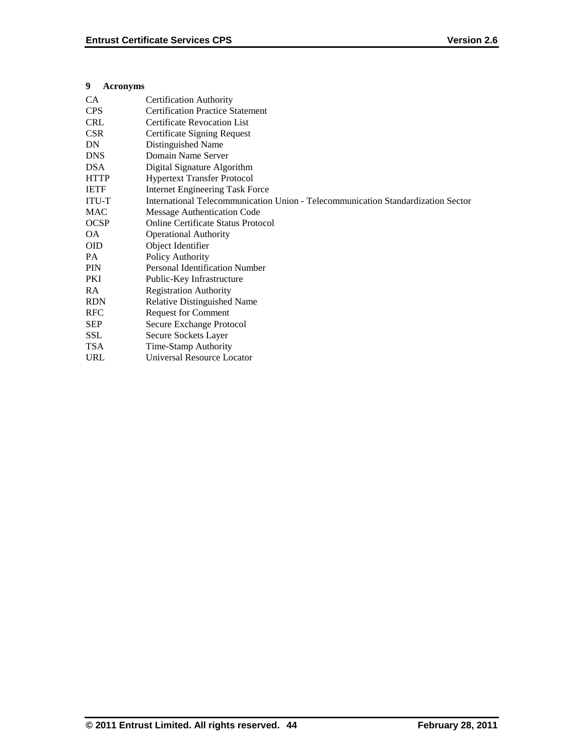# **9 Acronyms**

| CA           | <b>Certification Authority</b>                                                   |
|--------------|----------------------------------------------------------------------------------|
| <b>CPS</b>   | <b>Certification Practice Statement</b>                                          |
| <b>CRL</b>   | <b>Certificate Revocation List</b>                                               |
| <b>CSR</b>   | Certificate Signing Request                                                      |
| DN           | Distinguished Name                                                               |
| <b>DNS</b>   | Domain Name Server                                                               |
| <b>DSA</b>   | Digital Signature Algorithm                                                      |
| <b>HTTP</b>  | <b>Hypertext Transfer Protocol</b>                                               |
| <b>IETF</b>  | <b>Internet Engineering Task Force</b>                                           |
| <b>ITU-T</b> | International Telecommunication Union - Telecommunication Standardization Sector |
| <b>MAC</b>   | <b>Message Authentication Code</b>                                               |
| <b>OCSP</b>  | <b>Online Certificate Status Protocol</b>                                        |
| <b>OA</b>    | <b>Operational Authority</b>                                                     |
| <b>OID</b>   | Object Identifier                                                                |
| PA.          | Policy Authority                                                                 |
| <b>PIN</b>   | <b>Personal Identification Number</b>                                            |
| PKI          | Public-Key Infrastructure                                                        |
| RA           | <b>Registration Authority</b>                                                    |
| <b>RDN</b>   | <b>Relative Distinguished Name</b>                                               |
| <b>RFC</b>   | <b>Request for Comment</b>                                                       |
| SEP          | Secure Exchange Protocol                                                         |
| <b>SSL</b>   | Secure Sockets Layer                                                             |
| <b>TSA</b>   | Time-Stamp Authority                                                             |
| <b>URL</b>   | Universal Resource Locator                                                       |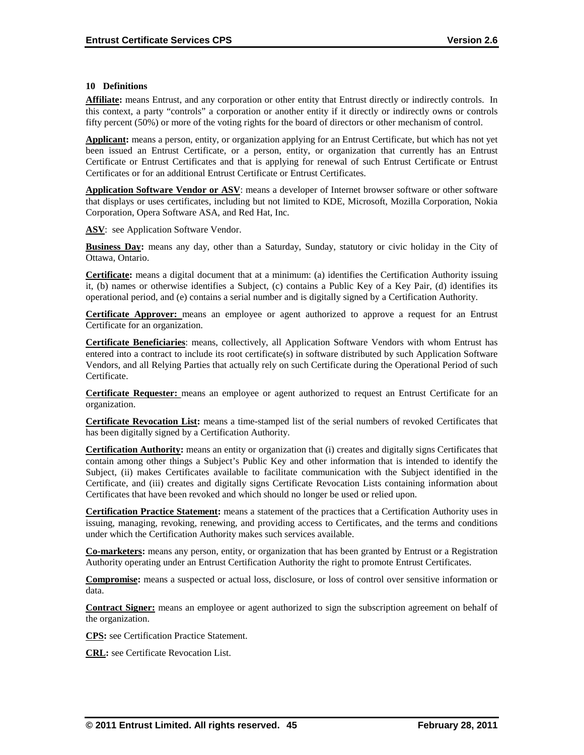#### **10 Definitions**

**Affiliate:** means Entrust, and any corporation or other entity that Entrust directly or indirectly controls. In this context, a party "controls" a corporation or another entity if it directly or indirectly owns or controls fifty percent (50%) or more of the voting rights for the board of directors or other mechanism of control.

**Applicant:** means a person, entity, or organization applying for an Entrust Certificate, but which has not yet been issued an Entrust Certificate, or a person, entity, or organization that currently has an Entrust Certificate or Entrust Certificates and that is applying for renewal of such Entrust Certificate or Entrust Certificates or for an additional Entrust Certificate or Entrust Certificates.

**Application Software Vendor or ASV**: means a developer of Internet browser software or other software that displays or uses certificates, including but not limited to KDE, Microsoft, Mozilla Corporation, Nokia Corporation, Opera Software ASA, and Red Hat, Inc.

**ASV**: see Application Software Vendor.

**Business Day:** means any day, other than a Saturday, Sunday, statutory or civic holiday in the City of Ottawa, Ontario.

**Certificate:** means a digital document that at a minimum: (a) identifies the Certification Authority issuing it, (b) names or otherwise identifies a Subject, (c) contains a Public Key of a Key Pair, (d) identifies its operational period, and (e) contains a serial number and is digitally signed by a Certification Authority.

**Certificate Approver:** means an employee or agent authorized to approve a request for an Entrust Certificate for an organization.

**Certificate Beneficiaries**: means, collectively, all Application Software Vendors with whom Entrust has entered into a contract to include its root certificate(s) in software distributed by such Application Software Vendors, and all Relying Parties that actually rely on such Certificate during the Operational Period of such Certificate.

**Certificate Requester:** means an employee or agent authorized to request an Entrust Certificate for an organization.

**Certificate Revocation List:** means a time-stamped list of the serial numbers of revoked Certificates that has been digitally signed by a Certification Authority.

**Certification Authority:** means an entity or organization that (i) creates and digitally signs Certificates that contain among other things a Subject's Public Key and other information that is intended to identify the Subject, (ii) makes Certificates available to facilitate communication with the Subject identified in the Certificate, and (iii) creates and digitally signs Certificate Revocation Lists containing information about Certificates that have been revoked and which should no longer be used or relied upon.

**Certification Practice Statement:** means a statement of the practices that a Certification Authority uses in issuing, managing, revoking, renewing, and providing access to Certificates, and the terms and conditions under which the Certification Authority makes such services available.

**Co-marketers:** means any person, entity, or organization that has been granted by Entrust or a Registration Authority operating under an Entrust Certification Authority the right to promote Entrust Certificates.

**Compromise:** means a suspected or actual loss, disclosure, or loss of control over sensitive information or data.

**Contract Signer:** means an employee or agent authorized to sign the subscription agreement on behalf of the organization.

**CPS:** see Certification Practice Statement.

**CRL:** see Certificate Revocation List.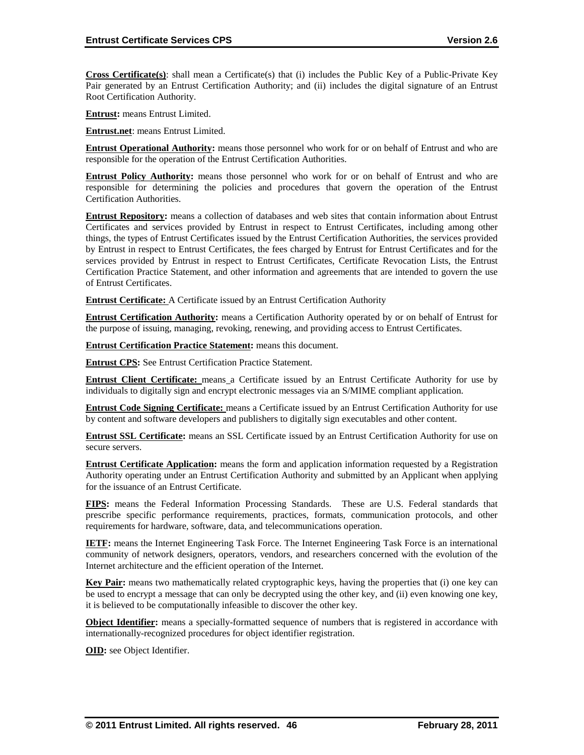**Cross Certificate(s)**: shall mean a Certificate(s) that (i) includes the Public Key of a Public-Private Key Pair generated by an Entrust Certification Authority; and (ii) includes the digital signature of an Entrust Root Certification Authority.

**Entrust:** means Entrust Limited.

**Entrust.net**: means Entrust Limited.

**Entrust Operational Authority:** means those personnel who work for or on behalf of Entrust and who are responsible for the operation of the Entrust Certification Authorities.

**Entrust Policy Authority:** means those personnel who work for or on behalf of Entrust and who are responsible for determining the policies and procedures that govern the operation of the Entrust Certification Authorities.

**Entrust Repository:** means a collection of databases and web sites that contain information about Entrust Certificates and services provided by Entrust in respect to Entrust Certificates, including among other things, the types of Entrust Certificates issued by the Entrust Certification Authorities, the services provided by Entrust in respect to Entrust Certificates, the fees charged by Entrust for Entrust Certificates and for the services provided by Entrust in respect to Entrust Certificates, Certificate Revocation Lists, the Entrust Certification Practice Statement, and other information and agreements that are intended to govern the use of Entrust Certificates.

**Entrust Certificate:** A Certificate issued by an Entrust Certification Authority

**Entrust Certification Authority:** means a Certification Authority operated by or on behalf of Entrust for the purpose of issuing, managing, revoking, renewing, and providing access to Entrust Certificates.

**Entrust Certification Practice Statement:** means this document.

**Entrust CPS:** See Entrust Certification Practice Statement.

**Entrust Client Certificate:** means a Certificate issued by an Entrust Certificate Authority for use by individuals to digitally sign and encrypt electronic messages via an S/MIME compliant application.

**Entrust Code Signing Certificate:** means a Certificate issued by an Entrust Certification Authority for use by content and software developers and publishers to digitally sign executables and other content.

**Entrust SSL Certificate:** means an SSL Certificate issued by an Entrust Certification Authority for use on secure servers.

**Entrust Certificate Application:** means the form and application information requested by a Registration Authority operating under an Entrust Certification Authority and submitted by an Applicant when applying for the issuance of an Entrust Certificate.

**FIPS:** means the Federal Information Processing Standards. These are U.S. Federal standards that prescribe specific performance requirements, practices, formats, communication protocols, and other requirements for hardware, software, data, and telecommunications operation.

**IETF:** means the Internet Engineering Task Force. The Internet Engineering Task Force is an international community of network designers, operators, vendors, and researchers concerned with the evolution of the Internet architecture and the efficient operation of the Internet.

**Key Pair:** means two mathematically related cryptographic keys, having the properties that (i) one key can be used to encrypt a message that can only be decrypted using the other key, and (ii) even knowing one key, it is believed to be computationally infeasible to discover the other key.

**Object Identifier:** means a specially-formatted sequence of numbers that is registered in accordance with internationally-recognized procedures for object identifier registration.

**OID:** see Object Identifier.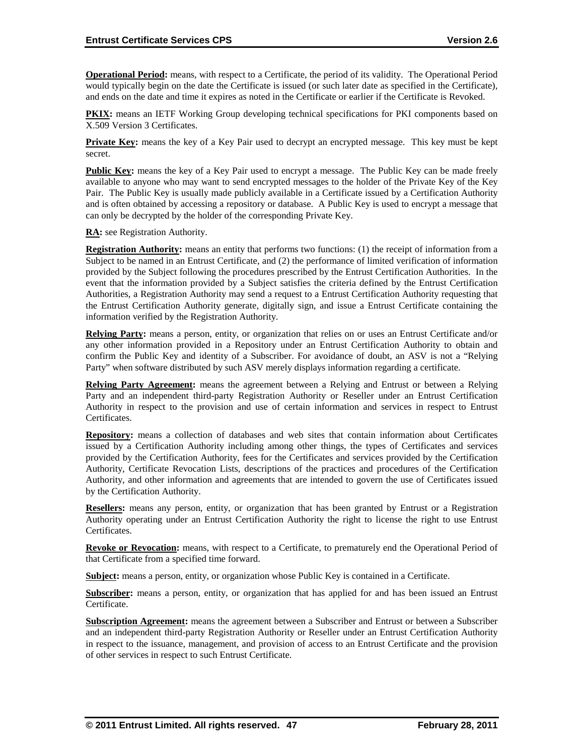**Operational Period:** means, with respect to a Certificate, the period of its validity. The Operational Period would typically begin on the date the Certificate is issued (or such later date as specified in the Certificate), and ends on the date and time it expires as noted in the Certificate or earlier if the Certificate is Revoked.

**PKIX:** means an IETF Working Group developing technical specifications for PKI components based on X.509 Version 3 Certificates.

**Private Key:** means the key of a Key Pair used to decrypt an encrypted message. This key must be kept secret.

**Public Key:** means the key of a Key Pair used to encrypt a message. The Public Key can be made freely available to anyone who may want to send encrypted messages to the holder of the Private Key of the Key Pair. The Public Key is usually made publicly available in a Certificate issued by a Certification Authority and is often obtained by accessing a repository or database. A Public Key is used to encrypt a message that can only be decrypted by the holder of the corresponding Private Key.

**RA:** see Registration Authority.

**Registration Authority:** means an entity that performs two functions: (1) the receipt of information from a Subject to be named in an Entrust Certificate, and (2) the performance of limited verification of information provided by the Subject following the procedures prescribed by the Entrust Certification Authorities. In the event that the information provided by a Subject satisfies the criteria defined by the Entrust Certification Authorities, a Registration Authority may send a request to a Entrust Certification Authority requesting that the Entrust Certification Authority generate, digitally sign, and issue a Entrust Certificate containing the information verified by the Registration Authority.

**Relying Party:** means a person, entity, or organization that relies on or uses an Entrust Certificate and/or any other information provided in a Repository under an Entrust Certification Authority to obtain and confirm the Public Key and identity of a Subscriber. For avoidance of doubt, an ASV is not a "Relying Party" when software distributed by such ASV merely displays information regarding a certificate.

**Relying Party Agreement:** means the agreement between a Relying and Entrust or between a Relying Party and an independent third-party Registration Authority or Reseller under an Entrust Certification Authority in respect to the provision and use of certain information and services in respect to Entrust Certificates.

**Repository:** means a collection of databases and web sites that contain information about Certificates issued by a Certification Authority including among other things, the types of Certificates and services provided by the Certification Authority, fees for the Certificates and services provided by the Certification Authority, Certificate Revocation Lists, descriptions of the practices and procedures of the Certification Authority, and other information and agreements that are intended to govern the use of Certificates issued by the Certification Authority.

**Resellers:** means any person, entity, or organization that has been granted by Entrust or a Registration Authority operating under an Entrust Certification Authority the right to license the right to use Entrust Certificates.

**Revoke or Revocation:** means, with respect to a Certificate, to prematurely end the Operational Period of that Certificate from a specified time forward.

**Subject:** means a person, entity, or organization whose Public Key is contained in a Certificate.

**Subscriber:** means a person, entity, or organization that has applied for and has been issued an Entrust Certificate.

**Subscription Agreement:** means the agreement between a Subscriber and Entrust or between a Subscriber and an independent third-party Registration Authority or Reseller under an Entrust Certification Authority in respect to the issuance, management, and provision of access to an Entrust Certificate and the provision of other services in respect to such Entrust Certificate.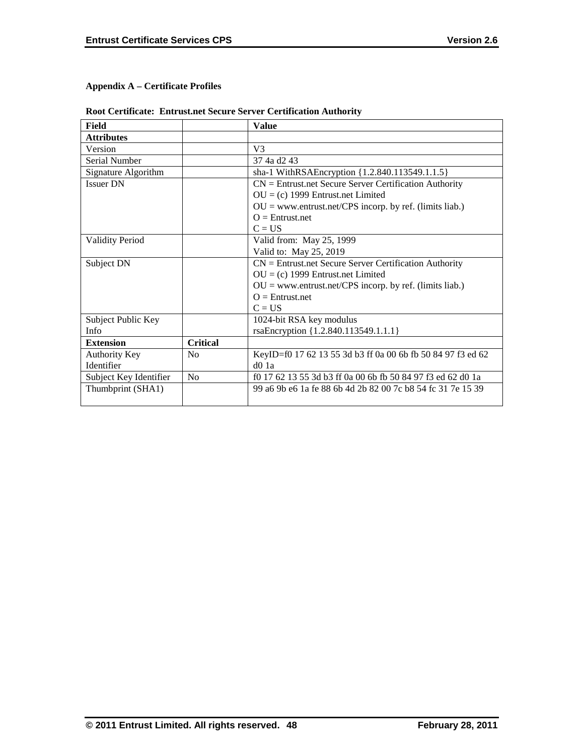# **Appendix A – Certificate Profiles**

|  |  |  | <b>Root Certificate: Entrust.net Secure Server Certification Authority</b> |
|--|--|--|----------------------------------------------------------------------------|
|--|--|--|----------------------------------------------------------------------------|

| Field                  |                 | <b>Value</b>                                                |
|------------------------|-----------------|-------------------------------------------------------------|
| <b>Attributes</b>      |                 |                                                             |
| Version                |                 | V <sub>3</sub>                                              |
| Serial Number          |                 | 37 4a d2 43                                                 |
| Signature Algorithm    |                 | sha-1 WithRSAEncryption {1.2.840.113549.1.1.5}              |
| <b>Issuer DN</b>       |                 | $CN =$ Entrust.net Secure Server Certification Authority    |
|                        |                 | $OU = (c)$ 1999 Entrust.net Limited                         |
|                        |                 | $OU = www.entrust.net/CPS incorp. by ref. (limits liab.)$   |
|                        |                 | $Q =$ Entrust.net                                           |
|                        |                 | $C = US$                                                    |
| <b>Validity Period</b> |                 | Valid from: May 25, 1999                                    |
|                        |                 | Valid to: May 25, 2019                                      |
| Subject DN             |                 | $CN =$ Entrust.net Secure Server Certification Authority    |
|                        |                 | $OU = (c)$ 1999 Entrust.net Limited                         |
|                        |                 | $OU = www.entrust.net/CPS incorp. by ref. (limits liab.)$   |
|                        |                 | $Q =$ Entrust.net                                           |
|                        |                 | $C = US$                                                    |
| Subject Public Key     |                 | 1024-bit RSA key modulus                                    |
| Info                   |                 | rsaEncryption {1.2.840.113549.1.1.1}                        |
| <b>Extension</b>       | <b>Critical</b> |                                                             |
| Authority Key          | N <sub>0</sub>  | KeyID=f0 17 62 13 55 3d b3 ff 0a 00 6b fb 50 84 97 f3 ed 62 |
| Identifier             |                 | $d0$ 1a                                                     |
| Subject Key Identifier | No              | f0 17 62 13 55 3d b3 ff 0a 00 6b fb 50 84 97 f3 ed 62 d0 1a |
| Thumbprint (SHA1)      |                 | 99 a6 9b e6 1a fe 88 6b 4d 2b 82 00 7c b8 54 fc 31 7e 15 39 |
|                        |                 |                                                             |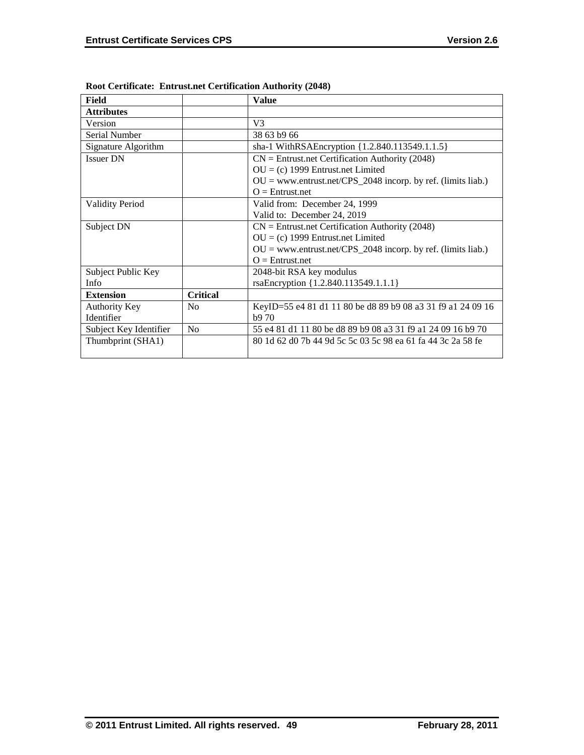| Field                  |                 | <b>Value</b>                                                   |
|------------------------|-----------------|----------------------------------------------------------------|
| <b>Attributes</b>      |                 |                                                                |
| Version                |                 | V <sub>3</sub>                                                 |
| Serial Number          |                 | 38 63 b9 66                                                    |
| Signature Algorithm    |                 | sha-1 WithRSAEncryption {1.2.840.113549.1.1.5}                 |
| <b>Issuer DN</b>       |                 | $CN =$ Entrust.net Certification Authority (2048)              |
|                        |                 | $OU = (c)$ 1999 Entrust.net Limited                            |
|                        |                 | $OU = www.entrust.net/CPS_2048 incorp. by ref. (limits liab.)$ |
|                        |                 | $Q =$ Entrust.net                                              |
| <b>Validity Period</b> |                 | Valid from: December 24, 1999                                  |
|                        |                 | Valid to: December 24, 2019                                    |
| Subject DN             |                 | $CN =$ Entrust.net Certification Authority (2048)              |
|                        |                 | $OU = (c)$ 1999 Entrust.net Limited                            |
|                        |                 | $OU = www.entrust.net/CPS_2048 incorp. by ref. (limits liab.)$ |
|                        |                 | $Q =$ Entrust.net                                              |
| Subject Public Key     |                 | 2048-bit RSA key modulus                                       |
| Info                   |                 | rsaEncryption {1.2.840.113549.1.1.1}                           |
| <b>Extension</b>       | <b>Critical</b> |                                                                |
| Authority Key          | N <sub>0</sub>  | KeyID=55 e4 81 d1 11 80 be d8 89 b9 08 a3 31 f9 a1 24 09 16    |
| Identifier             |                 | b970                                                           |
| Subject Key Identifier | No              | 55 e4 81 d1 11 80 be d8 89 b9 08 a3 31 f9 a1 24 09 16 b9 70    |
| Thumbprint (SHA1)      |                 | 80 1d 62 d0 7b 44 9d 5c 5c 03 5c 98 ea 61 fa 44 3c 2a 58 fe    |
|                        |                 |                                                                |

**Root Certificate: Entrust.net Certification Authority (2048)**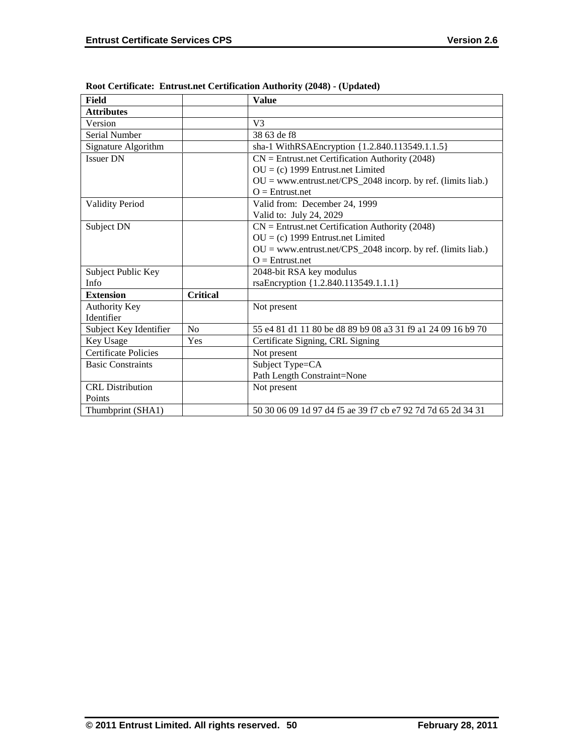| Field                       |                 | <b>Value</b>                                                   |
|-----------------------------|-----------------|----------------------------------------------------------------|
| <b>Attributes</b>           |                 |                                                                |
| Version                     |                 | V <sub>3</sub>                                                 |
| Serial Number               |                 | 38 63 de f8                                                    |
| Signature Algorithm         |                 | sha-1 WithRSAEncryption {1.2.840.113549.1.1.5}                 |
| <b>Issuer DN</b>            |                 | $CN =$ Entrust.net Certification Authority (2048)              |
|                             |                 | $OU = (c)$ 1999 Entrust.net Limited                            |
|                             |                 | $OU = www.entrust.net/CPS_2048 incorp. by ref. (limits liab.)$ |
|                             |                 | $O =$ Entrust.net                                              |
| <b>Validity Period</b>      |                 | Valid from: December 24, 1999                                  |
|                             |                 | Valid to: July 24, 2029                                        |
| Subject DN                  |                 | $CN =$ Entrust.net Certification Authority (2048)              |
|                             |                 | $OU = (c)$ 1999 Entrust.net Limited                            |
|                             |                 | $OU = www.entrust.net/CPS_2048 incorp. by ref. (limits liab.)$ |
|                             |                 | $O =$ Entrust.net                                              |
| Subject Public Key          |                 | 2048-bit RSA key modulus                                       |
| Info                        |                 | rsaEncryption {1.2.840.113549.1.1.1}                           |
| <b>Extension</b>            | <b>Critical</b> |                                                                |
| Authority Key               |                 | Not present                                                    |
| Identifier                  |                 |                                                                |
| Subject Key Identifier      | No              | 55 e4 81 d1 11 80 be d8 89 b9 08 a3 31 f9 a1 24 09 16 b9 70    |
| Key Usage                   | Yes             | Certificate Signing, CRL Signing                               |
| <b>Certificate Policies</b> |                 | Not present                                                    |
| <b>Basic Constraints</b>    |                 | Subject Type=CA                                                |
|                             |                 | Path Length Constraint=None                                    |
| <b>CRL</b> Distribution     |                 | Not present                                                    |
| Points                      |                 |                                                                |
| Thumbprint (SHA1)           |                 | 50 30 06 09 1d 97 d4 f5 ae 39 f7 cb e7 92 7d 7d 65 2d 34 31    |

**Root Certificate: Entrust.net Certification Authority (2048) - (Updated)**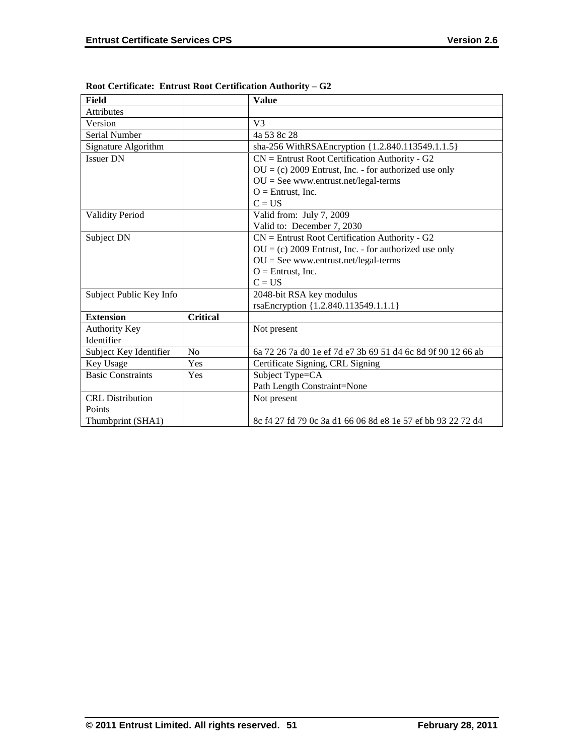| Field                    |                 | <b>Value</b>                                                |
|--------------------------|-----------------|-------------------------------------------------------------|
| <b>Attributes</b>        |                 |                                                             |
| Version                  |                 | V <sub>3</sub>                                              |
| Serial Number            |                 | 4a 53 8c 28                                                 |
| Signature Algorithm      |                 | sha-256 WithRSAEncryption {1.2.840.113549.1.1.5}            |
| <b>Issuer DN</b>         |                 | $CN =$ Entrust Root Certification Authority - G2            |
|                          |                 | $OU = (c) 2009$ Entrust, Inc. - for authorized use only     |
|                          |                 | $OU = See$ www.entrust.net/legal-terms                      |
|                          |                 | $O =$ Entrust, Inc.                                         |
|                          |                 | $C = US$                                                    |
| <b>Validity Period</b>   |                 | Valid from: July 7, 2009                                    |
|                          |                 | Valid to: December 7, 2030                                  |
| Subject DN               |                 | $CN =$ Entrust Root Certification Authority - G2            |
|                          |                 | $OU = (c) 2009$ Entrust, Inc. - for authorized use only     |
|                          |                 | $OU = See$ www.entrust.net/legal-terms                      |
|                          |                 | $O =$ Entrust, Inc.                                         |
|                          |                 | $C = US$                                                    |
| Subject Public Key Info  |                 | 2048-bit RSA key modulus                                    |
|                          |                 | rsaEncryption {1.2.840.113549.1.1.1}                        |
| <b>Extension</b>         | <b>Critical</b> |                                                             |
| <b>Authority Key</b>     |                 | Not present                                                 |
| Identifier               |                 |                                                             |
| Subject Key Identifier   | N <sub>o</sub>  | 6a 72 26 7a d0 1e ef 7d e7 3b 69 51 d4 6c 8d 9f 90 12 66 ab |
| Key Usage                | Yes             | Certificate Signing, CRL Signing                            |
| <b>Basic Constraints</b> | Yes             | Subject Type=CA                                             |
|                          |                 | Path Length Constraint=None                                 |
| <b>CRL</b> Distribution  |                 | Not present                                                 |
| Points                   |                 |                                                             |
| Thumbprint (SHA1)        |                 | 8c f4 27 fd 79 0c 3a d1 66 06 8d e8 1e 57 ef bb 93 22 72 d4 |

**Root Certificate: Entrust Root Certification Authority – G2**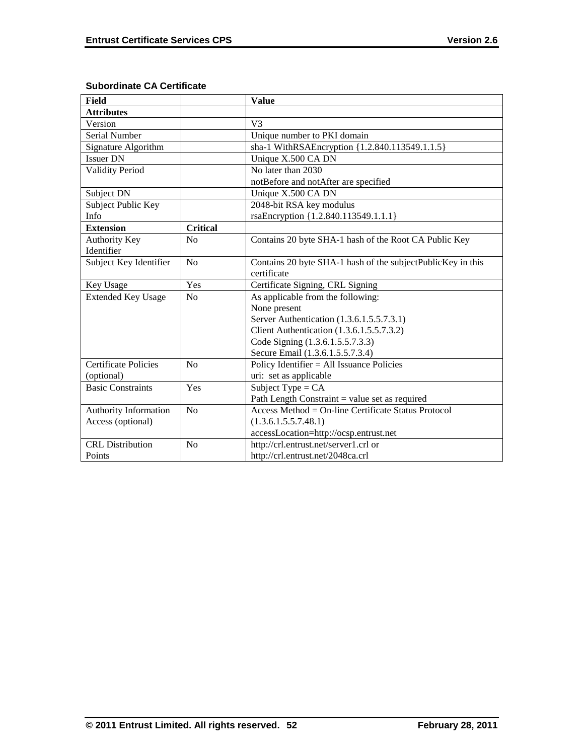| <b>Field</b>                |                 | <b>Value</b>                                                |
|-----------------------------|-----------------|-------------------------------------------------------------|
| <b>Attributes</b>           |                 |                                                             |
| Version                     |                 | V <sub>3</sub>                                              |
| Serial Number               |                 | Unique number to PKI domain                                 |
| Signature Algorithm         |                 | sha-1 WithRSAEncryption {1.2.840.113549.1.1.5}              |
| <b>Issuer DN</b>            |                 | Unique X.500 CA DN                                          |
| <b>Validity Period</b>      |                 | No later than 2030                                          |
|                             |                 | notBefore and notAfter are specified                        |
| Subject DN                  |                 | Unique X.500 CA DN                                          |
| Subject Public Key          |                 | 2048-bit RSA key modulus                                    |
| Info                        |                 | rsaEncryption {1.2.840.113549.1.1.1}                        |
| <b>Extension</b>            | <b>Critical</b> |                                                             |
| Authority Key               | No              | Contains 20 byte SHA-1 hash of the Root CA Public Key       |
| Identifier                  |                 |                                                             |
| Subject Key Identifier      | No              | Contains 20 byte SHA-1 hash of the subjectPublicKey in this |
|                             |                 | certificate                                                 |
| Key Usage                   | Yes             | Certificate Signing, CRL Signing                            |
| <b>Extended Key Usage</b>   | No              | As applicable from the following:                           |
|                             |                 | None present                                                |
|                             |                 | Server Authentication (1.3.6.1.5.5.7.3.1)                   |
|                             |                 | Client Authentication (1.3.6.1.5.5.7.3.2)                   |
|                             |                 | Code Signing (1.3.6.1.5.5.7.3.3)                            |
|                             |                 | Secure Email (1.3.6.1.5.5.7.3.4)                            |
| <b>Certificate Policies</b> | No              | Policy Identifier = All Issuance Policies                   |
| (optional)                  |                 | uri: set as applicable                                      |
| <b>Basic Constraints</b>    | Yes             | Subject Type = $CA$                                         |
|                             |                 | Path Length Constraint $=$ value set as required            |
| Authority Information       | No              | Access Method = On-line Certificate Status Protocol         |
| Access (optional)           |                 | (1.3.6.1.5.5.7.48.1)                                        |
|                             |                 | accessLocation=http://ocsp.entrust.net                      |
| <b>CRL</b> Distribution     | No              | http://crl.entrust.net/server1.crl or                       |
| Points                      |                 | http://crl.entrust.net/2048ca.crl                           |

# **Subordinate CA Certificate**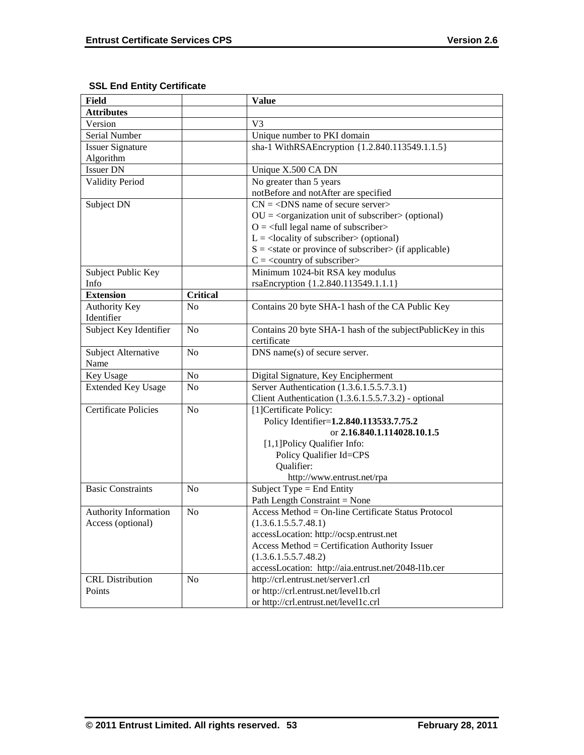# **SSL End Entity Certificate**

| <b>Field</b>                |                 | <b>Value</b>                                                             |
|-----------------------------|-----------------|--------------------------------------------------------------------------|
| <b>Attributes</b>           |                 |                                                                          |
| Version                     |                 | V <sub>3</sub>                                                           |
| Serial Number               |                 | Unique number to PKI domain                                              |
| <b>Issuer Signature</b>     |                 | sha-1 WithRSAEncryption {1.2.840.113549.1.1.5}                           |
| Algorithm                   |                 |                                                                          |
| <b>Issuer DN</b>            |                 | Unique X.500 CA DN                                                       |
| <b>Validity Period</b>      |                 | No greater than 5 years                                                  |
|                             |                 | notBefore and notAfter are specified                                     |
| Subject DN                  |                 | $CN = <$ DNS name of secure server>                                      |
|                             |                 | $OU = corganization unit of subscripter > (optional)$                    |
|                             |                 | $Q = \text{full legal name of subscriber}$                               |
|                             |                 | $L =$ <locality of="" subscriber=""> (optional)</locality>               |
|                             |                 | $S = \text{state}$ or province of subscriber $\text{in}$ (if applicable) |
|                             |                 | $C = \langle$ country of subscriber>                                     |
| Subject Public Key          |                 | Minimum 1024-bit RSA key modulus                                         |
| Info                        |                 | rsaEncryption {1.2.840.113549.1.1.1}                                     |
| <b>Extension</b>            | <b>Critical</b> |                                                                          |
| <b>Authority Key</b>        | N <sub>0</sub>  | Contains 20 byte SHA-1 hash of the CA Public Key                         |
| Identifier                  |                 |                                                                          |
| Subject Key Identifier      | N <sub>o</sub>  | Contains 20 byte SHA-1 hash of the subjectPublicKey in this              |
|                             |                 | certificate                                                              |
| Subject Alternative         | No              | DNS name(s) of secure server.                                            |
| Name                        |                 |                                                                          |
| Key Usage                   | No              | Digital Signature, Key Encipherment                                      |
| <b>Extended Key Usage</b>   | N <sub>0</sub>  | Server Authentication (1.3.6.1.5.5.7.3.1)                                |
|                             |                 | Client Authentication (1.3.6.1.5.5.7.3.2) - optional                     |
| <b>Certificate Policies</b> | N <sub>0</sub>  | [1] Certificate Policy:                                                  |
|                             |                 | Policy Identifier=1.2.840.113533.7.75.2                                  |
|                             |                 | or 2.16.840.1.114028.10.1.5                                              |
|                             |                 | [1,1] Policy Qualifier Info:                                             |
|                             |                 | Policy Qualifier Id=CPS                                                  |
|                             |                 | Qualifier:                                                               |
|                             |                 | http://www.entrust.net/rpa                                               |
| <b>Basic Constraints</b>    | N <sub>0</sub>  | Subject Type = End Entity                                                |
|                             |                 | Path Length Constraint = None                                            |
| Authority Information       | N <sub>o</sub>  | Access Method = On-line Certificate Status Protocol                      |
| Access (optional)           |                 | (1.3.6.1.5.5.7.48.1)                                                     |
|                             |                 | accessLocation: http://ocsp.entrust.net                                  |
|                             |                 | Access Method = Certification Authority Issuer                           |
|                             |                 | (1.3.6.1.5.5.7.48.2)                                                     |
|                             |                 | accessLocation: http://aia.entrust.net/2048-11b.cer                      |
| <b>CRL</b> Distribution     | N <sub>o</sub>  | http://crl.entrust.net/server1.crl                                       |
| Points                      |                 | or http://crl.entrust.net/level1b.crl                                    |
|                             |                 | or http://crl.entrust.net/level1c.crl                                    |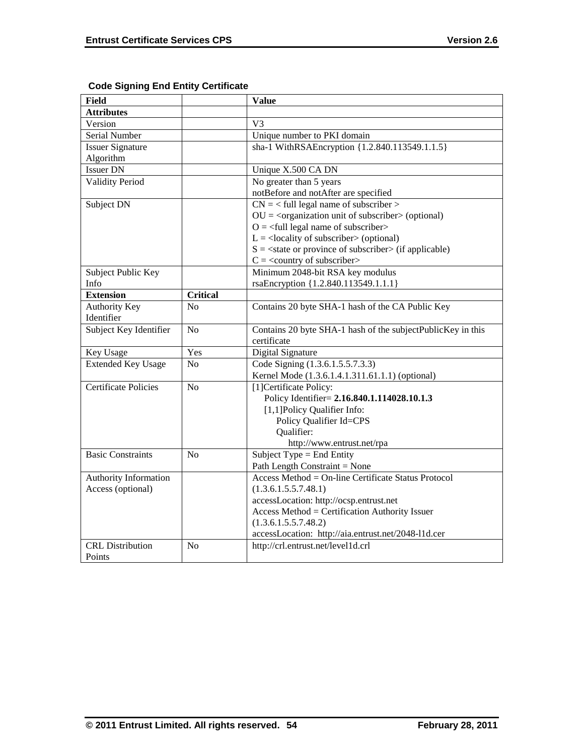| <b>Field</b>                |                 | <b>Value</b>                                                 |
|-----------------------------|-----------------|--------------------------------------------------------------|
| <b>Attributes</b>           |                 |                                                              |
| Version                     |                 | V <sub>3</sub>                                               |
| Serial Number               |                 | Unique number to PKI domain                                  |
| <b>Issuer Signature</b>     |                 | sha-1 WithRSAEncryption {1.2.840.113549.1.1.5}               |
| Algorithm                   |                 |                                                              |
| <b>Issuer DN</b>            |                 | Unique X.500 CA DN                                           |
| <b>Validity Period</b>      |                 | No greater than 5 years                                      |
|                             |                 | notBefore and notAfter are specified                         |
| Subject DN                  |                 | $CN =$ < full legal name of subscriber >                     |
|                             |                 | $OU = coganization unit of subscripter > (optional)$         |
|                             |                 | $Q = \text{full legal name of subscriber}$                   |
|                             |                 | $L =$ <locality of="" subscriber=""> (optional)</locality>   |
|                             |                 | $S = \text{state}$ or province of subscriber (if applicable) |
|                             |                 | $C = \langle$ country of subscriber>                         |
| Subject Public Key          |                 | Minimum 2048-bit RSA key modulus                             |
| Info                        |                 | rsaEncryption {1.2.840.113549.1.1.1}                         |
| <b>Extension</b>            | <b>Critical</b> |                                                              |
| <b>Authority Key</b>        | No              | Contains 20 byte SHA-1 hash of the CA Public Key             |
| Identifier                  |                 |                                                              |
| Subject Key Identifier      | N <sub>o</sub>  | Contains 20 byte SHA-1 hash of the subjectPublicKey in this  |
|                             |                 | certificate                                                  |
| Key Usage                   | Yes             | Digital Signature                                            |
| <b>Extended Key Usage</b>   | N <sub>0</sub>  | Code Signing (1.3.6.1.5.5.7.3.3)                             |
|                             |                 | Kernel Mode (1.3.6.1.4.1.311.61.1.1) (optional)              |
| <b>Certificate Policies</b> | N <sub>o</sub>  | [1] Certificate Policy:                                      |
|                             |                 | Policy Identifier= 2.16.840.1.114028.10.1.3                  |
|                             |                 | [1,1] Policy Qualifier Info:                                 |
|                             |                 | Policy Qualifier Id=CPS                                      |
|                             |                 | Qualifier:                                                   |
|                             |                 | http://www.entrust.net/rpa                                   |
| <b>Basic Constraints</b>    | No              | Subject Type = End Entity                                    |
|                             |                 | Path Length Constraint = None                                |
| Authority Information       |                 | Access Method = On-line Certificate Status Protocol          |
| Access (optional)           |                 | (1.3.6.1.5.5.7.48.1)                                         |
|                             |                 | accessLocation: http://ocsp.entrust.net                      |
|                             |                 | Access Method = Certification Authority Issuer               |
|                             |                 | (1.3.6.1.5.5.7.48.2)                                         |
|                             |                 | accessLocation: http://aia.entrust.net/2048-11d.cer          |
| <b>CRL</b> Distribution     | N <sub>o</sub>  | http://crl.entrust.net/level1d.crl                           |
| Points                      |                 |                                                              |

# **Code Signing End Entity Certificate**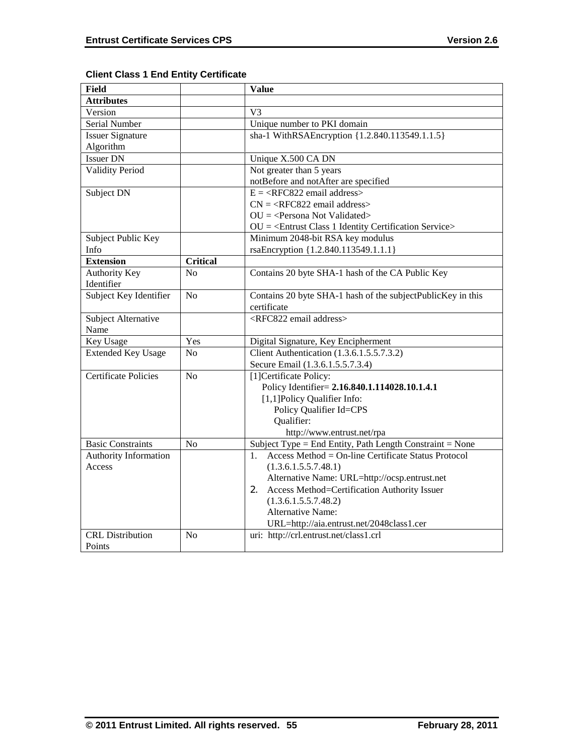| <b>Field</b>                |                 | <b>Value</b>                                                |
|-----------------------------|-----------------|-------------------------------------------------------------|
| <b>Attributes</b>           |                 |                                                             |
| Version                     |                 | V <sub>3</sub>                                              |
| Serial Number               |                 | Unique number to PKI domain                                 |
| <b>Issuer Signature</b>     |                 | sha-1 WithRSAEncryption {1.2.840.113549.1.1.5}              |
| Algorithm                   |                 |                                                             |
| <b>Issuer DN</b>            |                 | Unique X.500 CA DN                                          |
| <b>Validity Period</b>      |                 | Not greater than 5 years                                    |
|                             |                 | notBefore and notAfter are specified                        |
| Subject DN                  |                 | $E = \langle RFC822 \text{ email address} \rangle$          |
|                             |                 | $CN =  email address>$                                      |
|                             |                 | $OU = Persona Not Validated >$                              |
|                             |                 | $OU = \leq$ Entrust Class 1 Identity Certification Service> |
| Subject Public Key          |                 | Minimum 2048-bit RSA key modulus                            |
| Info                        |                 | rsaEncryption {1.2.840.113549.1.1.1}                        |
| <b>Extension</b>            | <b>Critical</b> |                                                             |
| <b>Authority Key</b>        | No              | Contains 20 byte SHA-1 hash of the CA Public Key            |
| Identifier                  |                 |                                                             |
| Subject Key Identifier      | N <sub>o</sub>  | Contains 20 byte SHA-1 hash of the subjectPublicKey in this |
|                             |                 | certificate                                                 |
| Subject Alternative         |                 | <rfc822 address="" email=""></rfc822>                       |
| Name                        |                 |                                                             |
| Key Usage                   | Yes             | Digital Signature, Key Encipherment                         |
| <b>Extended Key Usage</b>   | N <sub>o</sub>  | Client Authentication (1.3.6.1.5.5.7.3.2)                   |
|                             |                 | Secure Email (1.3.6.1.5.5.7.3.4)                            |
| <b>Certificate Policies</b> | No              | [1] Certificate Policy:                                     |
|                             |                 | Policy Identifier= 2.16.840.1.114028.10.1.4.1               |
|                             |                 | [1,1] Policy Qualifier Info:                                |
|                             |                 | Policy Qualifier Id=CPS                                     |
|                             |                 | Qualifier:                                                  |
|                             |                 | http://www.entrust.net/rpa                                  |
| <b>Basic Constraints</b>    | N <sub>o</sub>  | Subject Type = End Entity, Path Length Constraint = None    |
| Authority Information       |                 | Access Method = On-line Certificate Status Protocol<br>1.   |
| Access                      |                 | (1.3.6.1.5.5.7.48.1)                                        |
|                             |                 | Alternative Name: URL=http://ocsp.entrust.net               |
|                             |                 | Access Method=Certification Authority Issuer<br>2.          |
|                             |                 | (1.3.6.1.5.5.7.48.2)                                        |
|                             |                 | <b>Alternative Name:</b>                                    |
|                             |                 | URL=http://aia.entrust.net/2048class1.cer                   |
| <b>CRL</b> Distribution     | N <sub>0</sub>  | uri: http://crl.entrust.net/class1.crl                      |
| Points                      |                 |                                                             |

# **Client Class 1 End Entity Certificate**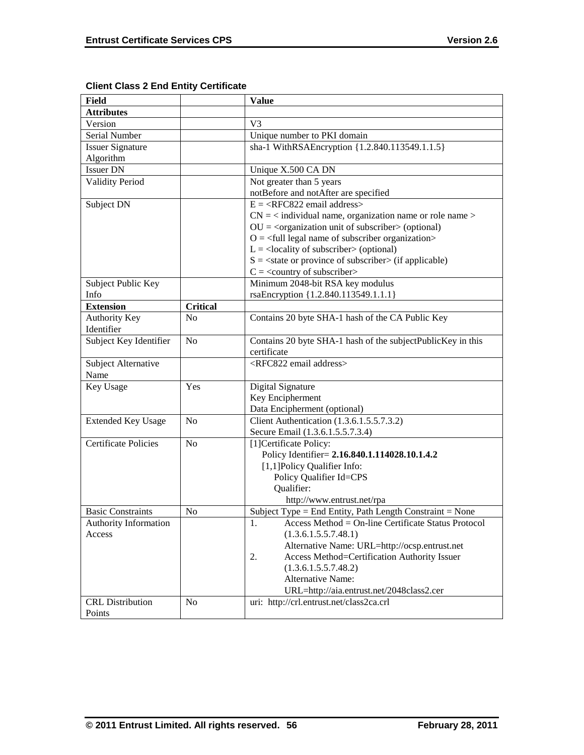| <b>Field</b>                |                 | <b>Value</b>                                                             |
|-----------------------------|-----------------|--------------------------------------------------------------------------|
| <b>Attributes</b>           |                 |                                                                          |
| Version                     |                 | V <sub>3</sub>                                                           |
| Serial Number               |                 | Unique number to PKI domain                                              |
| <b>Issuer Signature</b>     |                 | sha-1 WithRSAEncryption {1.2.840.113549.1.1.5}                           |
| Algorithm                   |                 |                                                                          |
| <b>Issuer DN</b>            |                 | Unique X.500 CA DN                                                       |
| <b>Validity Period</b>      |                 | Not greater than 5 years                                                 |
|                             |                 | notBefore and notAfter are specified                                     |
| Subject DN                  |                 | $E = \langle RFC822 \text{ email address} \rangle$                       |
|                             |                 | $CN =$ < individual name, organization name or role name >               |
|                             |                 | $OU = coganization unit of subscripter > (optional)$                     |
|                             |                 | $O = \text{full legal name of subscriber organization}$                  |
|                             |                 | $L =$ <locality of="" subscriber=""> (optional)</locality>               |
|                             |                 | $S = \text{state}$ or province of subscriber $\text{in}$ (if applicable) |
|                             |                 | $C =$ < country of subscriber>                                           |
| Subject Public Key          |                 | Minimum 2048-bit RSA key modulus                                         |
| Info                        |                 | rsaEncryption {1.2.840.113549.1.1.1}                                     |
| <b>Extension</b>            | <b>Critical</b> |                                                                          |
| Authority Key               | No              | Contains 20 byte SHA-1 hash of the CA Public Key                         |
| Identifier                  |                 |                                                                          |
| Subject Key Identifier      | No              | Contains 20 byte SHA-1 hash of the subjectPublicKey in this              |
|                             |                 | certificate                                                              |
| Subject Alternative         |                 | <rfc822 address="" email=""></rfc822>                                    |
| Name                        |                 |                                                                          |
| Key Usage                   | Yes             | Digital Signature                                                        |
|                             |                 | Key Encipherment                                                         |
|                             |                 | Data Encipherment (optional)                                             |
| <b>Extended Key Usage</b>   | No              | Client Authentication (1.3.6.1.5.5.7.3.2)                                |
|                             |                 | Secure Email (1.3.6.1.5.5.7.3.4)                                         |
| <b>Certificate Policies</b> | No              | [1] Certificate Policy:                                                  |
|                             |                 | Policy Identifier= 2.16.840.1.114028.10.1.4.2                            |
|                             |                 | [1,1] Policy Qualifier Info:                                             |
|                             |                 | Policy Qualifier Id=CPS                                                  |
|                             |                 | Qualifier:                                                               |
|                             |                 | http://www.entrust.net/rpa                                               |
| <b>Basic Constraints</b>    | N <sub>0</sub>  | Subject Type = End Entity, Path Length Constraint = None                 |
| Authority Information       |                 | 1.<br>Access Method = On-line Certificate Status Protocol                |
| Access                      |                 | (1.3.6.1.5.5.7.48.1)                                                     |
|                             |                 | Alternative Name: URL=http://ocsp.entrust.net                            |
|                             |                 | Access Method=Certification Authority Issuer<br>2.                       |
|                             |                 | (1.3.6.1.5.5.7.48.2)<br><b>Alternative Name:</b>                         |
|                             |                 |                                                                          |
|                             |                 | URL=http://aia.entrust.net/2048class2.cer                                |
| <b>CRL</b> Distribution     | N <sub>0</sub>  | uri: http://crl.entrust.net/class2ca.crl                                 |
| Points                      |                 |                                                                          |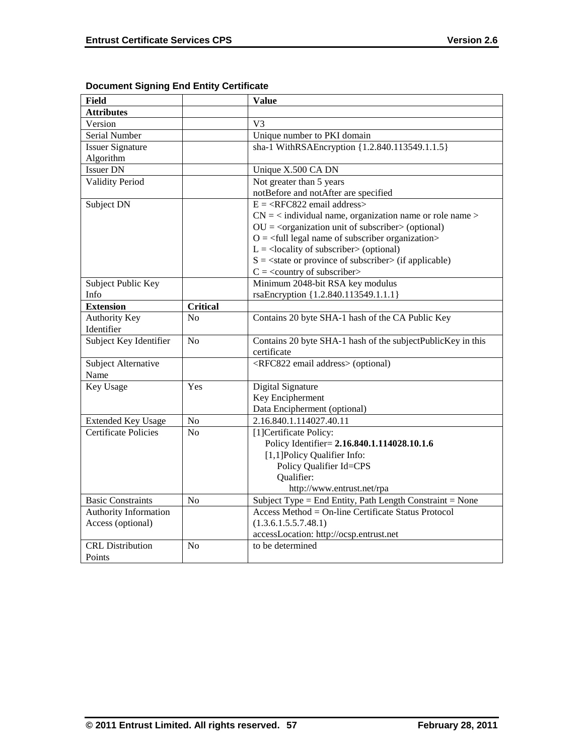| <b>Field</b>                 |                 | <b>Value</b>                                                             |
|------------------------------|-----------------|--------------------------------------------------------------------------|
| <b>Attributes</b>            |                 |                                                                          |
| Version                      |                 | V <sub>3</sub>                                                           |
| Serial Number                |                 | Unique number to PKI domain                                              |
| <b>Issuer Signature</b>      |                 | sha-1 WithRSAEncryption {1.2.840.113549.1.1.5}                           |
| Algorithm                    |                 |                                                                          |
| <b>Issuer DN</b>             |                 | Unique X.500 CA DN                                                       |
| <b>Validity Period</b>       |                 | Not greater than 5 years                                                 |
|                              |                 | notBefore and notAfter are specified                                     |
| Subject DN                   |                 | $E = \langle RFC822 \text{ email address} \rangle$                       |
|                              |                 | $CN =$ < individual name, organization name or role name >               |
|                              |                 | $OU = corganization unit of subscripter > (optional)$                    |
|                              |                 | $O = \text{full legal name of subscriber organization}$                  |
|                              |                 | $L =$ <locality of="" subscriber=""> (optional)</locality>               |
|                              |                 | $S = \text{state}$ or province of subscriber $\text{in}$ (if applicable) |
|                              |                 | $C = \langle$ country of subscriber>                                     |
| Subject Public Key           |                 | Minimum 2048-bit RSA key modulus                                         |
| Info                         |                 | rsaEncryption {1.2.840.113549.1.1.1}                                     |
| <b>Extension</b>             | <b>Critical</b> |                                                                          |
| Authority Key                | N <sub>0</sub>  | Contains 20 byte SHA-1 hash of the CA Public Key                         |
| Identifier                   |                 |                                                                          |
| Subject Key Identifier       | N <sub>o</sub>  | Contains 20 byte SHA-1 hash of the subjectPublicKey in this              |
|                              |                 | certificate                                                              |
| Subject Alternative          |                 | <rfc822 address="" email=""> (optional)</rfc822>                         |
| Name                         |                 |                                                                          |
| <b>Key Usage</b>             | Yes             | Digital Signature                                                        |
|                              |                 | Key Encipherment                                                         |
|                              |                 | Data Encipherment (optional)                                             |
| <b>Extended Key Usage</b>    | No              | 2.16.840.1.114027.40.11                                                  |
| <b>Certificate Policies</b>  | N <sub>o</sub>  | [1]Certificate Policy:                                                   |
|                              |                 | Policy Identifier= 2.16.840.1.114028.10.1.6                              |
|                              |                 | [1,1]Policy Qualifier Info:                                              |
|                              |                 | Policy Qualifier Id=CPS                                                  |
|                              |                 | Qualifier:                                                               |
|                              |                 | http://www.entrust.net/rpa                                               |
| <b>Basic Constraints</b>     | N <sub>o</sub>  | Subject Type = End Entity, Path Length Constraint = None                 |
| <b>Authority Information</b> |                 | Access Method = On-line Certificate Status Protocol                      |
| Access (optional)            |                 | (1.3.6.1.5.5.7.48.1)                                                     |
|                              |                 | accessLocation: http://ocsp.entrust.net                                  |
| <b>CRL</b> Distribution      | N <sub>o</sub>  | to be determined                                                         |
| Points                       |                 |                                                                          |

# **Document Signing End Entity Certificate**